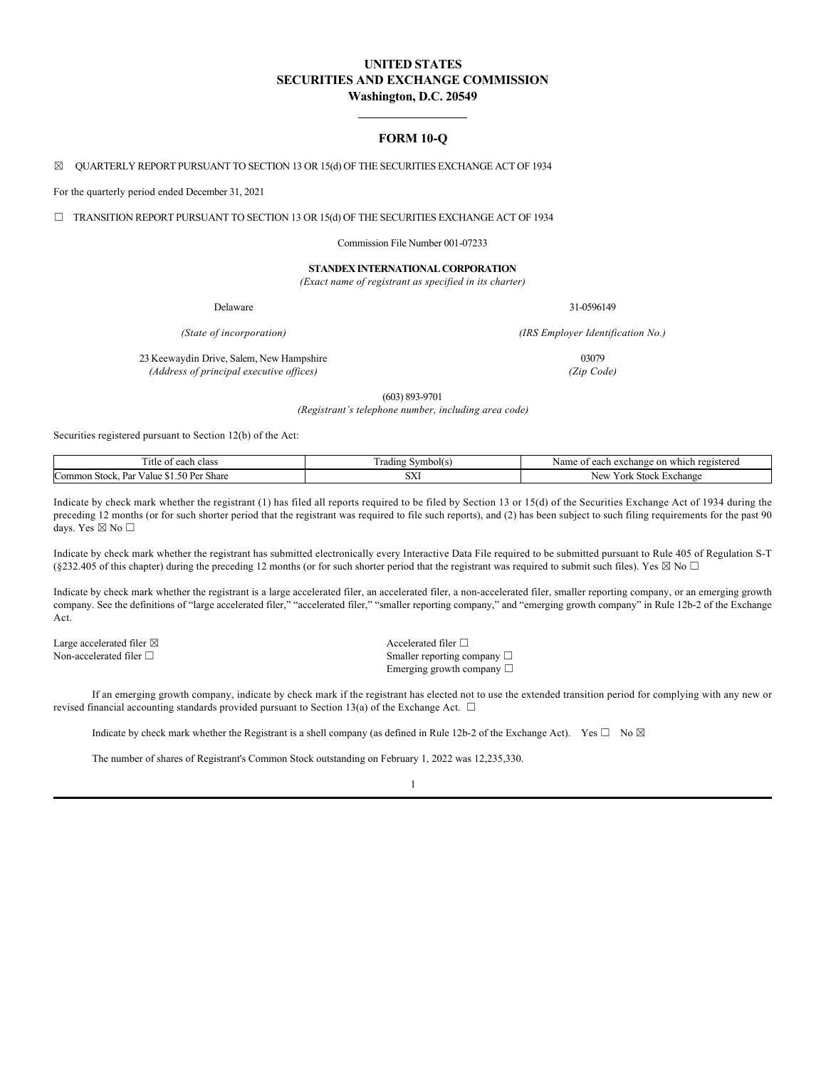# **UNITED STATES SECURITIES AND EXCHANGE COMMISSION Washington, D.C. 20549**

## **FORM 10-Q**

☒ QUARTERLY REPORT PURSUANT TO SECTION 13 OR 15(d) OF THE SECURITIES EXCHANGE ACT OF 1934

For the quarterly period ended December 31, 2021

☐ TRANSITION REPORT PURSUANT TO SECTION 13 OR 15(d) OF THE SECURITIES EXCHANGE ACT OF 1934

Commission File Number 001-07233

#### **STANDEX INTERNATIONAL CORPORATION**

*(Exact name of registrant as specified in its charter)*

Delaware 31-0596149

*(State of incorporation) (IRS Employer Identification No.)*

23 Keewaydin Drive, Salem, New Hampshire 03079 *(Address of principal executive offices) (Zip Code)*

(603) 893-9701

*(Registrant's telephone number, including area code)*

Securities registered pursuant to Section 12(b) of the Act:

| itle<br>class<br><b>CACIT</b>                                              | rading<br>: Symbol(s | which registered<br>each exchange<br><b>Name</b><br><sub>on</sub><br>$\cdots$ |
|----------------------------------------------------------------------------|----------------------|-------------------------------------------------------------------------------|
| $\sim$<br>∽<br>50 Per<br>Value<br>Par<br>rer Share<br>Common Stock.<br>171 | $\sim$<br>لدد        | New<br>. Stock Exchange<br>′ ork                                              |

Indicate by check mark whether the registrant (1) has filed all reports required to be filed by Section 13 or 15(d) of the Securities Exchange Act of 1934 during the preceding 12 months (or for such shorter period that the registrant was required to file such reports), and (2) has been subject to such filing requirements for the past 90 days. Yes  $\boxtimes$  No  $\square$ 

Indicate by check mark whether the registrant has submitted electronically every Interactive Data File required to be submitted pursuant to Rule 405 of Regulation S-T (§232.405 of this chapter) during the preceding 12 months (or for such shorter period that the registrant was required to submit such files). Yes  $\boxtimes$  No  $\Box$ 

Indicate by check mark whether the registrant is a large accelerated filer, an accelerated filer, a non-accelerated filer, smaller reporting company, or an emerging growth company. See the definitions of "large accelerated filer," "accelerated filer," "smaller reporting company," and "emerging growth company" in Rule 12b-2 of the Exchange Act.

Large accelerated filer  $\boxtimes$ <br>
Non-accelerated filer  $\Box$ <br>
Non-accelerated filer  $\Box$ 

Smaller reporting company  $\Box$ Emerging growth company ☐

If an emerging growth company, indicate by check mark if the registrant has elected not to use the extended transition period for complying with any new or revised financial accounting standards provided pursuant to Section 13(a) of the Exchange Act.  $\Box$ 

Indicate by check mark whether the Registrant is a shell company (as defined in Rule 12b-2 of the Exchange Act). Yes  $\Box$  No  $\boxtimes$ 

The number of shares of Registrant's Common Stock outstanding on February 1, 2022 was 12,235,330.

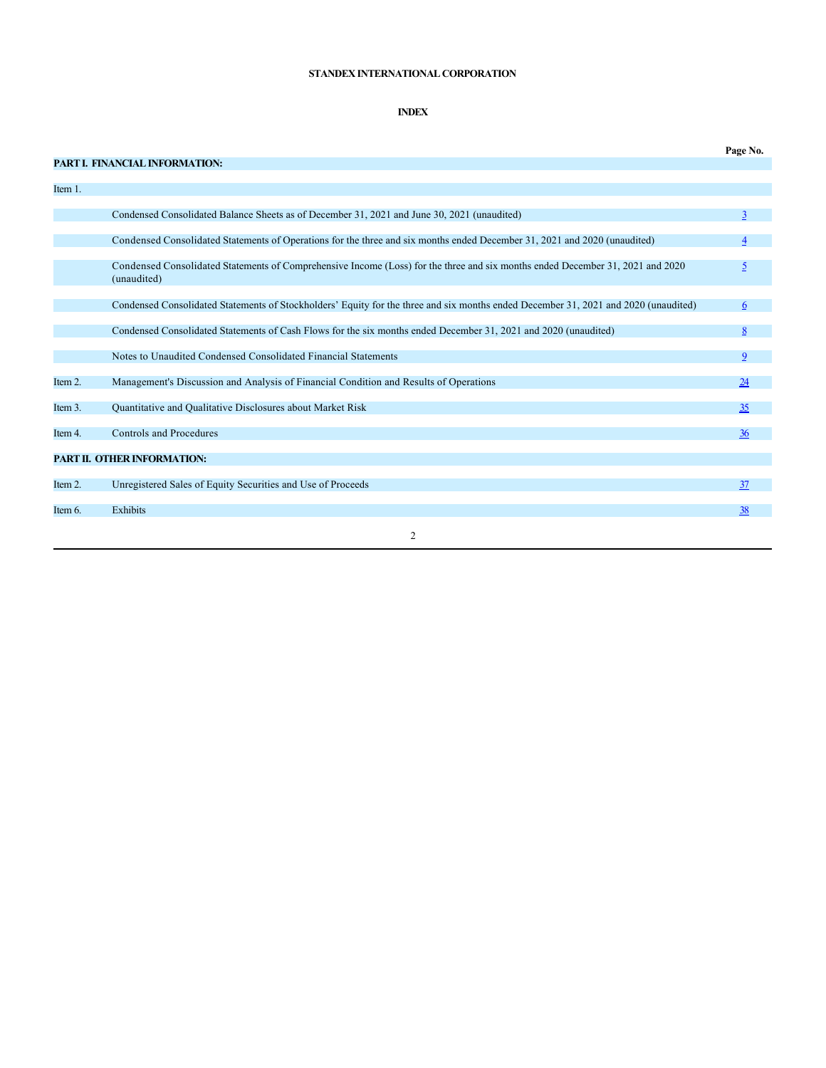# **STANDEX INTERNATIONAL CORPORATION**

# **INDEX**

|         |                                                                                                                                               | Page No.        |
|---------|-----------------------------------------------------------------------------------------------------------------------------------------------|-----------------|
|         | <b>PART I. FINANCIAL INFORMATION:</b>                                                                                                         |                 |
|         |                                                                                                                                               |                 |
| Item 1. |                                                                                                                                               |                 |
|         | Condensed Consolidated Balance Sheets as of December 31, 2021 and June 30, 2021 (unaudited)                                                   | $\overline{3}$  |
|         |                                                                                                                                               |                 |
|         | Condensed Consolidated Statements of Operations for the three and six months ended December 31, 2021 and 2020 (unaudited)                     | $\overline{4}$  |
|         | Condensed Consolidated Statements of Comprehensive Income (Loss) for the three and six months ended December 31, 2021 and 2020<br>(unaudited) | 5               |
|         |                                                                                                                                               |                 |
|         | Condensed Consolidated Statements of Stockholders' Equity for the three and six months ended December 31, 2021 and 2020 (unaudited)           | 6               |
|         | Condensed Consolidated Statements of Cash Flows for the six months ended December 31, 2021 and 2020 (unaudited)                               | $8\overline{8}$ |
|         |                                                                                                                                               |                 |
|         | Notes to Unaudited Condensed Consolidated Financial Statements                                                                                | $\overline{9}$  |
| Item 2. | Management's Discussion and Analysis of Financial Condition and Results of Operations                                                         | 24              |
| Item 3. | Quantitative and Qualitative Disclosures about Market Risk                                                                                    | 35              |
|         |                                                                                                                                               |                 |
| Item 4. | Controls and Procedures                                                                                                                       | 36              |
|         |                                                                                                                                               |                 |
|         | <b>PART II. OTHER INFORMATION:</b>                                                                                                            |                 |
| Item 2. | Unregistered Sales of Equity Securities and Use of Proceeds                                                                                   | 37              |
|         |                                                                                                                                               |                 |
| Item 6. | Exhibits                                                                                                                                      | 38              |
|         | 2                                                                                                                                             |                 |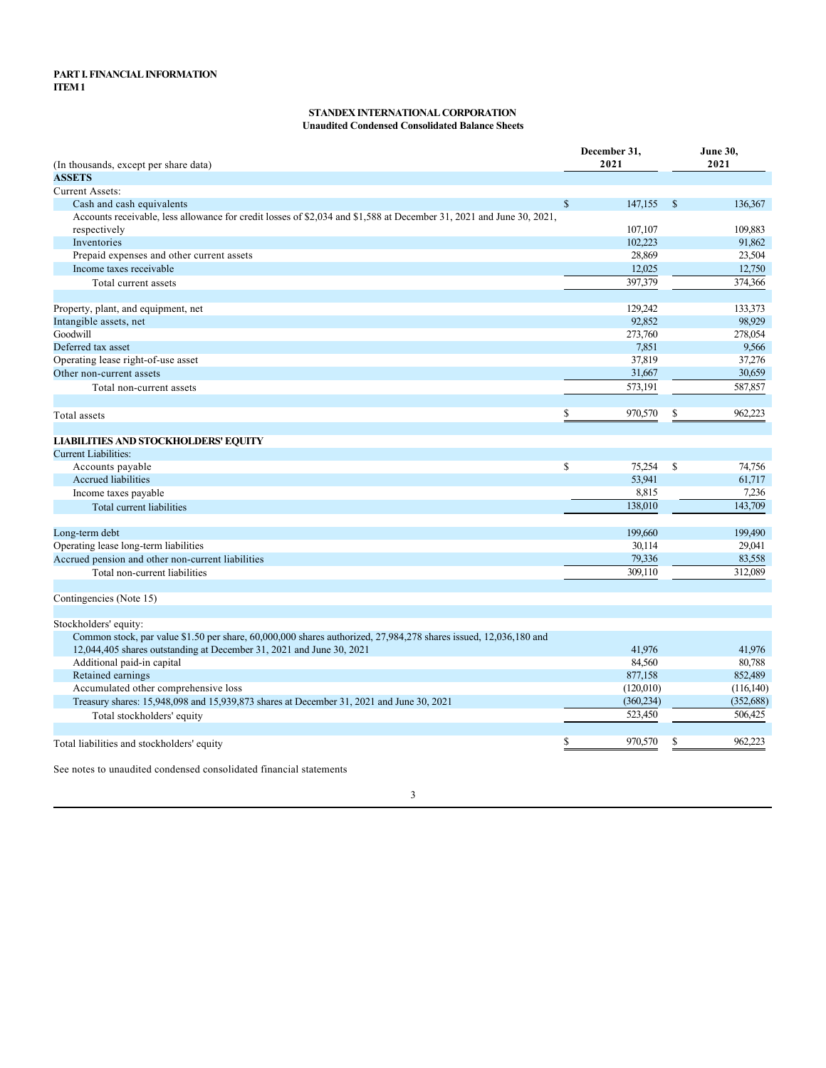# **STANDEX INTERNATIONAL CORPORATION Unaudited Condensed Consolidated Balance Sheets**

|                                                                                                                      |             | December 31, |               | <b>June 30,</b> |
|----------------------------------------------------------------------------------------------------------------------|-------------|--------------|---------------|-----------------|
| (In thousands, except per share data)                                                                                |             | 2021         |               | 2021            |
| <b>ASSETS</b>                                                                                                        |             |              |               |                 |
| <b>Current Assets:</b>                                                                                               |             |              |               |                 |
| Cash and cash equivalents                                                                                            | $\mathbf S$ | 147,155      | <sup>S</sup>  | 136,367         |
| Accounts receivable, less allowance for credit losses of \$2,034 and \$1,588 at December 31, 2021 and June 30, 2021, |             |              |               |                 |
| respectively                                                                                                         |             | 107,107      |               | 109.883         |
| Inventories                                                                                                          |             | 102,223      |               | 91,862          |
| Prepaid expenses and other current assets                                                                            |             | 28,869       |               | 23,504          |
| Income taxes receivable                                                                                              |             | 12,025       |               | 12,750          |
| Total current assets                                                                                                 |             | 397,379      |               | 374,366         |
| Property, plant, and equipment, net                                                                                  |             | 129,242      |               | 133,373         |
| Intangible assets, net                                                                                               |             | 92,852       |               | 98,929          |
| Goodwill                                                                                                             |             | 273,760      |               | 278,054         |
| Deferred tax asset                                                                                                   |             | 7,851        |               | 9,566           |
| Operating lease right-of-use asset                                                                                   |             | 37,819       |               | 37,276          |
| Other non-current assets                                                                                             |             | 31,667       |               | 30,659          |
| Total non-current assets                                                                                             |             | 573,191      |               | 587,857         |
| Total assets                                                                                                         | \$          | 970,570      |               | 962,223         |
|                                                                                                                      |             |              |               |                 |
| <b>LIABILITIES AND STOCKHOLDERS' EQUITY</b>                                                                          |             |              |               |                 |
| <b>Current Liabilities:</b>                                                                                          |             |              |               |                 |
| Accounts payable                                                                                                     | S           | 75,254       | <sup>\$</sup> | 74,756          |
| <b>Accrued liabilities</b>                                                                                           |             | 53,941       |               | 61,717          |
| Income taxes payable                                                                                                 |             | 8,815        |               | 7,236           |
| <b>Total current liabilities</b>                                                                                     |             | 138,010      |               | 143,709         |
| Long-term debt                                                                                                       |             | 199,660      |               | 199,490         |
| Operating lease long-term liabilities                                                                                |             | 30.114       |               | 29,041          |
| Accrued pension and other non-current liabilities                                                                    |             | 79,336       |               | 83,558          |
| Total non-current liabilities                                                                                        |             | 309,110      |               | 312,089         |
| Contingencies (Note 15)                                                                                              |             |              |               |                 |
|                                                                                                                      |             |              |               |                 |
| Stockholders' equity:                                                                                                |             |              |               |                 |
| Common stock, par value \$1.50 per share, 60,000,000 shares authorized, 27,984,278 shares issued, 12,036,180 and     |             |              |               |                 |
| 12,044,405 shares outstanding at December 31, 2021 and June 30, 2021                                                 |             | 41,976       |               | 41,976          |
| Additional paid-in capital                                                                                           |             | 84,560       |               | 80,788          |
| Retained earnings                                                                                                    |             | 877,158      |               | 852,489         |
| Accumulated other comprehensive loss                                                                                 |             | (120,010)    |               | (116, 140)      |
| Treasury shares: 15,948,098 and 15,939,873 shares at December 31, 2021 and June 30, 2021                             |             | (360, 234)   |               | (352, 688)      |
| Total stockholders' equity                                                                                           |             | 523,450      |               | 506,425         |
| Total liabilities and stockholders' equity                                                                           | \$          | 970,570      |               | 962,223         |
|                                                                                                                      |             |              |               |                 |

See notes to unaudited condensed consolidated financial statements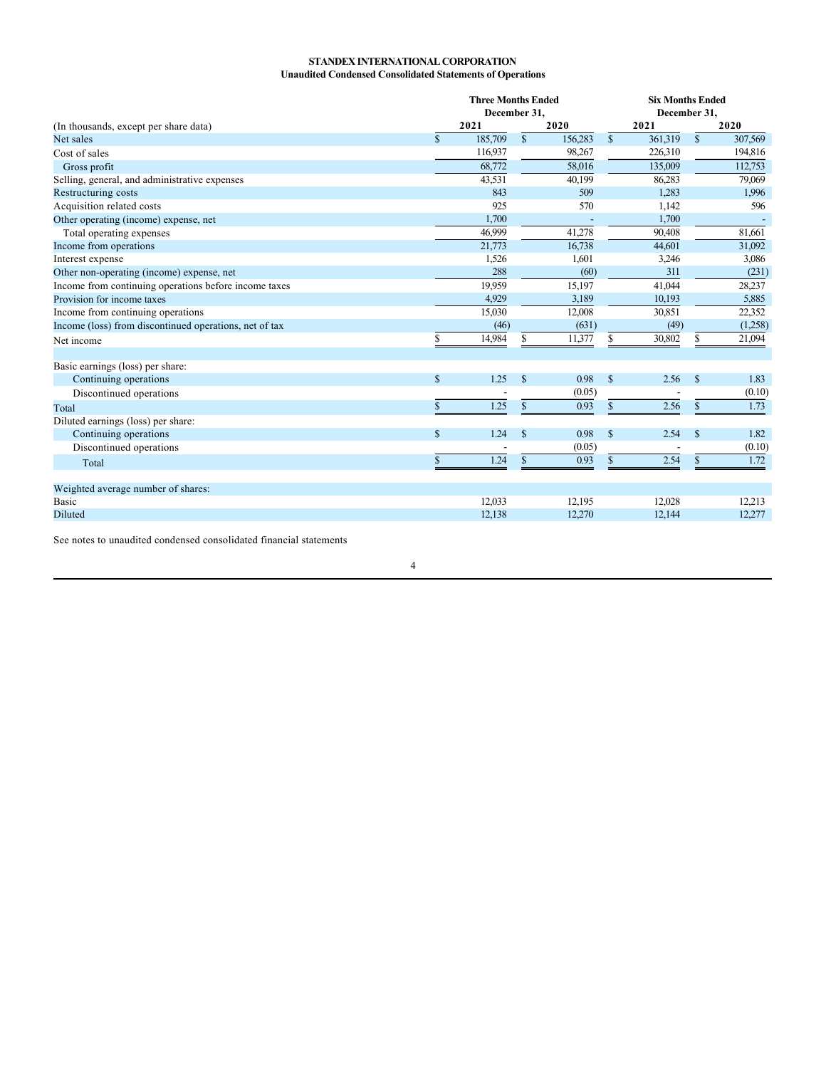## **STANDEX INTERNATIONAL CORPORATION Unaudited Condensed Consolidated Statements of Operations**

|                                                        |              | <b>Three Months Ended</b> |              |         | <b>Six Months Ended</b> |              |               |         |  |
|--------------------------------------------------------|--------------|---------------------------|--------------|---------|-------------------------|--------------|---------------|---------|--|
|                                                        |              | December 31,              |              |         |                         | December 31, |               |         |  |
| (In thousands, except per share data)                  |              | 2021                      |              | 2020    |                         | 2021         |               | 2020    |  |
| Net sales                                              | $\mathbf{s}$ | 185,709                   | $\mathbb{S}$ | 156,283 | $\mathbb{S}$            | 361,319      | $\mathsf{\$}$ | 307,569 |  |
| Cost of sales                                          |              | 116,937                   |              | 98,267  |                         | 226,310      |               | 194,816 |  |
| Gross profit                                           |              | 68,772                    |              | 58,016  |                         | 135,009      |               | 112,753 |  |
| Selling, general, and administrative expenses          |              | 43,531                    |              | 40,199  |                         | 86,283       |               | 79,069  |  |
| Restructuring costs                                    |              | 843                       |              | 509     |                         | 1,283        |               | 1,996   |  |
| Acquisition related costs                              |              | 925                       |              | 570     |                         | 1,142        |               | 596     |  |
| Other operating (income) expense, net                  |              | 1,700                     |              |         |                         | 1,700        |               |         |  |
| Total operating expenses                               |              | 46,999                    |              | 41,278  |                         | 90,408       |               | 81,661  |  |
| Income from operations                                 |              | 21,773                    |              | 16,738  |                         | 44,601       |               | 31,092  |  |
| Interest expense                                       |              | 1,526                     |              | 1,601   |                         | 3,246        |               | 3,086   |  |
| Other non-operating (income) expense, net              |              | 288                       |              | (60)    |                         | 311          |               | (231)   |  |
| Income from continuing operations before income taxes  |              | 19,959                    |              | 15,197  |                         | 41,044       |               | 28,237  |  |
| Provision for income taxes                             |              | 4,929                     |              | 3,189   |                         | 10,193       |               | 5,885   |  |
| Income from continuing operations                      |              | 15,030                    |              | 12,008  |                         | 30,851       |               | 22,352  |  |
| Income (loss) from discontinued operations, net of tax |              | (46)                      |              | (631)   |                         | (49)         |               | (1,258) |  |
| Net income                                             | \$           | 14,984                    | S            | 11,377  | \$                      | 30,802       | \$            | 21,094  |  |
| Basic earnings (loss) per share:                       |              |                           |              |         |                         |              |               |         |  |
| Continuing operations                                  | $\mathbb{S}$ | 1.25                      | \$           | 0.98    | $\mathsf{\$}$           | 2.56         | \$            | 1.83    |  |
| Discontinued operations                                |              |                           |              | (0.05)  |                         |              |               | (0.10)  |  |
| Total                                                  | \$           | 1.25                      | $\mathbb{S}$ | 0.93    | $\$$                    | 2.56         | \$            | 1.73    |  |
| Diluted earnings (loss) per share:                     |              |                           |              |         |                         |              |               |         |  |
| Continuing operations                                  | $\mathbb{S}$ | 1.24                      | $\mathbb{S}$ | 0.98    | $\mathsf{\$}$           | 2.54         | \$            | 1.82    |  |
| Discontinued operations                                |              |                           |              | (0.05)  |                         |              |               | (0.10)  |  |
| Total                                                  | \$           | 1.24                      | $\mathbb{S}$ | 0.93    | $\mathsf{\$}$           | 2.54         | \$            | 1.72    |  |
| Weighted average number of shares:                     |              |                           |              |         |                         |              |               |         |  |
| Basic                                                  |              | 12,033                    |              | 12,195  |                         | 12,028       |               | 12,213  |  |
| Diluted                                                |              | 12,138                    |              | 12,270  |                         | 12,144       |               | 12,277  |  |
|                                                        |              |                           |              |         |                         |              |               |         |  |

See notes to unaudited condensed consolidated financial statements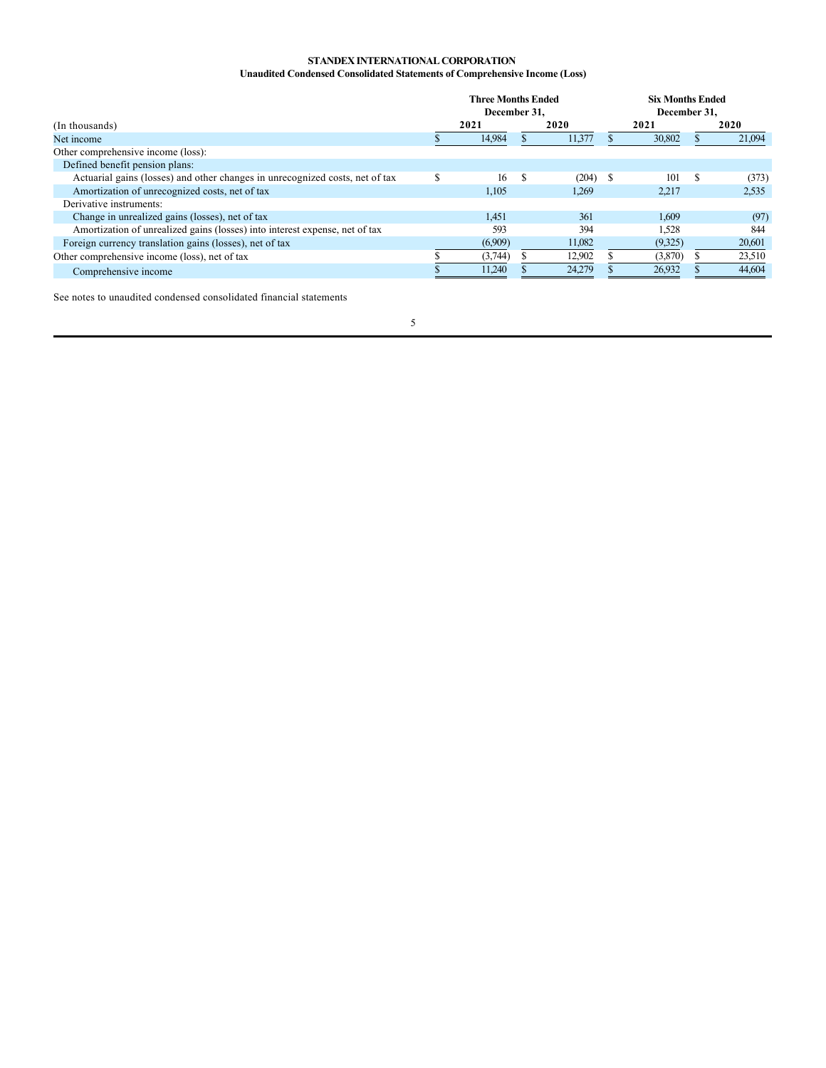## **STANDEX INTERNATIONAL CORPORATION Unaudited Condensed Consolidated Statements of Comprehensive Income (Loss)**

|                                                                              | <b>Three Months Ended</b><br>December 31. |         |   |        | <b>Six Months Ended</b><br>December 31. |         |   |        |
|------------------------------------------------------------------------------|-------------------------------------------|---------|---|--------|-----------------------------------------|---------|---|--------|
| (In thousands)                                                               |                                           | 2021    |   | 2020   |                                         | 2021    |   | 2020   |
| Net income                                                                   |                                           | 14,984  |   | 11,377 |                                         | 30,802  |   | 21,094 |
| Other comprehensive income (loss):                                           |                                           |         |   |        |                                         |         |   |        |
| Defined benefit pension plans:                                               |                                           |         |   |        |                                         |         |   |        |
| Actuarial gains (losses) and other changes in unrecognized costs, net of tax |                                           | 16      | S | (204)  | - \$                                    | 101     | S | (373)  |
| Amortization of unrecognized costs, net of tax                               |                                           | 1,105   |   | 1,269  |                                         | 2,217   |   | 2,535  |
| Derivative instruments:                                                      |                                           |         |   |        |                                         |         |   |        |
| Change in unrealized gains (losses), net of tax                              |                                           | 1,451   |   | 361    |                                         | 1,609   |   | (97)   |
| Amortization of unrealized gains (losses) into interest expense, net of tax  |                                           | 593     |   | 394    |                                         | 1,528   |   | 844    |
| Foreign currency translation gains (losses), net of tax                      |                                           | (6,909) |   | 11,082 |                                         | (9,325) |   | 20,601 |
| Other comprehensive income (loss), net of tax                                |                                           | (3,744) |   | 12.902 |                                         | (3,870) |   | 23,510 |
| Comprehensive income                                                         |                                           | 11,240  |   | 24.279 |                                         | 26,932  |   | 44,604 |

See notes to unaudited condensed consolidated financial statements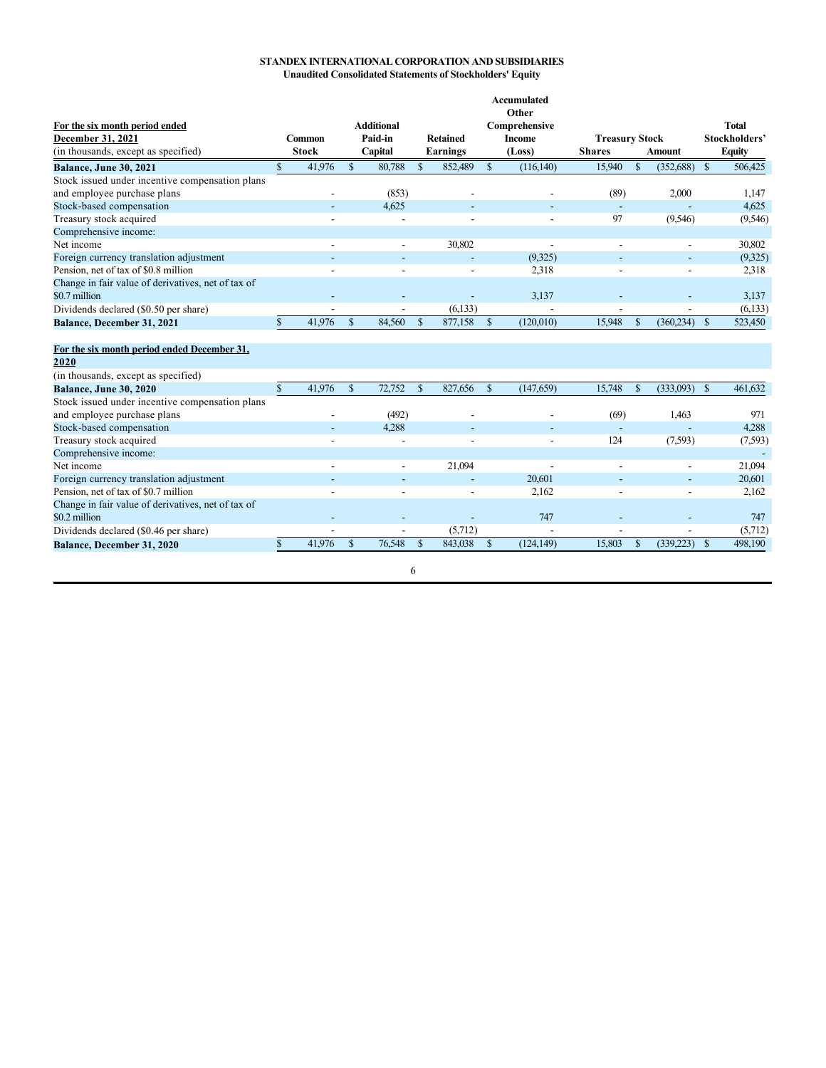# **STANDEX INTERNATIONAL CORPORATION AND SUBSIDIARIES Unaudited Consolidated Statements of Stockholders' Equity**

|                                                            |                          |                              |                          | Accumulated                      |                          |                          |                        |
|------------------------------------------------------------|--------------------------|------------------------------|--------------------------|----------------------------------|--------------------------|--------------------------|------------------------|
| For the six month period ended<br><b>December 31, 2021</b> | Common                   | <b>Additional</b><br>Paid-in | <b>Retained</b>          | Other<br>Comprehensive<br>Income | <b>Treasury Stock</b>    |                          | Total<br>Stockholders' |
| (in thousands, except as specified)                        | Stock                    | Capital                      | Earnings                 | (Loss)                           | <b>Shares</b>            | Amount                   | <b>Equity</b>          |
| <b>Balance, June 30, 2021</b>                              | 41,976                   | 80,788                       | 852,489                  | (116,140)                        | 15,940                   | $(352,688)$ \$           | 506,425                |
| Stock issued under incentive compensation plans            |                          |                              |                          |                                  |                          |                          |                        |
| and employee purchase plans                                |                          | (853)                        |                          |                                  | (89)                     | 2,000                    | 1,147                  |
| Stock-based compensation                                   |                          | 4,625                        | $\overline{\phantom{0}}$ | ۰                                | -                        |                          | 4.625                  |
| Treasury stock acquired                                    | -                        | $\overline{\phantom{a}}$     | $\overline{\phantom{a}}$ | ۰                                | 97                       | (9, 546)                 | (9,546)                |
| Comprehensive income:                                      |                          |                              |                          |                                  |                          |                          |                        |
| Net income                                                 | $\overline{\phantom{a}}$ | $\overline{\phantom{a}}$     | 30,802                   | $\overline{\phantom{0}}$         |                          | $\overline{\phantom{a}}$ | 30,802                 |
| Foreign currency translation adjustment                    |                          | $\overline{\phantom{0}}$     |                          | (9,325)                          | $\overline{\phantom{0}}$ | $\overline{\phantom{0}}$ | (9,325)                |
| Pension, net of tax of \$0.8 million                       |                          | $\overline{\phantom{a}}$     |                          | 2,318                            |                          | $\overline{\phantom{a}}$ | 2,318                  |
| Change in fair value of derivatives, net of tax of         |                          |                              |                          |                                  |                          |                          |                        |
| \$0.7 million                                              |                          | $\overline{\phantom{0}}$     |                          | 3,137                            |                          | $\sim$                   | 3,137                  |
| Dividends declared (\$0.50 per share)                      | $\overline{\phantom{a}}$ | $\overline{\phantom{0}}$     | (6, 133)                 |                                  | -                        | $\overline{\phantom{a}}$ | (6,133)                |
| <b>Balance, December 31, 2021</b>                          | 41,976                   | 84,560                       | 877,158                  | (120,010)                        | 15,948                   | (360, 234)               | 523,450                |

## **For the six month period ended December 31,**

**2020**

| (in thousands, except as specified)                |        |                          |                          |                          |        |                          |          |
|----------------------------------------------------|--------|--------------------------|--------------------------|--------------------------|--------|--------------------------|----------|
| <b>Balance, June 30, 2020</b>                      | 41,976 | 72,752                   | 827,656                  | (147, 659)               | 15,748 | $(333,093)$ \$           | 461,632  |
| Stock issued under incentive compensation plans    |        |                          |                          |                          |        |                          |          |
| and employee purchase plans                        |        | (492)                    |                          |                          | (69)   | 1,463                    | 971      |
| Stock-based compensation                           |        | 4,288                    | $\overline{\phantom{0}}$ | -                        |        | $\overline{\phantom{0}}$ | 4,288    |
| Treasury stock acquired                            |        | ٠                        |                          | -                        | 124    | (7, 593)                 | (7, 593) |
| Comprehensive income:                              |        |                          |                          |                          |        |                          |          |
| Net income                                         |        | ٠                        | 21,094                   |                          |        | $\overline{\phantom{a}}$ | 21,094   |
| Foreign currency translation adjustment            |        | $\overline{\phantom{0}}$ |                          | 20,601                   |        | $\overline{\phantom{a}}$ | 20,601   |
| Pension, net of tax of \$0.7 million               |        | -                        |                          | 2,162                    |        | $\overline{\phantom{a}}$ | 2,162    |
| Change in fair value of derivatives, net of tax of |        |                          |                          |                          |        |                          |          |
| \$0.2 million                                      |        | $\overline{\phantom{0}}$ |                          | 747                      |        | $\overline{\phantom{a}}$ | 747      |
| Dividends declared (\$0.46 per share)              | -      | $\overline{\phantom{a}}$ | (5,712)                  | $\overline{\phantom{a}}$ | -      | $\overline{\phantom{a}}$ | (5,712)  |
| <b>Balance, December 31, 2020</b>                  | 41,976 | 76,548                   | 843,038                  | (124, 149)               | 15,803 | (339,223)                | 498,190  |
|                                                    |        |                          |                          |                          |        |                          |          |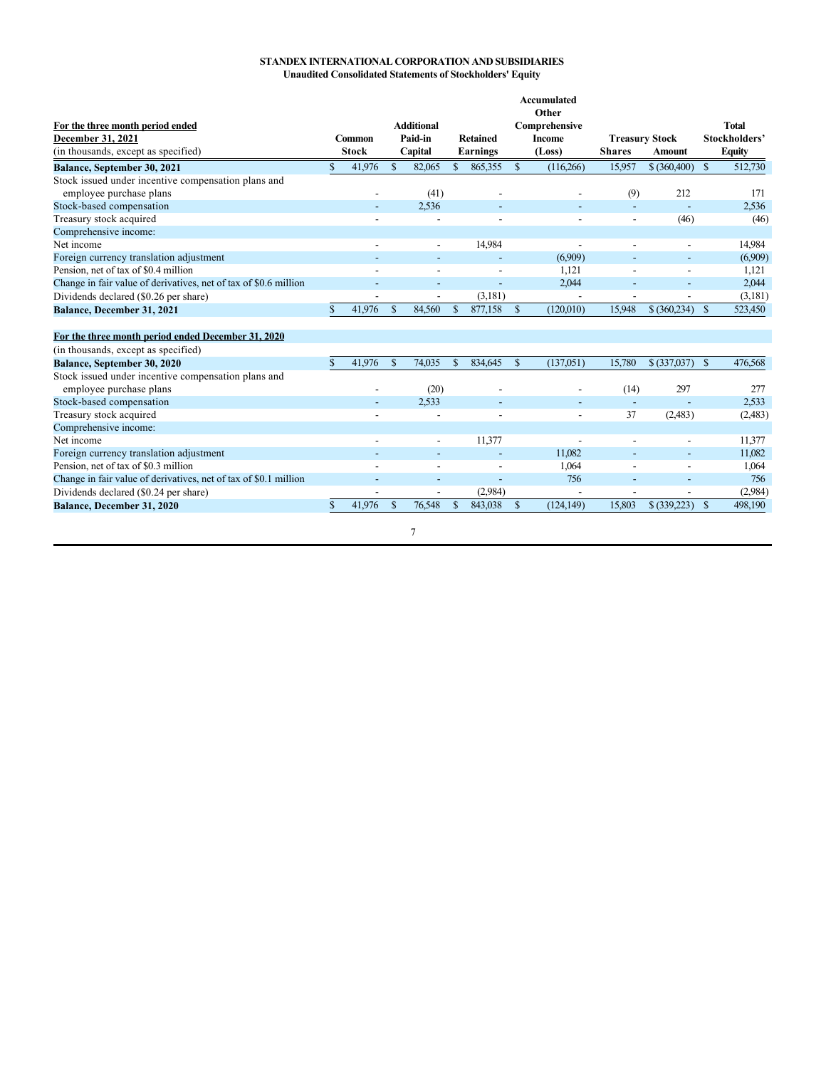## **STANDEX INTERNATIONAL CORPORATION AND SUBSIDIARIES Unaudited Consolidated Statements of Stockholders' Equity**

| For the three month period ended                                 |                          |             | <b>Additional</b>        |              |                          |               | Accumulated<br>Other<br>Comprehensive |                          |                          |               | <b>Total</b>  |
|------------------------------------------------------------------|--------------------------|-------------|--------------------------|--------------|--------------------------|---------------|---------------------------------------|--------------------------|--------------------------|---------------|---------------|
| December 31, 2021                                                | Common                   |             | Paid-in                  |              | <b>Retained</b>          |               | <b>Income</b>                         | <b>Treasury Stock</b>    |                          | Stockholders' |               |
| (in thousands, except as specified)                              | <b>Stock</b>             |             | Capital                  |              | Earnings                 |               | (Loss)                                | <b>Shares</b>            | Amount                   |               | <b>Equity</b> |
| Balance, September 30, 2021                                      | \$<br>41.976             | \$          | 82,065                   | S.           | 865,355                  | <sup>S</sup>  | (116,266)                             | 15,957                   | \$ (360, 400)            | \$            | 512,730       |
| Stock issued under incentive compensation plans and              |                          |             |                          |              |                          |               |                                       |                          |                          |               |               |
| employee purchase plans                                          |                          |             | (41)                     |              |                          |               |                                       | (9)                      | 212                      |               | 171           |
| Stock-based compensation                                         | $\overline{\phantom{a}}$ |             | 2,536                    |              |                          |               |                                       | $\blacksquare$           | $\overline{\phantom{a}}$ |               | 2,536         |
| Treasury stock acquired                                          |                          |             |                          |              |                          |               |                                       | $\overline{a}$           | (46)                     |               | (46)          |
| Comprehensive income:                                            |                          |             |                          |              |                          |               |                                       |                          |                          |               |               |
| Net income                                                       |                          |             |                          |              | 14,984                   |               |                                       |                          |                          |               | 14,984        |
| Foreign currency translation adjustment                          |                          |             |                          |              |                          |               | (6,909)                               |                          |                          |               | (6,909)       |
| Pension, net of tax of \$0.4 million                             |                          |             |                          |              |                          |               | 1.121                                 |                          |                          |               | 1,121         |
| Change in fair value of derivatives, net of tax of \$0.6 million |                          |             |                          |              | $\blacksquare$           |               | 2.044                                 |                          |                          |               | 2,044         |
| Dividends declared (\$0.26 per share)                            |                          |             |                          |              | (3,181)                  |               |                                       | $\overline{a}$           |                          |               | (3,181)       |
| Balance, December 31, 2021                                       | \$<br>41.976             | $\mathbf S$ | 84,560                   | $\mathbf S$  | 877,158                  | <sup>\$</sup> | (120,010)                             | 15,948                   | \$ (360,234)             | <sup>\$</sup> | 523,450       |
| For the three month period ended December 31, 2020               |                          |             |                          |              |                          |               |                                       |                          |                          |               |               |
| (in thousands, except as specified)                              |                          |             |                          |              |                          |               |                                       |                          |                          |               |               |
| Balance, September 30, 2020                                      | 41,976                   | \$          | 74,035                   | $\mathbf{s}$ | 834,645                  | <sup>\$</sup> | (137,051)                             | 15,780                   | \$ (337,037)             | $\mathbf{s}$  | 476,568       |
| Stock issued under incentive compensation plans and              |                          |             |                          |              |                          |               |                                       |                          |                          |               |               |
| employee purchase plans                                          |                          |             | (20)                     |              |                          |               |                                       | (14)                     | 297                      |               | 277           |
| Stock-based compensation                                         | $\blacksquare$           |             | 2.533                    |              |                          |               |                                       | $\overline{\phantom{a}}$ | $\overline{a}$           |               | 2.533         |
| Treasury stock acquired                                          |                          |             |                          |              |                          |               |                                       | 37                       | (2,483)                  |               | (2,483)       |
| Comprehensive income:                                            |                          |             |                          |              |                          |               |                                       |                          |                          |               |               |
| Net income                                                       |                          |             |                          |              | 11,377                   |               |                                       |                          |                          |               | 11,377        |
| Foreign currency translation adjustment                          |                          |             |                          |              | ÷                        |               | 11.082                                |                          |                          |               | 11.082        |
| Pension, net of tax of \$0.3 million                             |                          |             |                          |              | $\overline{\phantom{a}}$ |               | 1.064                                 |                          |                          |               | 1,064         |
| Change in fair value of derivatives, net of tax of \$0.1 million | $\overline{\phantom{a}}$ |             | $\overline{\phantom{a}}$ |              | $\blacksquare$           |               | 756                                   | $\overline{\phantom{a}}$ | ٠                        |               | 756           |
| Dividends declared (\$0.24 per share)                            |                          |             | L,                       |              | (2,984)                  |               |                                       | L,                       | $\overline{a}$           |               | (2,984)       |
| Balance, December 31, 2020                                       | \$<br>41,976             | \$          | 76,548                   |              | 843,038                  | S             | (124, 149)                            | 15,803                   | \$ (339,223)             | $\mathbb{S}$  | 498,190       |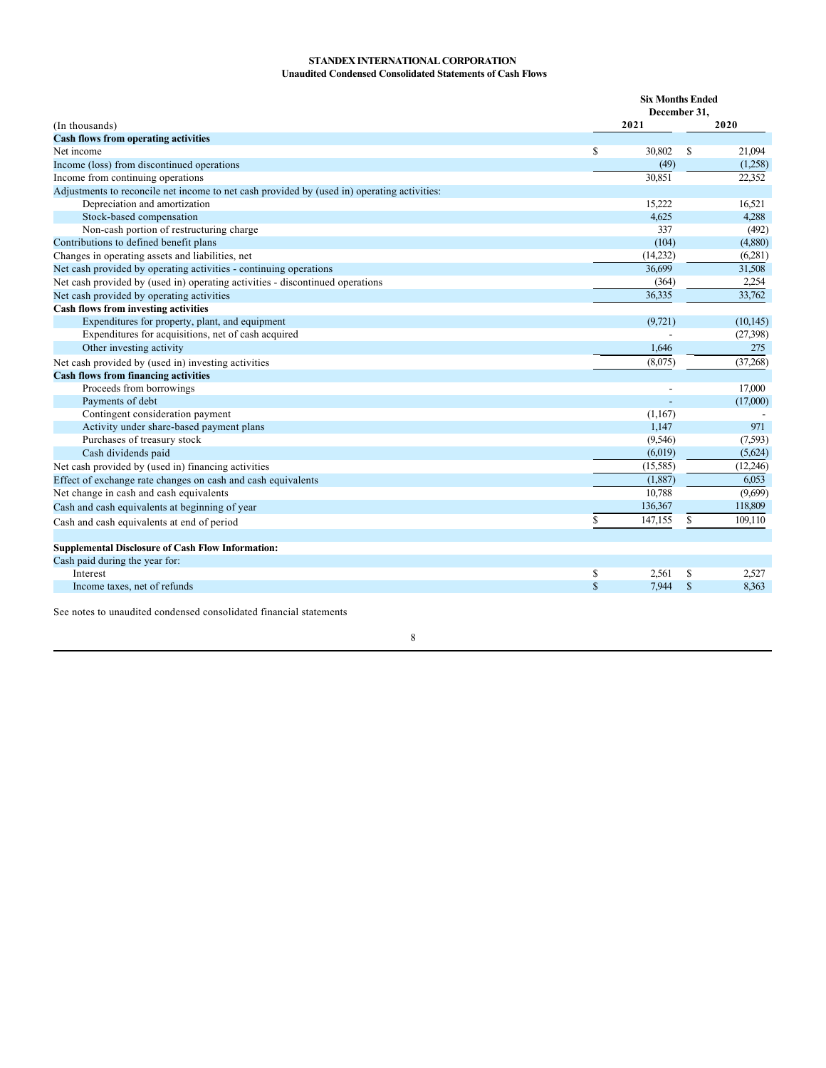#### **STANDEX INTERNATIONAL CORPORATION Unaudited Condensed Consolidated Statements of Cash Flows**

|                                                                                             |          | <b>Six Months Ended</b><br>December 31. |                     |                |  |  |  |  |
|---------------------------------------------------------------------------------------------|----------|-----------------------------------------|---------------------|----------------|--|--|--|--|
| (In thousands)                                                                              |          | 2021                                    |                     | 2020           |  |  |  |  |
| <b>Cash flows from operating activities</b>                                                 |          |                                         |                     |                |  |  |  |  |
| Net income                                                                                  | S        | 30,802                                  | <sup>\$</sup>       | 21,094         |  |  |  |  |
| Income (loss) from discontinued operations                                                  |          | (49)                                    |                     | (1,258)        |  |  |  |  |
| Income from continuing operations                                                           |          | 30.851                                  |                     | 22,352         |  |  |  |  |
| Adjustments to reconcile net income to net cash provided by (used in) operating activities: |          |                                         |                     |                |  |  |  |  |
| Depreciation and amortization                                                               |          | 15,222                                  |                     | 16,521         |  |  |  |  |
| Stock-based compensation                                                                    |          | 4,625                                   |                     | 4,288          |  |  |  |  |
| Non-cash portion of restructuring charge                                                    |          | 337                                     |                     | (492)          |  |  |  |  |
| Contributions to defined benefit plans                                                      |          | (104)                                   |                     | (4,880)        |  |  |  |  |
| Changes in operating assets and liabilities, net                                            |          | (14,232)                                |                     | (6,281)        |  |  |  |  |
| Net cash provided by operating activities - continuing operations                           |          | 36,699                                  |                     | 31,508         |  |  |  |  |
| Net cash provided by (used in) operating activities - discontinued operations               |          | (364)                                   |                     | 2,254          |  |  |  |  |
| Net cash provided by operating activities                                                   |          | 36,335                                  |                     | 33,762         |  |  |  |  |
| <b>Cash flows from investing activities</b>                                                 |          |                                         |                     |                |  |  |  |  |
| Expenditures for property, plant, and equipment                                             |          | (9,721)                                 |                     | (10, 145)      |  |  |  |  |
| Expenditures for acquisitions, net of cash acquired                                         |          |                                         |                     | (27, 398)      |  |  |  |  |
| Other investing activity                                                                    |          | 1,646                                   |                     | 275            |  |  |  |  |
| Net cash provided by (used in) investing activities                                         |          | (8,075)                                 |                     | (37,268)       |  |  |  |  |
| <b>Cash flows from financing activities</b>                                                 |          |                                         |                     |                |  |  |  |  |
| Proceeds from borrowings                                                                    |          |                                         |                     | 17,000         |  |  |  |  |
| Payments of debt                                                                            |          |                                         |                     | (17,000)       |  |  |  |  |
| Contingent consideration payment                                                            |          | (1,167)                                 |                     |                |  |  |  |  |
| Activity under share-based payment plans                                                    |          | 1,147                                   |                     | 971            |  |  |  |  |
| Purchases of treasury stock                                                                 |          | (9,546)                                 |                     | (7, 593)       |  |  |  |  |
| Cash dividends paid                                                                         |          | (6,019)                                 |                     | (5,624)        |  |  |  |  |
| Net cash provided by (used in) financing activities                                         |          | (15,585)                                |                     | (12,246)       |  |  |  |  |
| Effect of exchange rate changes on cash and cash equivalents                                |          | (1,887)                                 |                     | 6.053          |  |  |  |  |
| Net change in cash and cash equivalents                                                     |          | 10,788                                  |                     | (9,699)        |  |  |  |  |
| Cash and cash equivalents at beginning of year                                              |          | 136,367                                 |                     | 118,809        |  |  |  |  |
| Cash and cash equivalents at end of period                                                  | \$       | 147,155                                 | \$                  | 109,110        |  |  |  |  |
|                                                                                             |          |                                         |                     |                |  |  |  |  |
| <b>Supplemental Disclosure of Cash Flow Information:</b>                                    |          |                                         |                     |                |  |  |  |  |
| Cash paid during the year for:<br>Interest                                                  |          |                                         |                     |                |  |  |  |  |
|                                                                                             | \$<br>\$ | 2,561<br>7.944                          | \$<br><sup>\$</sup> | 2,527<br>8,363 |  |  |  |  |
| Income taxes, net of refunds                                                                |          |                                         |                     |                |  |  |  |  |

See notes to unaudited condensed consolidated financial statements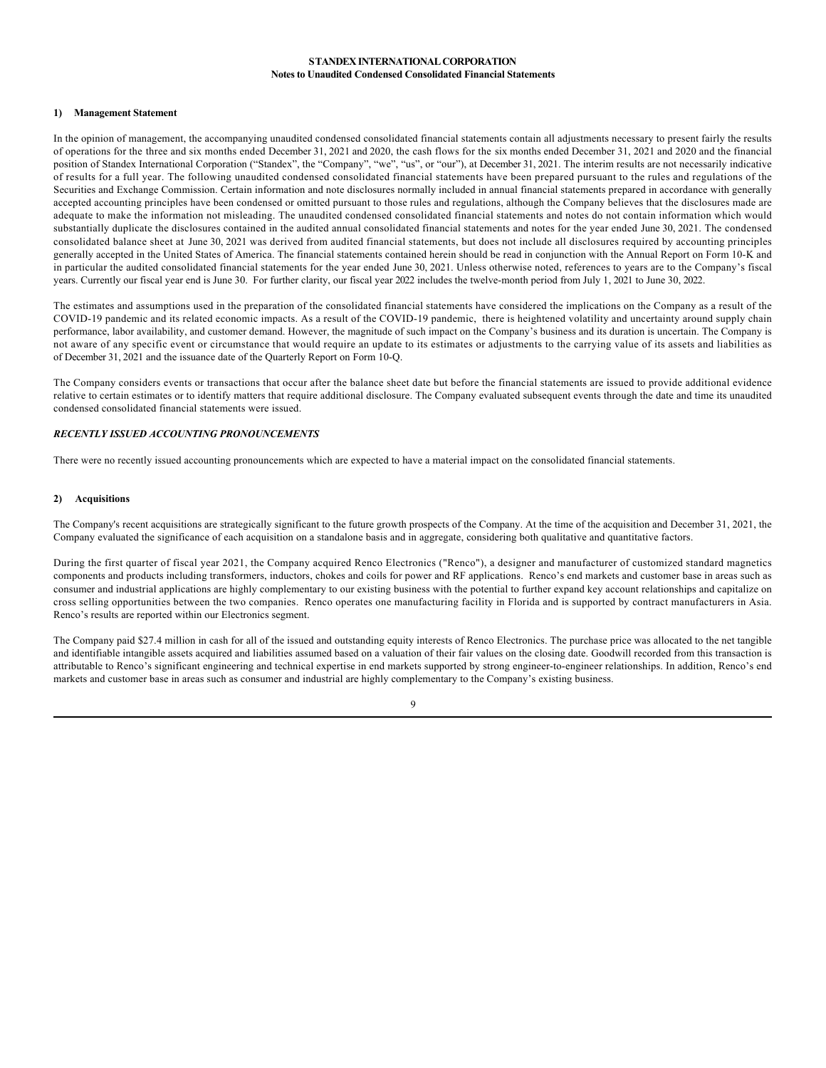## **STANDEX INTERNATIONAL CORPORATION Notes to Unaudited Condensed Consolidated Financial Statements**

#### **1) Management Statement**

In the opinion of management, the accompanying unaudited condensed consolidated financial statements contain all adjustments necessary to present fairly the results of operations for the three and six months ended December 31, 2021 and 2020, the cash flows for the six months ended December 31, 2021 and 2020 and the financial position of Standex International Corporation ("Standex", the "Company", "we", "us", or "our"), at December 31, 2021. The interim results are not necessarily indicative of results for a full year. The following unaudited condensed consolidated financial statements have been prepared pursuant to the rules and regulations of the Securities and Exchange Commission. Certain information and note disclosures normally included in annual financial statements prepared in accordance with generally accepted accounting principles have been condensed or omitted pursuant to those rules and regulations, although the Company believes that the disclosures made are adequate to make the information not misleading. The unaudited condensed consolidated financial statements and notes do not contain information which would substantially duplicate the disclosures contained in the audited annual consolidated financial statements and notes for the year ended June 30, 2021. The condensed consolidated balance sheet at June 30, 2021 was derived from audited financial statements, but does not include all disclosures required by accounting principles generally accepted in the United States of America. The financial statements contained herein should be read in conjunction with the Annual Report on Form 10-K and in particular the audited consolidated financial statements for the year ended June 30, 2021. Unless otherwise noted, references to years are to the Company's fiscal years. Currently our fiscal year end is June 30. For further clarity, our fiscal year 2022 includes the twelve-month period from July 1, 2021 to June 30, 2022.

The estimates and assumptions used in the preparation of the consolidated financial statements have considered the implications on the Company as a result of the COVID-19 pandemic and its related economic impacts. As a result of the COVID-19 pandemic, there is heightened volatility and uncertainty around supply chain performance, labor availability, and customer demand. However, the magnitude of such impact on the Company's business and its duration is uncertain. The Company is not aware of any specific event or circumstance that would require an update to its estimates or adjustments to the carrying value of its assets and liabilities as of December 31, 2021 and the issuance date of the Quarterly Report on Form 10-Q.

The Company considers events or transactions that occur after the balance sheet date but before the financial statements are issued to provide additional evidence relative to certain estimates or to identify matters that require additional disclosure. The Company evaluated subsequent events through the date and time its unaudited condensed consolidated financial statements were issued.

## *RECENTLY ISSUED ACCOUNTING PRONOUNCEMENTS*

There were no recently issued accounting pronouncements which are expected to have a material impact on the consolidated financial statements.

#### **2) Acquisitions**

The Company's recent acquisitions are strategically significant to the future growth prospects of the Company. At the time of the acquisition and December 31, 2021, the Company evaluated the significance of each acquisition on a standalone basis and in aggregate, considering both qualitative and quantitative factors.

During the first quarter of fiscal year 2021, the Company acquired Renco Electronics ("Renco"), a designer and manufacturer of customized standard magnetics components and products including transformers, inductors, chokes and coils for power and RF applications. Renco's end markets and customer base in areas such as consumer and industrial applications are highly complementary to our existing business with the potential to further expand key account relationships and capitalize on cross selling opportunities between the two companies. Renco operates one manufacturing facility in Florida and is supported by contract manufacturers in Asia. Renco's results are reported within our Electronics segment.

The Company paid \$27.4 million in cash for all of the issued and outstanding equity interests of Renco Electronics. The purchase price was allocated to the net tangible and identifiable intangible assets acquired and liabilities assumed based on a valuation of their fair values on the closing date. Goodwill recorded from this transaction is attributable to Renco's significant engineering and technical expertise in end markets supported by strong engineer-to-engineer relationships. In addition, Renco's end markets and customer base in areas such as consumer and industrial are highly complementary to the Company's existing business.

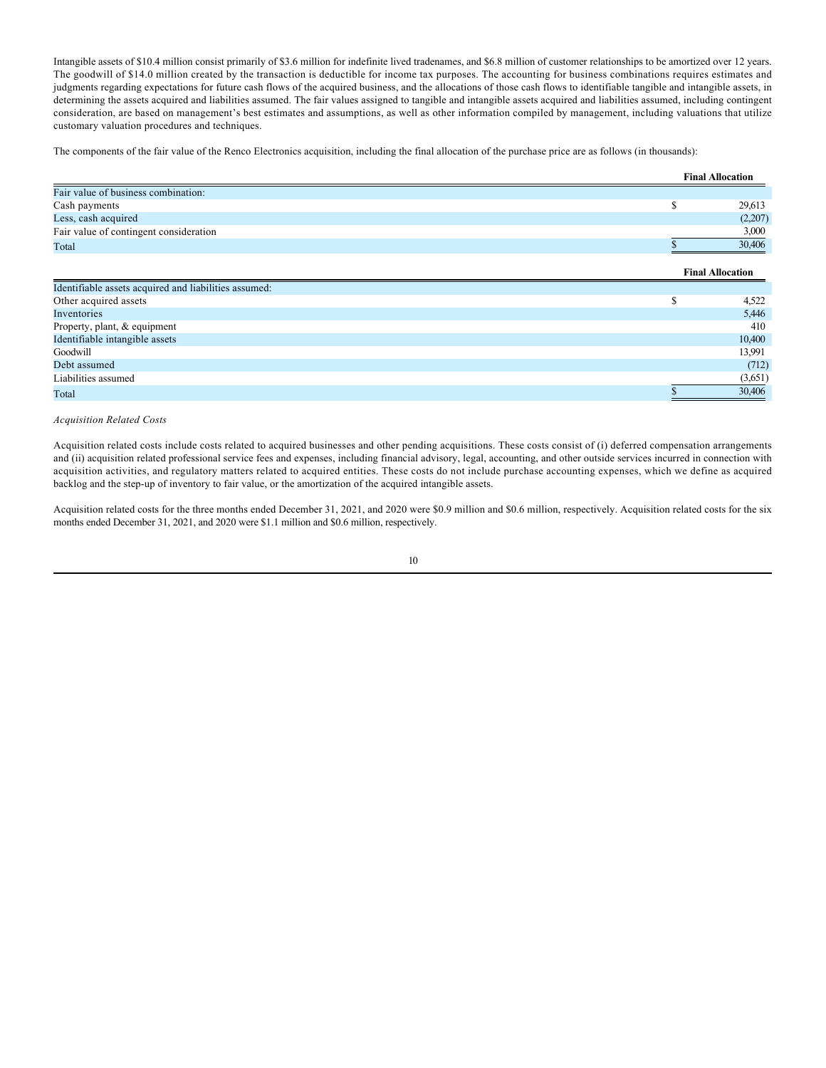Intangible assets of \$10.4 million consist primarily of \$3.6 million for indefinite lived tradenames, and \$6.8 million of customer relationships to be amortized over 12 years. The goodwill of \$14.0 million created by the transaction is deductible for income tax purposes. The accounting for business combinations requires estimates and judgments regarding expectations for future cash flows of the acquired business, and the allocations of those cash flows to identifiable tangible and intangible assets, in determining the assets acquired and liabilities assumed. The fair values assigned to tangible and intangible assets acquired and liabilities assumed, including contingent consideration, are based on management's best estimates and assumptions, as well as other information compiled by management, including valuations that utilize customary valuation procedures and techniques.

The components of the fair value of the Renco Electronics acquisition, including the final allocation of the purchase price are as follows (in thousands):

|                                                       |    | <b>Final Allocation</b> |
|-------------------------------------------------------|----|-------------------------|
| Fair value of business combination:                   |    |                         |
| Cash payments                                         | \$ | 29,613                  |
| Less, cash acquired                                   |    | (2,207)                 |
| Fair value of contingent consideration                |    | 3,000                   |
| Total                                                 |    | 30,406                  |
|                                                       |    | <b>Final Allocation</b> |
| Identifiable assets acquired and liabilities assumed: |    |                         |
| Other acquired assets                                 | \$ | 4,522                   |
| Inventories                                           |    | 5,446                   |
| Property, plant, & equipment                          |    | 410                     |
| Identifiable intangible assets                        |    | 10,400                  |
| Goodwill                                              |    | 13,991                  |
| Debt assumed                                          |    | (712)                   |
| Liabilities assumed                                   |    | (3,651)                 |
| Total                                                 |    | 30,406                  |

#### *Acquisition Related Costs*

Acquisition related costs include costs related to acquired businesses and other pending acquisitions. These costs consist of (i) deferred compensation arrangements and (ii) acquisition related professional service fees and expenses, including financial advisory, legal, accounting, and other outside services incurred in connection with acquisition activities, and regulatory matters related to acquired entities. These costs do not include purchase accounting expenses, which we define as acquired backlog and the step-up of inventory to fair value, or the amortization of the acquired intangible assets.

Acquisition related costs for the three months ended December 31, 2021, and 2020 were \$0.9 million and \$0.6 million, respectively. Acquisition related costs for the six months ended December 31, 2021, and 2020 were \$1.1 million and \$0.6 million, respectively.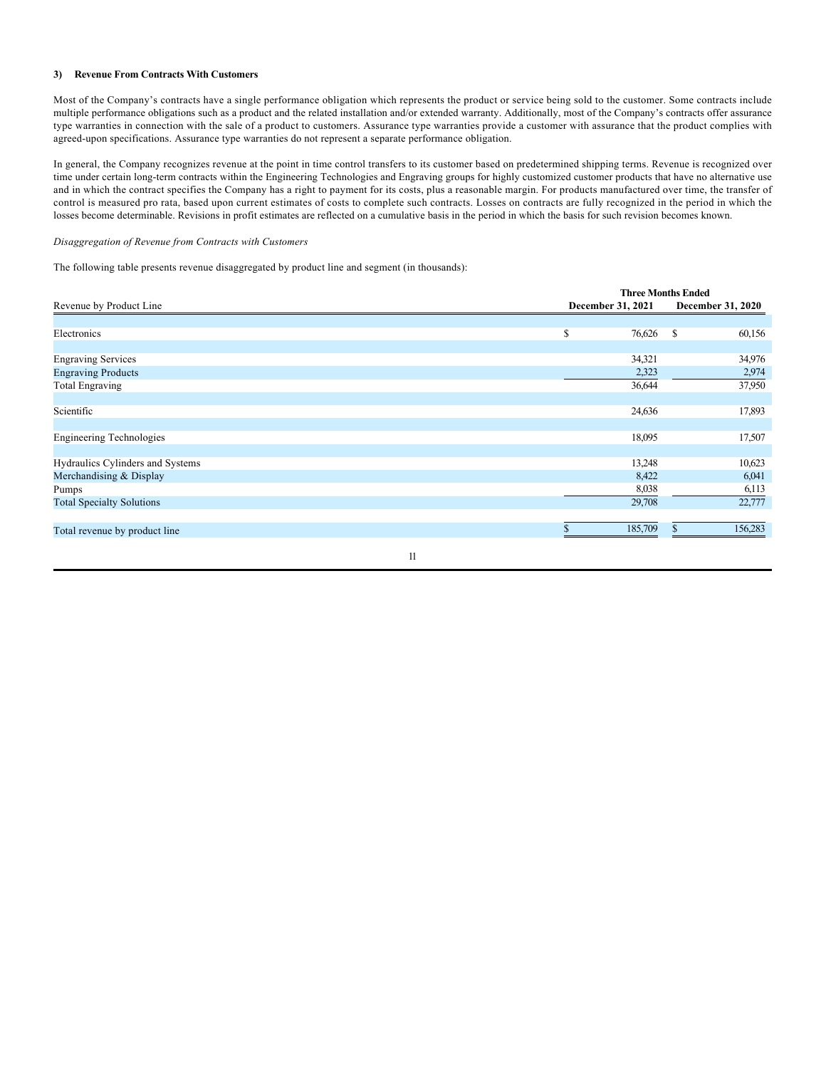## **3) Revenue From Contracts With Customers**

Most of the Company's contracts have a single performance obligation which represents the product or service being sold to the customer. Some contracts include multiple performance obligations such as a product and the related installation and/or extended warranty. Additionally, most of the Company's contracts offer assurance type warranties in connection with the sale of a product to customers. Assurance type warranties provide a customer with assurance that the product complies with agreed-upon specifications. Assurance type warranties do not represent a separate performance obligation.

In general, the Company recognizes revenue at the point in time control transfers to its customer based on predetermined shipping terms. Revenue is recognized over time under certain long-term contracts within the Engineering Technologies and Engraving groups for highly customized customer products that have no alternative use and in which the contract specifies the Company has a right to payment for its costs, plus a reasonable margin. For products manufactured over time, the transfer of control is measured pro rata, based upon current estimates of costs to complete such contracts. Losses on contracts are fully recognized in the period in which the losses become determinable. Revisions in profit estimates are reflected on a cumulative basis in the period in which the basis for such revision becomes known.

#### *Disaggregation of Revenue from Contracts with Customers*

The following table presents revenue disaggregated by product line and segment (in thousands):

|                                  |    | <b>Three Months Ended</b> |                          |  |  |  |  |  |  |  |
|----------------------------------|----|---------------------------|--------------------------|--|--|--|--|--|--|--|
| Revenue by Product Line          |    | December 31, 2021         | <b>December 31, 2020</b> |  |  |  |  |  |  |  |
|                                  |    |                           |                          |  |  |  |  |  |  |  |
| Electronics                      | \$ | 76,626                    | <sup>\$</sup><br>60,156  |  |  |  |  |  |  |  |
|                                  |    |                           |                          |  |  |  |  |  |  |  |
| <b>Engraving Services</b>        |    | 34,321                    | 34,976                   |  |  |  |  |  |  |  |
| <b>Engraving Products</b>        |    | 2,323                     | 2,974                    |  |  |  |  |  |  |  |
| <b>Total Engraving</b>           |    | 36,644                    | 37,950                   |  |  |  |  |  |  |  |
|                                  |    |                           |                          |  |  |  |  |  |  |  |
| Scientific                       |    | 24,636                    | 17,893                   |  |  |  |  |  |  |  |
|                                  |    |                           |                          |  |  |  |  |  |  |  |
| <b>Engineering Technologies</b>  |    | 18,095                    | 17,507                   |  |  |  |  |  |  |  |
|                                  |    |                           |                          |  |  |  |  |  |  |  |
| Hydraulics Cylinders and Systems |    | 13,248                    | 10,623                   |  |  |  |  |  |  |  |
| Merchandising & Display          |    | 8,422                     | 6,041                    |  |  |  |  |  |  |  |
| Pumps                            |    | 8,038                     | 6,113                    |  |  |  |  |  |  |  |
| <b>Total Specialty Solutions</b> |    | 29,708                    | 22,777                   |  |  |  |  |  |  |  |
|                                  |    |                           |                          |  |  |  |  |  |  |  |
| Total revenue by product line    |    | 185,709                   | 156,283                  |  |  |  |  |  |  |  |
|                                  |    |                           |                          |  |  |  |  |  |  |  |
|                                  | 11 |                           |                          |  |  |  |  |  |  |  |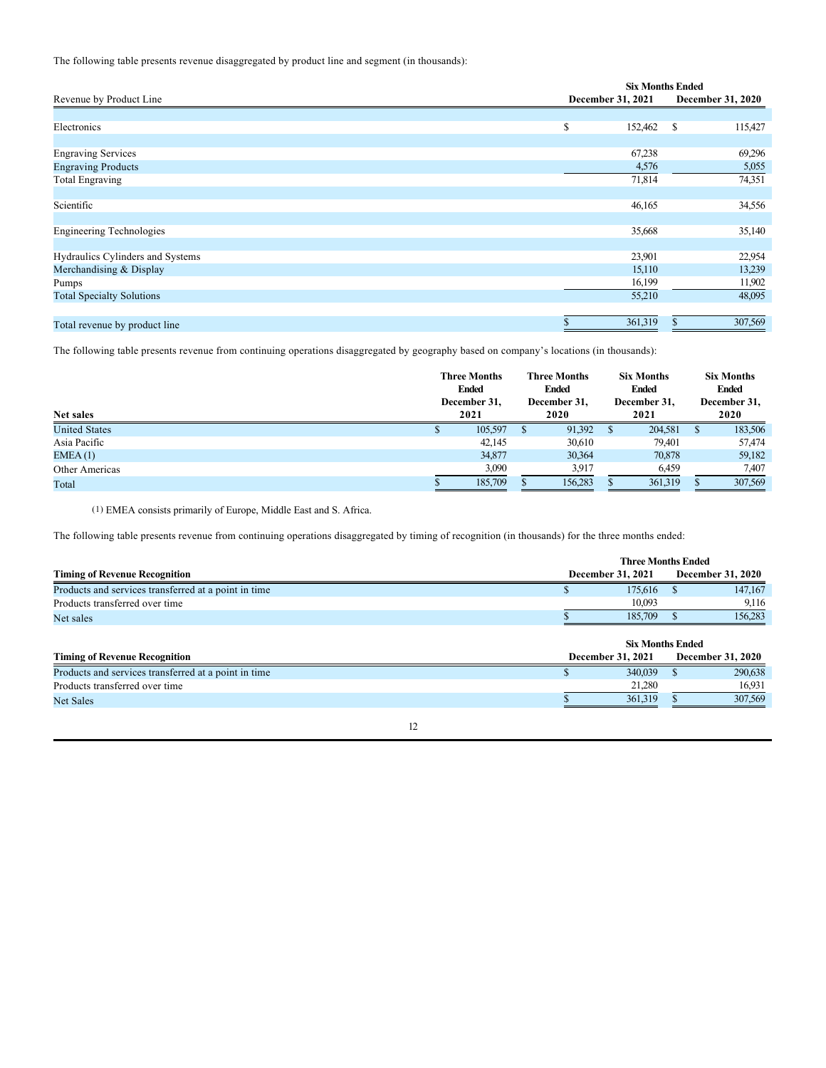The following table presents revenue disaggregated by product line and segment (in thousands):

|                                  | <b>Six Months Ended</b> |                          |  |  |  |  |  |  |
|----------------------------------|-------------------------|--------------------------|--|--|--|--|--|--|
| Revenue by Product Line          | December 31, 2021       | December 31, 2020        |  |  |  |  |  |  |
|                                  |                         |                          |  |  |  |  |  |  |
| Electronics                      | \$<br>152,462           | <sup>\$</sup><br>115,427 |  |  |  |  |  |  |
|                                  |                         |                          |  |  |  |  |  |  |
| <b>Engraving Services</b>        | 67,238                  | 69,296                   |  |  |  |  |  |  |
| <b>Engraving Products</b>        | 4,576                   | 5,055                    |  |  |  |  |  |  |
| <b>Total Engraving</b>           | 71,814                  | 74,351                   |  |  |  |  |  |  |
|                                  |                         |                          |  |  |  |  |  |  |
| Scientific                       | 46,165                  | 34,556                   |  |  |  |  |  |  |
|                                  |                         |                          |  |  |  |  |  |  |
| <b>Engineering Technologies</b>  | 35,668                  | 35,140                   |  |  |  |  |  |  |
|                                  |                         |                          |  |  |  |  |  |  |
| Hydraulics Cylinders and Systems | 23,901                  | 22,954                   |  |  |  |  |  |  |
| Merchandising & Display          | 15,110                  | 13,239                   |  |  |  |  |  |  |
| Pumps                            | 16,199                  | 11,902                   |  |  |  |  |  |  |
| <b>Total Specialty Solutions</b> | 55,210                  | 48,095                   |  |  |  |  |  |  |
|                                  |                         |                          |  |  |  |  |  |  |
| Total revenue by product line    | 361,319                 | 307,569                  |  |  |  |  |  |  |

The following table presents revenue from continuing operations disaggregated by geography based on company's locations (in thousands):

|                      | <b>Three Months</b><br><b>Ended</b> |   | <b>Three Months</b><br><b>Ended</b> |              | <b>Six Months</b><br><b>Ended</b> | <b>Six Months</b><br><b>Ended</b> |
|----------------------|-------------------------------------|---|-------------------------------------|--------------|-----------------------------------|-----------------------------------|
| Net sales            | December 31.<br>2021                |   | December 31,<br>2020                |              | December 31,<br>2021              | December 31,<br>2020              |
| <b>United States</b> | 105,597                             | S | 91,392                              | <sup>S</sup> | 204,581                           | \$<br>183,506                     |
| Asia Pacific         | 42.145                              |   | 30,610                              |              | 79.401                            | 57,474                            |
| EMEA(1)              | 34,877                              |   | 30,364                              |              | 70,878                            | 59,182                            |
| Other Americas       | 3,090                               |   | 3,917                               |              | 6,459                             | 7,407                             |
| Total                | 185,709                             |   | 156,283                             |              | 361,319                           | 307,569                           |

(1) EMEA consists primarily of Europe, Middle East and S. Africa.

The following table presents revenue from continuing operations disaggregated by timing of recognition (in thousands) for the three months ended:

|                                                      | <b>Three Months Ended</b> |   |                   |
|------------------------------------------------------|---------------------------|---|-------------------|
| <b>Timing of Revenue Recognition</b>                 | December 31, 2021         |   | December 31, 2020 |
| Products and services transferred at a point in time | 175,616                   |   | 147,167           |
| Products transferred over time                       | 10.093                    |   | 9,116             |
| Net sales                                            | 185,709                   |   | 156,283           |
|                                                      |                           |   |                   |
|                                                      | <b>Six Months Ended</b>   |   |                   |
| <b>Timing of Revenue Recognition</b>                 | <b>December 31, 2021</b>  |   | December 31, 2020 |
| Products and services transferred at a point in time | 340,039                   | Ж | 290,638           |
| Products transferred over time                       | 21,280                    |   | 16,931            |
| <b>Net Sales</b>                                     | 361,319                   |   | 307,569           |
|                                                      |                           |   |                   |
| 12                                                   |                           |   |                   |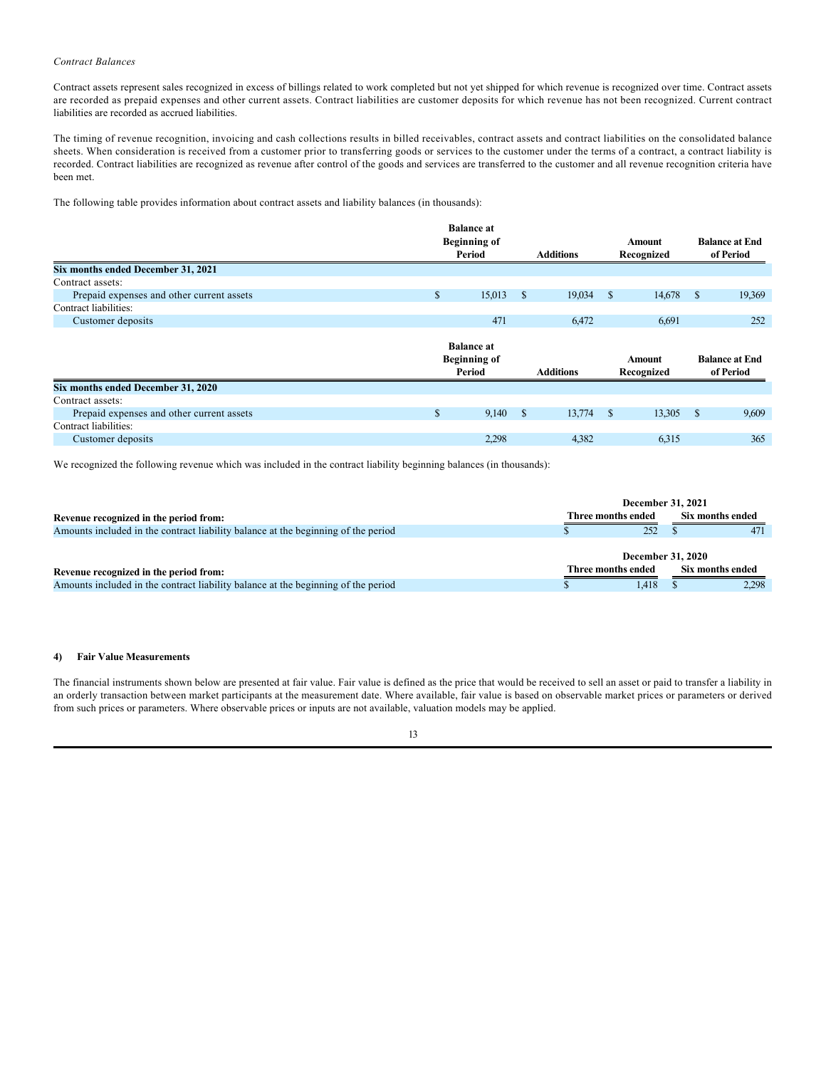## *Contract Balances*

Contract assets represent sales recognized in excess of billings related to work completed but not yet shipped for which revenue is recognized over time. Contract assets are recorded as prepaid expenses and other current assets. Contract liabilities are customer deposits for which revenue has not been recognized. Current contract liabilities are recorded as accrued liabilities.

The timing of revenue recognition, invoicing and cash collections results in billed receivables, contract assets and contract liabilities on the consolidated balance sheets. When consideration is received from a customer prior to transferring goods or services to the customer under the terms of a contract, a contract liability is recorded. Contract liabilities are recognized as revenue after control of the goods and services are transferred to the customer and all revenue recognition criteria have been met.

The following table provides information about contract assets and liability balances (in thousands):

|                                           | <b>Balance</b> at<br><b>Beginning of</b><br>Period |                       | <b>Additions</b> |            | Amount<br>Recognized |               | <b>Balance at End</b><br>of Period |
|-------------------------------------------|----------------------------------------------------|-----------------------|------------------|------------|----------------------|---------------|------------------------------------|
| Six months ended December 31, 2021        |                                                    |                       |                  |            |                      |               |                                    |
| Contract assets:                          |                                                    |                       |                  |            |                      |               |                                    |
| Prepaid expenses and other current assets | \$                                                 | 15,013<br>S           | 19,034           | - \$       | 14,678               | <sup>\$</sup> | 19,369                             |
| Contract liabilities:                     |                                                    |                       |                  |            |                      |               |                                    |
| Customer deposits                         |                                                    | 471                   | 6,472            |            | 6,691                |               | 252                                |
|                                           |                                                    |                       |                  |            |                      |               |                                    |
|                                           | <b>Balance at</b><br><b>Beginning of</b><br>Period |                       | <b>Additions</b> |            | Amount<br>Recognized |               | <b>Balance at End</b><br>of Period |
| Six months ended December 31, 2020        |                                                    |                       |                  |            |                      |               |                                    |
| Contract assets:                          |                                                    |                       |                  |            |                      |               |                                    |
| Prepaid expenses and other current assets | \$                                                 | 9,140<br><sup>S</sup> | 13,774           | $^{\circ}$ | 13,305               | <sup>\$</sup> | 9,609                              |
| Contract liabilities:                     |                                                    |                       |                  |            |                      |               |                                    |

We recognized the following revenue which was included in the contract liability beginning balances (in thousands):

|                                                                                   |                    | <b>December 31, 2021</b> |  |                  |  |
|-----------------------------------------------------------------------------------|--------------------|--------------------------|--|------------------|--|
| Revenue recognized in the period from:                                            | Three months ended |                          |  | Six months ended |  |
| Amounts included in the contract liability balance at the beginning of the period |                    | 252                      |  | 471              |  |
|                                                                                   |                    | <b>December 31, 2020</b> |  |                  |  |
| Revenue recognized in the period from:                                            | Three months ended |                          |  | Six months ended |  |
| Amounts included in the contract liability balance at the beginning of the period |                    | 1.418                    |  | 2.298            |  |

#### **4) Fair Value Measurements**

The financial instruments shown below are presented at fair value. Fair value is defined as the price that would be received to sell an asset or paid to transfer a liability in an orderly transaction between market participants at the measurement date. Where available, fair value is based on observable market prices or parameters or derived from such prices or parameters. Where observable prices or inputs are not available, valuation models may be applied.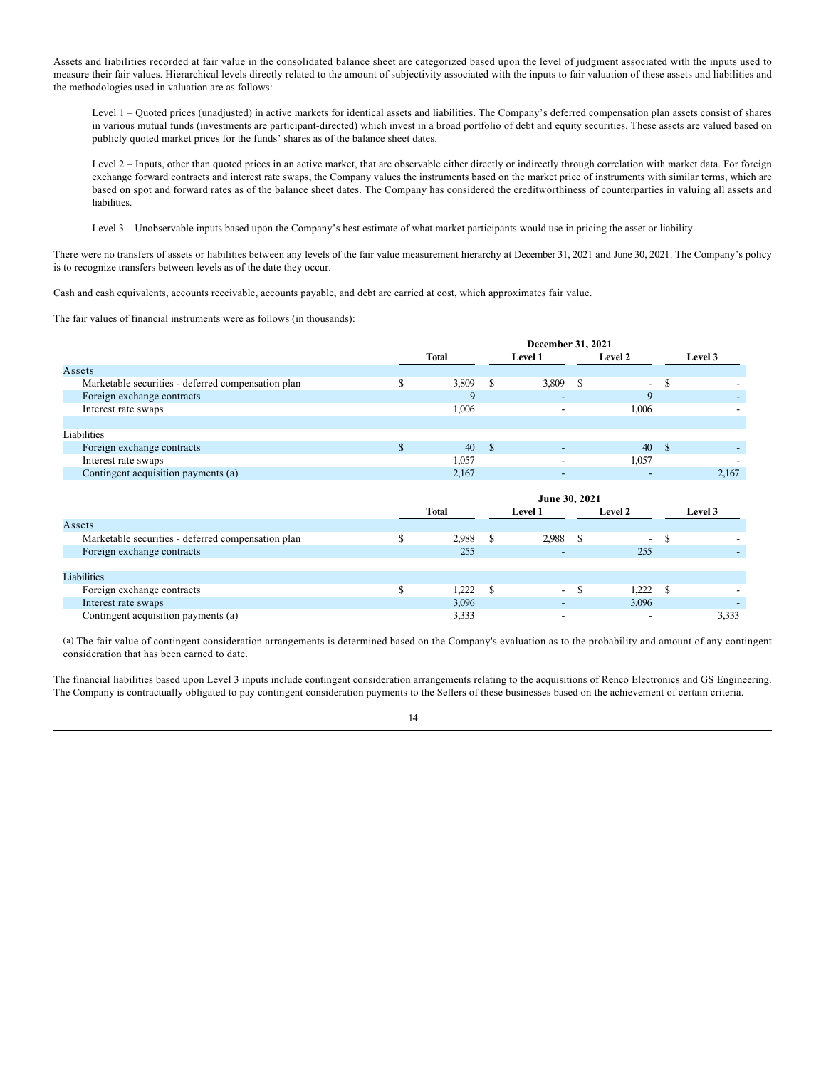Assets and liabilities recorded at fair value in the consolidated balance sheet are categorized based upon the level of judgment associated with the inputs used to measure their fair values. Hierarchical levels directly related to the amount of subjectivity associated with the inputs to fair valuation of these assets and liabilities and the methodologies used in valuation are as follows:

Level 1 – Quoted prices (unadjusted) in active markets for identical assets and liabilities. The Company's deferred compensation plan assets consist of shares in various mutual funds (investments are participant-directed) which invest in a broad portfolio of debt and equity securities. These assets are valued based on publicly quoted market prices for the funds' shares as of the balance sheet dates.

Level 2 – Inputs, other than quoted prices in an active market, that are observable either directly or indirectly through correlation with market data. For foreign exchange forward contracts and interest rate swaps, the Company values the instruments based on the market price of instruments with similar terms, which are based on spot and forward rates as of the balance sheet dates. The Company has considered the creditworthiness of counterparties in valuing all assets and liabilities.

Level 3 – Unobservable inputs based upon the Company's best estimate of what market participants would use in pricing the asset or liability.

There were no transfers of assets or liabilities between any levels of the fair value measurement hierarchy at December 31, 2021 and June 30, 2021. The Company's policy is to recognize transfers between levels as of the date they occur.

Cash and cash equivalents, accounts receivable, accounts payable, and debt are carried at cost, which approximates fair value.

The fair values of financial instruments were as follows (in thousands):

| December 31, 2021 |              |  |         |    |                |  |                |
|-------------------|--------------|--|---------|----|----------------|--|----------------|
|                   | <b>Total</b> |  | Level 1 |    | Level 2        |  | <b>Level 3</b> |
|                   |              |  |         |    |                |  |                |
|                   | 3,809        |  | 3,809   | -S | $\overline{a}$ |  |                |
|                   | 9            |  |         |    | 9              |  |                |
|                   | 1,006        |  |         |    | 1,006          |  |                |
|                   |              |  |         |    |                |  |                |
|                   |              |  |         |    |                |  |                |
|                   | 40           |  |         |    | 40             |  |                |
|                   | 1,057        |  |         |    | 1,057          |  |                |
|                   | 2,167        |  |         |    |                |  | 2,167          |
|                   |              |  | - \$    |    |                |  | - \$           |

|                                                    | June 30, 2021 |       |  |                |  |                          |  |         |  |
|----------------------------------------------------|---------------|-------|--|----------------|--|--------------------------|--|---------|--|
|                                                    |               | Total |  | <b>Level 1</b> |  | <b>Level 2</b>           |  | Level 3 |  |
| Assets                                             |               |       |  |                |  |                          |  |         |  |
| Marketable securities - deferred compensation plan |               | 2,988 |  | 2,988          |  | $\overline{\phantom{a}}$ |  |         |  |
| Foreign exchange contracts                         |               | 255   |  |                |  | 255                      |  |         |  |
|                                                    |               |       |  |                |  |                          |  |         |  |
| Liabilities                                        |               |       |  |                |  |                          |  |         |  |
| Foreign exchange contracts                         |               | 1.222 |  | $\sim$         |  | 1.222                    |  |         |  |
| Interest rate swaps                                |               | 3,096 |  |                |  | 3,096                    |  |         |  |
| Contingent acquisition payments (a)                |               | 3,333 |  |                |  |                          |  | 3,333   |  |

(a) The fair value of contingent consideration arrangements is determined based on the Company's evaluation as to the probability and amount of any contingent consideration that has been earned to date.

The financial liabilities based upon Level 3 inputs include contingent consideration arrangements relating to the acquisitions of Renco Electronics and GS Engineering. The Company is contractually obligated to pay contingent consideration payments to the Sellers of these businesses based on the achievement of certain criteria.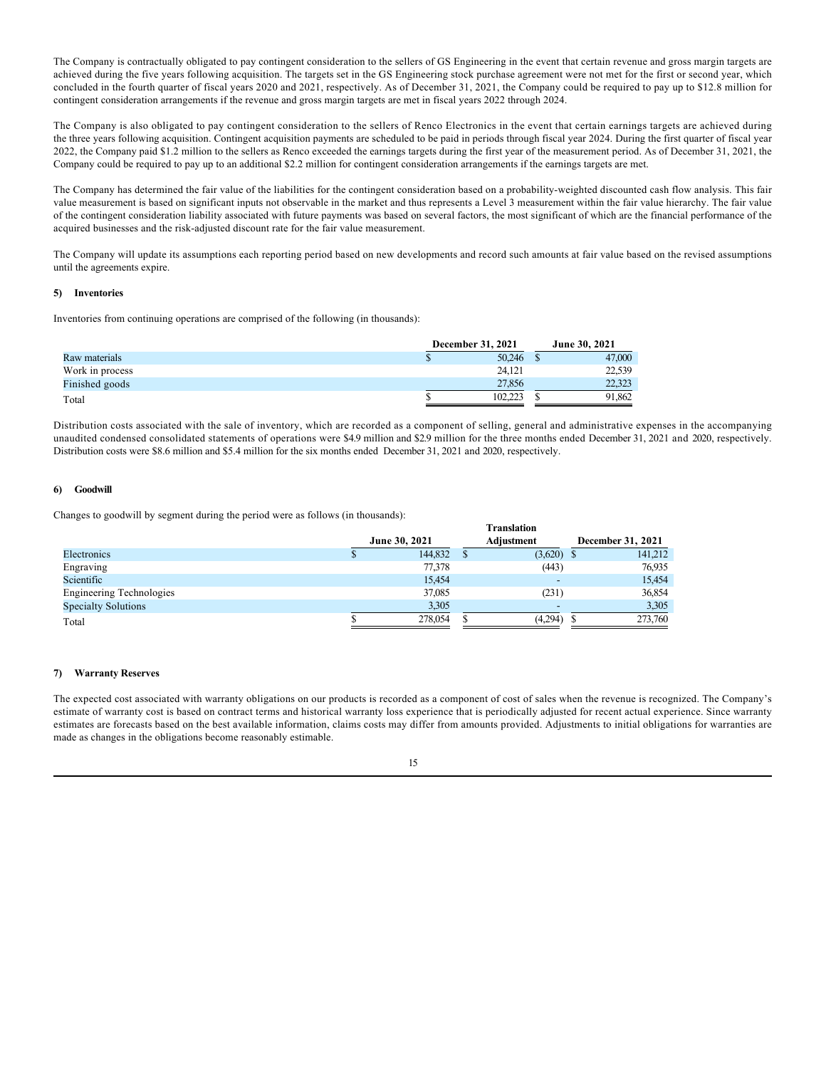The Company is contractually obligated to pay contingent consideration to the sellers of GS Engineering in the event that certain revenue and gross margin targets are achieved during the five years following acquisition. The targets set in the GS Engineering stock purchase agreement were not met for the first or second year, which concluded in the fourth quarter of fiscal years 2020 and 2021, respectively. As of December 31, 2021, the Company could be required to pay up to \$12.8 million for contingent consideration arrangements if the revenue and gross margin targets are met in fiscal years 2022 through 2024.

The Company is also obligated to pay contingent consideration to the sellers of Renco Electronics in the event that certain earnings targets are achieved during the three years following acquisition. Contingent acquisition payments are scheduled to be paid in periods through fiscal year 2024. During the first quarter of fiscal year 2022, the Company paid \$1.2 million to the sellers as Renco exceeded the earnings targets during the first year of the measurement period. As of December 31, 2021, the Company could be required to pay up to an additional \$2.2 million for contingent consideration arrangements if the earnings targets are met.

The Company has determined the fair value of the liabilities for the contingent consideration based on a probability-weighted discounted cash flow analysis. This fair value measurement is based on significant inputs not observable in the market and thus represents a Level 3 measurement within the fair value hierarchy. The fair value of the contingent consideration liability associated with future payments was based on several factors, the most significant of which are the financial performance of the acquired businesses and the risk-adjusted discount rate for the fair value measurement.

The Company will update its assumptions each reporting period based on new developments and record such amounts at fair value based on the revised assumptions until the agreements expire.

#### **5) Inventories**

Inventories from continuing operations are comprised of the following (in thousands):

|                 | December 31, 2021 |         | June 30, 2021 |
|-----------------|-------------------|---------|---------------|
| Raw materials   |                   | 50.246  | 47,000        |
| Work in process |                   | 24.121  | 22,539        |
| Finished goods  |                   | 27,856  | 22,323        |
| Total           |                   | 102.223 | 91.862        |

Distribution costs associated with the sale of inventory, which are recorded as a component of selling, general and administrative expenses in the accompanying unaudited condensed consolidated statements of operations were \$4.9 million and \$2.9 million for the three months ended December 31, 2021 and 2020, respectively. Distribution costs were \$8.6 million and \$5.4 million for the six months ended December 31, 2021 and 2020, respectively.

**Translation**

#### **6) Goodwill**

Changes to goodwill by segment during the period were as follows (in thousands):

|         |               | Adjustment |             | December 31, 2021 |
|---------|---------------|------------|-------------|-------------------|
| 144,832 |               |            |             | 141,212           |
| 77,378  |               | (443)      |             | 76,935            |
| 15,454  |               |            |             | 15,454            |
| 37,085  |               | (231)      |             | 36,854            |
| 3,305   |               |            |             | 3,305             |
| 278,054 |               | (4,294)    |             | 273,760           |
|         | June 30, 2021 |            | 1 ransiauon | $(3,620)$ \$      |

## **7) Warranty Reserves**

The expected cost associated with warranty obligations on our products is recorded as a component of cost of sales when the revenue is recognized. The Company's estimate of warranty cost is based on contract terms and historical warranty loss experience that is periodically adjusted for recent actual experience. Since warranty estimates are forecasts based on the best available information, claims costs may differ from amounts provided. Adjustments to initial obligations for warranties are made as changes in the obligations become reasonably estimable.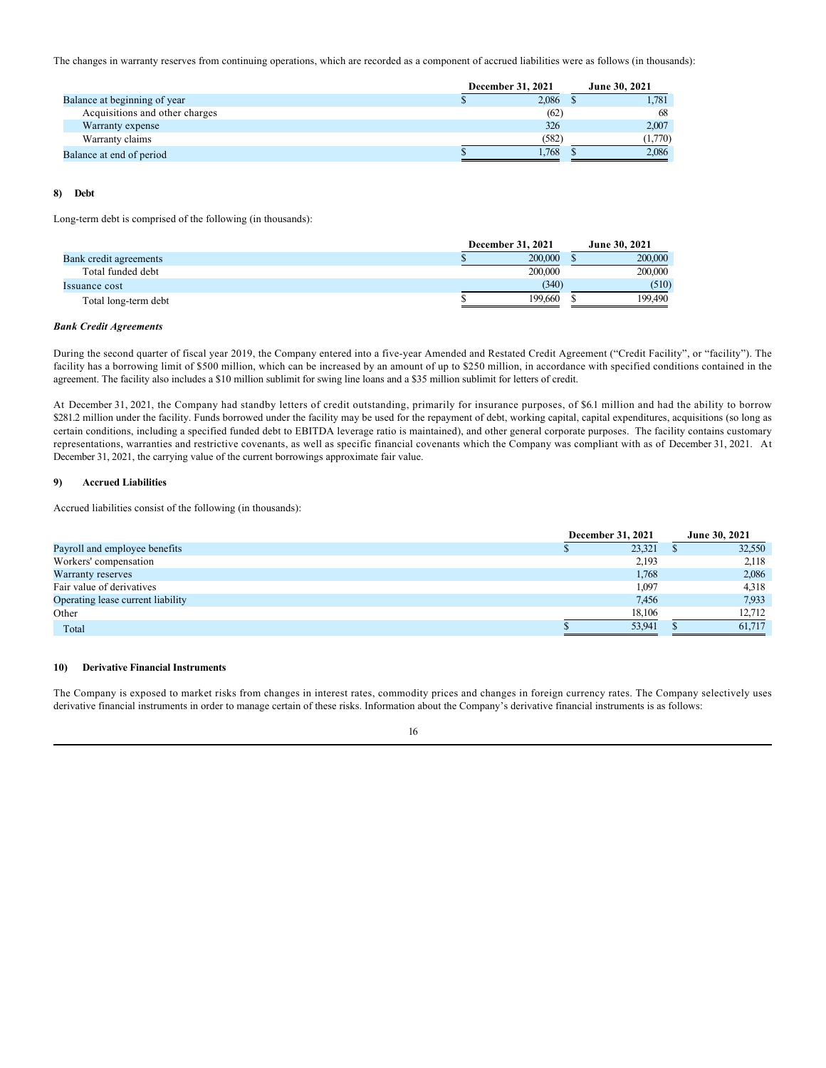The changes in warranty reserves from continuing operations, which are recorded as a component of accrued liabilities were as follows (in thousands):

|                                | December 31, 2021 | June 30, 2021 |
|--------------------------------|-------------------|---------------|
| Balance at beginning of year   | 2,086             | 1,781         |
| Acquisitions and other charges | (62)              | 68            |
| Warranty expense               | 326               | 2,007         |
| Warranty claims                | (582)             | (1,770)       |
| Balance at end of period       | l.768             | 2,086         |

## **8) Debt**

Long-term debt is comprised of the following (in thousands):

|                        | <b>December 31, 2021</b> | June 30, 2021 |
|------------------------|--------------------------|---------------|
| Bank credit agreements | 200,000                  | 200,000       |
| Total funded debt      | 200,000                  | 200,000       |
| Issuance cost          | (340)                    | (510)         |
| Total long-term debt   | 199.660                  | 199.490       |

#### *Bank Credit Agreements*

During the second quarter of fiscal year 2019, the Company entered into a five-year Amended and Restated Credit Agreement ("Credit Facility", or "facility"). The facility has a borrowing limit of \$500 million, which can be increased by an amount of up to \$250 million, in accordance with specified conditions contained in the agreement. The facility also includes a \$10 million sublimit for swing line loans and a \$35 million sublimit for letters of credit.

At December 31, 2021, the Company had standby letters of credit outstanding, primarily for insurance purposes, of \$6.1 million and had the ability to borrow \$281.2 million under the facility. Funds borrowed under the facility may be used for the repayment of debt, working capital, capital expenditures, acquisitions (so long as certain conditions, including a specified funded debt to EBITDA leverage ratio is maintained), and other general corporate purposes. The facility contains customary representations, warranties and restrictive covenants, as well as specific financial covenants which the Company was compliant with as of December 31, 2021. At December 31, 2021, the carrying value of the current borrowings approximate fair value.

## **9) Accrued Liabilities**

Accrued liabilities consist of the following (in thousands):

|                                   | <b>December 31, 2021</b> | June 30, 2021 |
|-----------------------------------|--------------------------|---------------|
| Payroll and employee benefits     | 23,321                   | 32,550        |
| Workers' compensation             | 2,193                    | 2,118         |
| Warranty reserves                 | 1,768                    | 2,086         |
| Fair value of derivatives         | 1,097                    | 4,318         |
| Operating lease current liability | 7,456                    | 7,933         |
| Other                             | 18.106                   | 12,712        |
| Total                             | 53.941                   | 61,717        |

#### **10) Derivative Financial Instruments**

The Company is exposed to market risks from changes in interest rates, commodity prices and changes in foreign currency rates. The Company selectively uses derivative financial instruments in order to manage certain of these risks. Information about the Company's derivative financial instruments is as follows: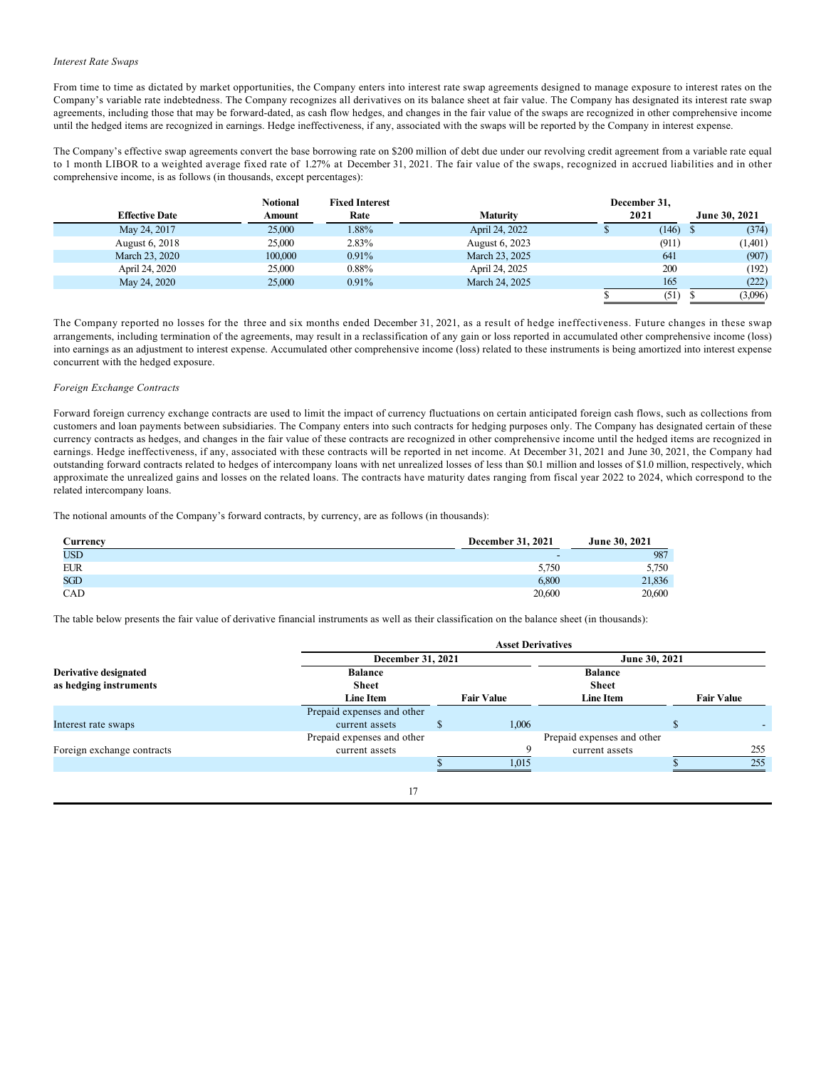## *Interest Rate Swaps*

From time to time as dictated by market opportunities, the Company enters into interest rate swap agreements designed to manage exposure to interest rates on the Company's variable rate indebtedness. The Company recognizes all derivatives on its balance sheet at fair value. The Company has designated its interest rate swap agreements, including those that may be forward-dated, as cash flow hedges, and changes in the fair value of the swaps are recognized in other comprehensive income until the hedged items are recognized in earnings. Hedge ineffectiveness, if any, associated with the swaps will be reported by the Company in interest expense.

The Company's effective swap agreements convert the base borrowing rate on \$200 million of debt due under our revolving credit agreement from a variable rate equal to 1 month LIBOR to a weighted average fixed rate of 1.27% at December 31, 2021. The fair value of the swaps, recognized in accrued liabilities and in other comprehensive income, is as follows (in thousands, except percentages):

|                       | <b>Notional</b> | <b>Fixed Interest</b> |                 |    | December 31, |               |
|-----------------------|-----------------|-----------------------|-----------------|----|--------------|---------------|
| <b>Effective Date</b> | Amount          | Rate                  | <b>Maturity</b> |    | 2021         | June 30, 2021 |
| May 24, 2017          | 25,000          | 1.88%                 | April 24, 2022  | ۰D | $(146)$ \$   | (374)         |
| August 6, 2018        | 25,000          | 2.83%                 | August 6, 2023  |    | (911)        | (1,401)       |
| March 23, 2020        | 100,000         | 0.91%                 | March 23, 2025  |    | 641          | (907)         |
| April 24, 2020        | 25,000          | 0.88%                 | April 24, 2025  |    | 200          | (192)         |
| May 24, 2020          | 25,000          | 0.91%                 | March 24, 2025  |    | 165          | (222)         |
|                       |                 |                       |                 |    | (51)         | (3,096)       |

The Company reported no losses for the three and six months ended December 31, 2021, as a result of hedge ineffectiveness. Future changes in these swap arrangements, including termination of the agreements, may result in a reclassification of any gain or loss reported in accumulated other comprehensive income (loss) into earnings as an adjustment to interest expense. Accumulated other comprehensive income (loss) related to these instruments is being amortized into interest expense concurrent with the hedged exposure.

#### *Foreign Exchange Contracts*

Forward foreign currency exchange contracts are used to limit the impact of currency fluctuations on certain anticipated foreign cash flows, such as collections from customers and loan payments between subsidiaries. The Company enters into such contracts for hedging purposes only. The Company has designated certain of these currency contracts as hedges, and changes in the fair value of these contracts are recognized in other comprehensive income until the hedged items are recognized in earnings. Hedge ineffectiveness, if any, associated with these contracts will be reported in net income. At December 31, 2021 and June 30, 2021, the Company had outstanding forward contracts related to hedges of intercompany loans with net unrealized losses of less than \$0.1 million and losses of \$1.0 million, respectively, which approximate the unrealized gains and losses on the related loans. The contracts have maturity dates ranging from fiscal year 2022 to 2024, which correspond to the related intercompany loans.

The notional amounts of the Company's forward contracts, by currency, are as follows (in thousands):

| Currency   | <b>December 31, 2021</b> | June 30, 2021 |
|------------|--------------------------|---------------|
| <b>USD</b> | -                        | 987           |
| <b>EUR</b> | 5,750                    | 5.750         |
| SGD        | 6,800                    | 21,836        |
| CAD        | 20,600                   | 20,600        |

The table below presents the fair value of derivative financial instruments as well as their classification on the balance sheet (in thousands):

|                                                 |                                             | <b>Asset Derivatives</b> |       |                                             |  |                   |  |  |  |  |  |
|-------------------------------------------------|---------------------------------------------|--------------------------|-------|---------------------------------------------|--|-------------------|--|--|--|--|--|
|                                                 | December 31, 2021                           |                          |       | June 30, 2021                               |  |                   |  |  |  |  |  |
| Derivative designated<br>as hedging instruments | <b>Balance</b><br><b>Sheet</b><br>Line Item | <b>Fair Value</b>        |       | <b>Balance</b><br><b>Sheet</b><br>Line Item |  | <b>Fair Value</b> |  |  |  |  |  |
|                                                 | Prepaid expenses and other                  |                          |       |                                             |  |                   |  |  |  |  |  |
| Interest rate swaps                             | current assets                              |                          | 1,006 |                                             |  |                   |  |  |  |  |  |
|                                                 | Prepaid expenses and other                  |                          |       | Prepaid expenses and other                  |  |                   |  |  |  |  |  |
| Foreign exchange contracts                      | current assets                              |                          | Q     | current assets                              |  | 255               |  |  |  |  |  |
|                                                 |                                             |                          | 1,015 |                                             |  | 255               |  |  |  |  |  |
|                                                 |                                             |                          |       |                                             |  |                   |  |  |  |  |  |
|                                                 |                                             |                          |       |                                             |  |                   |  |  |  |  |  |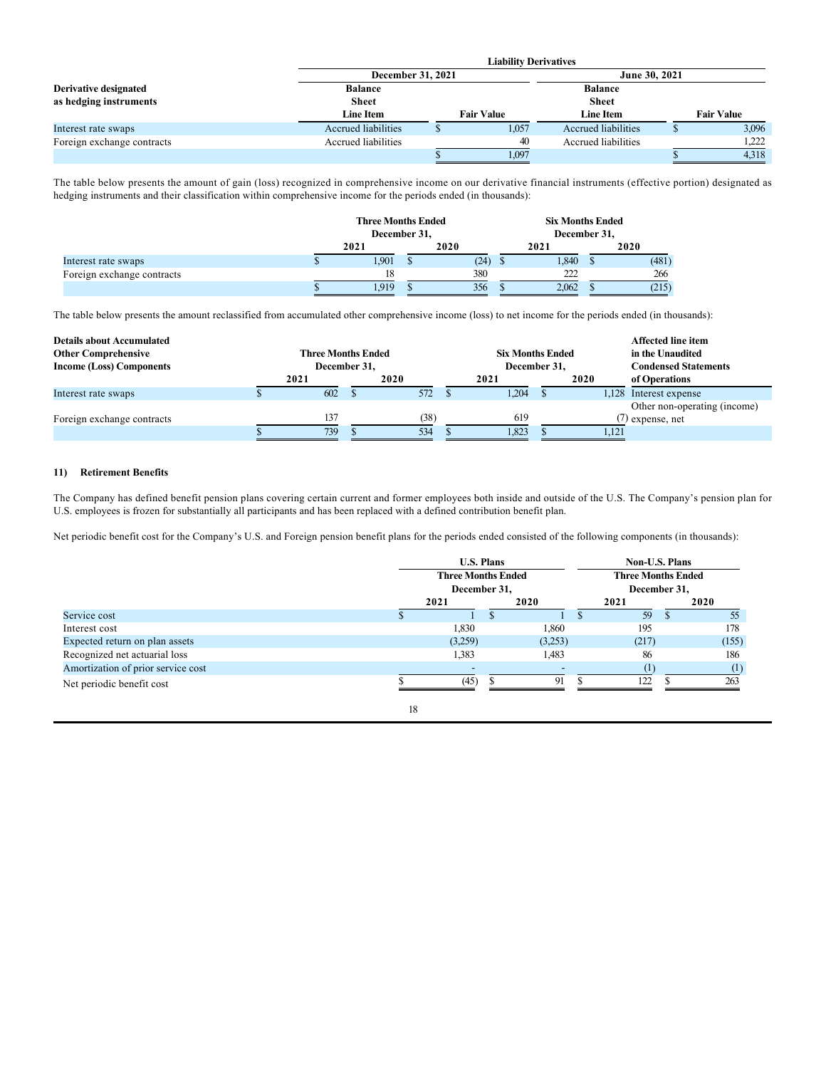|                                                        | <b>Liability Derivatives</b>   |  |                   |                                |  |                   |  |  |  |  |
|--------------------------------------------------------|--------------------------------|--|-------------------|--------------------------------|--|-------------------|--|--|--|--|
|                                                        | December 31, 2021              |  |                   | June 30, 2021                  |  |                   |  |  |  |  |
| <b>Derivative designated</b><br>as hedging instruments | <b>Balance</b><br><b>Sheet</b> |  |                   | <b>Balance</b><br><b>Sheet</b> |  |                   |  |  |  |  |
|                                                        | Line Item                      |  | <b>Fair Value</b> | <b>Line Item</b>               |  | <b>Fair Value</b> |  |  |  |  |
| Interest rate swaps                                    | Accrued liabilities            |  | 1,057             | Accrued liabilities            |  | 3,096             |  |  |  |  |
| Foreign exchange contracts                             | Accrued liabilities            |  | 40                | Accrued liabilities            |  | 1,222             |  |  |  |  |
|                                                        |                                |  | 1,097             |                                |  | 4,318             |  |  |  |  |

The table below presents the amount of gain (loss) recognized in comprehensive income on our derivative financial instruments (effective portion) designated as hedging instruments and their classification within comprehensive income for the periods ended (in thousands):

|                            | <b>Three Months Ended</b><br>December 31, |  |      |  |       | <b>Six Months Ended</b><br>December 31, |       |  |  |  |
|----------------------------|-------------------------------------------|--|------|--|-------|-----------------------------------------|-------|--|--|--|
|                            | 2021                                      |  | 2020 |  | 2021  | 2020                                    |       |  |  |  |
| Interest rate swaps        | 1,901                                     |  | (24) |  | 1,840 |                                         | (481) |  |  |  |
| Foreign exchange contracts | 18                                        |  | 380  |  | 222   |                                         | 266   |  |  |  |
|                            | 1.919                                     |  | 356  |  | 2,062 |                                         | (215) |  |  |  |

The table below presents the amount reclassified from accumulated other comprehensive income (loss) to net income for the periods ended (in thousands):

| <b>Details about Accumulated</b><br><b>Other Comprehensive</b><br><b>Income (Loss) Components</b> | <b>Three Months Ended</b><br>December 31, |     |      |      | <b>Six Months Ended</b><br>December 31, |       | <b>Affected line item</b><br>in the Unaudited<br><b>Condensed Statements</b> |
|---------------------------------------------------------------------------------------------------|-------------------------------------------|-----|------|------|-----------------------------------------|-------|------------------------------------------------------------------------------|
|                                                                                                   | 2021                                      |     | 2020 |      | 2021                                    | 2020  | of Operations                                                                |
| Interest rate swaps                                                                               |                                           | 602 |      | 572  | 1,204                                   |       | 1,128 Interest expense                                                       |
| Foreign exchange contracts                                                                        |                                           | 137 |      | (38) | 619                                     |       | Other non-operating (income)<br>(7) expense, net                             |
|                                                                                                   |                                           | 739 |      | 534  | 1,823                                   | 1,121 |                                                                              |

## **11) Retirement Benefits**

The Company has defined benefit pension plans covering certain current and former employees both inside and outside of the U.S. The Company's pension plan for U.S. employees is frozen for substantially all participants and has been replaced with a defined contribution benefit plan.

Net periodic benefit cost for the Company's U.S. and Foreign pension benefit plans for the periods ended consisted of the following components (in thousands):

|                                    | <b>U.S. Plans</b>         |  |         | Non-U.S. Plans<br><b>Three Months Ended</b> |       |  |       |  |  |
|------------------------------------|---------------------------|--|---------|---------------------------------------------|-------|--|-------|--|--|
|                                    | <b>Three Months Ended</b> |  |         |                                             |       |  |       |  |  |
|                                    | December 31,              |  |         | December 31,                                |       |  |       |  |  |
|                                    | 2021                      |  | 2020    |                                             | 2021  |  | 2020  |  |  |
| Service cost                       |                           |  |         |                                             | 59    |  | 55    |  |  |
| Interest cost                      | 1,830                     |  | 1,860   |                                             | 195   |  | 178   |  |  |
| Expected return on plan assets     | (3,259)                   |  | (3,253) |                                             | (217) |  | (155) |  |  |
| Recognized net actuarial loss      | 1,383                     |  | 1,483   |                                             | 86    |  | 186   |  |  |
| Amortization of prior service cost | -                         |  | -       |                                             | (1)   |  | (1)   |  |  |
| Net periodic benefit cost          | (45)                      |  | 91      |                                             | 122   |  | 263   |  |  |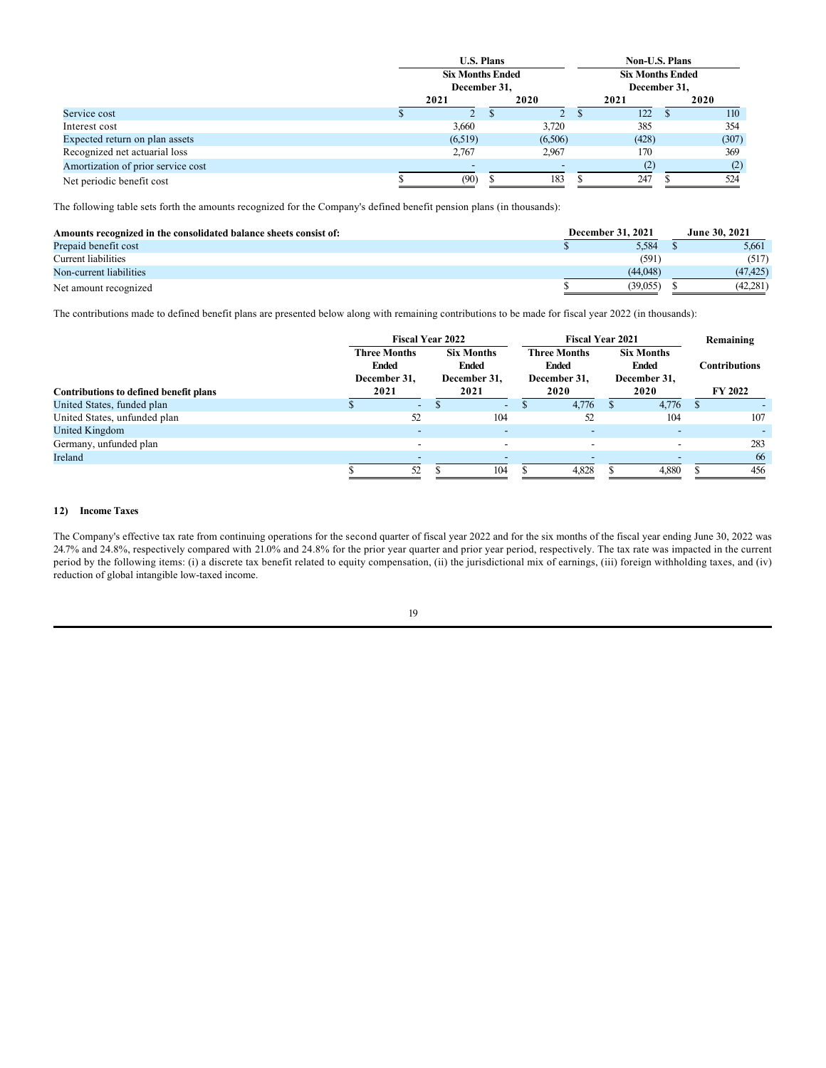|                                    | <b>U.S. Plans</b>       | <b>Non-U.S. Plans</b> |                                         |       |  |       |  |
|------------------------------------|-------------------------|-----------------------|-----------------------------------------|-------|--|-------|--|
|                                    | <b>Six Months Ended</b> |                       | <b>Six Months Ended</b><br>December 31, |       |  |       |  |
|                                    | December 31,            |                       |                                         |       |  |       |  |
|                                    | 2021                    | 2020                  |                                         | 2021  |  | 2020  |  |
| Service cost                       |                         |                       |                                         | 122   |  | 110   |  |
| Interest cost                      | 3,660                   | 3,720                 |                                         | 385   |  | 354   |  |
| Expected return on plan assets     | (6.519)                 | (6,506)               |                                         | (428) |  | (307) |  |
| Recognized net actuarial loss      | 2,767                   | 2.967                 |                                         | 170   |  | 369   |  |
| Amortization of prior service cost |                         |                       |                                         | (2)   |  | (2)   |  |
| Net periodic benefit cost          | (90)                    | 183                   |                                         | 247   |  | 524   |  |

The following table sets forth the amounts recognized for the Company's defined benefit pension plans (in thousands):

| Amounts recognized in the consolidated balance sheets consist of: | December 31, 2021 | June 30, 2021 |  |  |
|-------------------------------------------------------------------|-------------------|---------------|--|--|
| Prepaid benefit cost                                              | 5.584             | 5.661         |  |  |
| Current liabilities                                               | (591)             | (517)         |  |  |
| Non-current liabilities                                           | (44.048)          | (47.425)      |  |  |
| Net amount recognized                                             | (39,055)          | (42, 281)     |  |  |

The contributions made to defined benefit plans are presented below along with remaining contributions to be made for fiscal year 2022 (in thousands):

|                                        |      | <b>Fiscal Year 2022</b>                             |  |                                                   |  | <b>Fiscal Year 2021</b>                             | Remaining                                         |                          |               |                |
|----------------------------------------|------|-----------------------------------------------------|--|---------------------------------------------------|--|-----------------------------------------------------|---------------------------------------------------|--------------------------|---------------|----------------|
|                                        |      | <b>Three Months</b><br><b>Ended</b><br>December 31, |  | <b>Six Months</b><br><b>Ended</b><br>December 31, |  | <b>Three Months</b><br><b>Ended</b><br>December 31, | <b>Six Months</b><br><b>Ended</b><br>December 31, |                          | Contributions |                |
| Contributions to defined benefit plans | 2021 |                                                     |  | 2021                                              |  | 2020                                                |                                                   | 2020                     |               | <b>FY 2022</b> |
| United States, funded plan             |      | $\overline{\phantom{0}}$                            |  | $\overline{\phantom{a}}$                          |  | 4,776                                               |                                                   | 4,776                    | D             |                |
| United States, unfunded plan           |      | 52                                                  |  | 104                                               |  | 52                                                  |                                                   | 104                      |               | 107            |
| United Kingdom                         |      | $\overline{\phantom{0}}$                            |  | ۰                                                 |  | $\overline{\phantom{0}}$                            |                                                   | ۰                        |               |                |
| Germany, unfunded plan                 |      | $\overline{\phantom{a}}$                            |  | $\overline{\phantom{a}}$                          |  | $\overline{\phantom{a}}$                            |                                                   | $\overline{\phantom{a}}$ |               | 283            |
| Ireland                                |      |                                                     |  |                                                   |  |                                                     |                                                   |                          |               | 66             |
|                                        |      | 52                                                  |  | 104                                               |  | 4,828                                               |                                                   | 4.880                    |               | 456            |

## **12) Income Taxes**

The Company's effective tax rate from continuing operations for the second quarter of fiscal year 2022 and for the six months of the fiscal year ending June 30, 2022 was 24.7% and 24.8%, respectively compared with 21.0% and 24.8% for the prior year quarter and prior year period, respectively. The tax rate was impacted in the current period by the following items: (i) a discrete tax benefit related to equity compensation, (ii) the jurisdictional mix of earnings, (iii) foreign withholding taxes, and (iv) reduction of global intangible low-taxed income.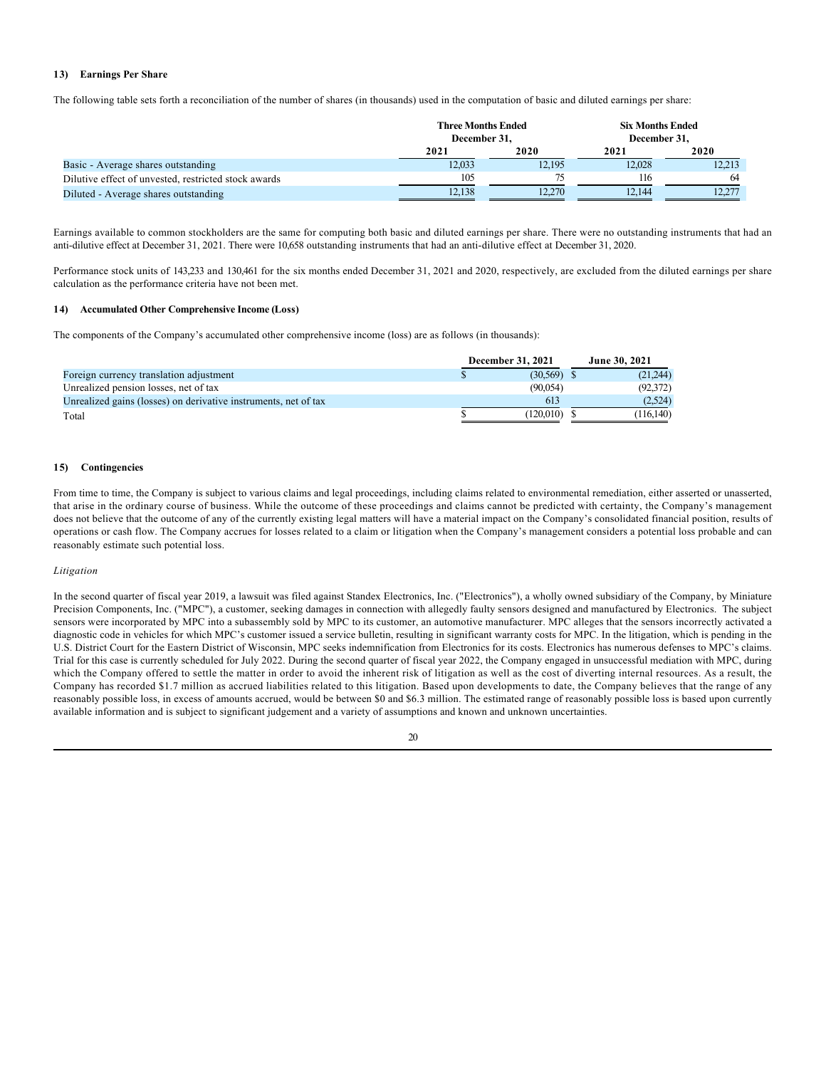## **13) Earnings Per Share**

The following table sets forth a reconciliation of the number of shares (in thousands) used in the computation of basic and diluted earnings per share:

|                                                      | <b>Three Months Ended</b><br>December 31, |        | <b>Six Months Ended</b><br>December 31. |        |  |
|------------------------------------------------------|-------------------------------------------|--------|-----------------------------------------|--------|--|
|                                                      | 2021                                      | 2020   | 2021                                    | 2020   |  |
| Basic - Average shares outstanding                   | 12,033                                    | 12.195 | 12.028                                  | 12.213 |  |
| Dilutive effect of unvested, restricted stock awards | 105                                       |        | 116                                     | 64     |  |
| Diluted - Average shares outstanding                 | 12.138                                    | 12.270 | 12.144                                  | 12.277 |  |

Earnings available to common stockholders are the same for computing both basic and diluted earnings per share. There were no outstanding instruments that had an anti-dilutive effect at December 31, 2021. There were 10,658 outstanding instruments that had an anti-dilutive effect at December 31, 2020.

Performance stock units of 143,233 and 130,461 for the six months ended December 31, 2021 and 2020, respectively, are excluded from the diluted earnings per share calculation as the performance criteria have not been met.

## **14) Accumulated Other Comprehensive Income (Loss)**

The components of the Company's accumulated other comprehensive income (loss) are as follows (in thousands):

|                                                                 | <b>December 31, 2021</b> | June 30, 2021 |
|-----------------------------------------------------------------|--------------------------|---------------|
| Foreign currency translation adjustment                         | $(30.569)$ \$            | (21.244)      |
| Unrealized pension losses, net of tax                           | (90.054)                 | (92,372)      |
| Unrealized gains (losses) on derivative instruments, net of tax | 613                      | (2,524)       |
| Total                                                           | $(120.010)$ \$           | (116.140)     |

#### **15) Contingencies**

From time to time, the Company is subject to various claims and legal proceedings, including claims related to environmental remediation, either asserted or unasserted, that arise in the ordinary course of business. While the outcome of these proceedings and claims cannot be predicted with certainty, the Company's management does not believe that the outcome of any of the currently existing legal matters will have a material impact on the Company's consolidated financial position, results of operations or cash flow. The Company accrues for losses related to a claim or litigation when the Company's management considers a potential loss probable and can reasonably estimate such potential loss.

#### *Litigation*

In the second quarter of fiscal year 2019, a lawsuit was filed against Standex Electronics, Inc. ("Electronics"), a wholly owned subsidiary of the Company, by Miniature Precision Components, Inc. ("MPC"), a customer, seeking damages in connection with allegedly faulty sensors designed and manufactured by Electronics. The subject sensors were incorporated by MPC into a subassembly sold by MPC to its customer, an automotive manufacturer. MPC alleges that the sensors incorrectly activated a diagnostic code in vehicles for which MPC's customer issued a service bulletin, resulting in significant warranty costs for MPC. In the litigation, which is pending in the U.S. District Court for the Eastern District of Wisconsin, MPC seeks indemnification from Electronics for its costs. Electronics has numerous defenses to MPC's claims. Trial for this case is currently scheduled for July 2022. During the second quarter of fiscal year 2022, the Company engaged in unsuccessful mediation with MPC, during which the Company offered to settle the matter in order to avoid the inherent risk of litigation as well as the cost of diverting internal resources. As a result, the Company has recorded \$1.7 million as accrued liabilities related to this litigation. Based upon developments to date, the Company believes that the range of any reasonably possible loss, in excess of amounts accrued, would be between \$0 and \$6.3 million. The estimated range of reasonably possible loss is based upon currently available information and is subject to significant judgement and a variety of assumptions and known and unknown uncertainties.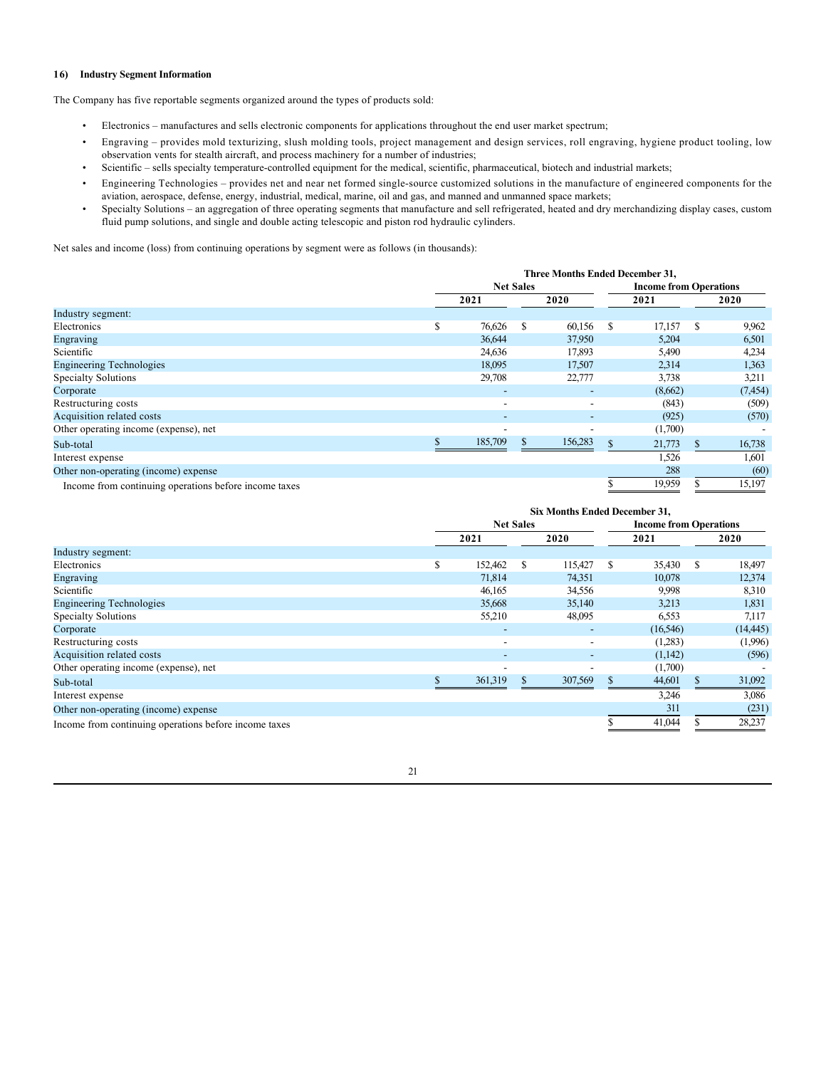## **16) Industry Segment Information**

The Company has five reportable segments organized around the types of products sold:

- Electronics manufactures and sells electronic components for applications throughout the end user market spectrum;
- Engraving provides mold texturizing, slush molding tools, project management and design services, roll engraving, hygiene product tooling, low observation vents for stealth aircraft, and process machinery for a number of industries;
- Scientific sells specialty temperature-controlled equipment for the medical, scientific, pharmaceutical, biotech and industrial markets;
- Engineering Technologies provides net and near net formed single-source customized solutions in the manufacture of engineered components for the aviation, aerospace, defense, energy, industrial, medical, marine, oil and gas, and manned and unmanned space markets;
- Specialty Solutions an aggregation of three operating segments that manufacture and sell refrigerated, heated and dry merchandizing display cases, custom fluid pump solutions, and single and double acting telescopic and piston rod hydraulic cylinders.

Net sales and income (loss) from continuing operations by segment were as follows (in thousands):

|                                                       | Three Months Ended December 31, |         |                  |         |                               |         |    |          |  |
|-------------------------------------------------------|---------------------------------|---------|------------------|---------|-------------------------------|---------|----|----------|--|
|                                                       |                                 |         | <b>Net Sales</b> |         | <b>Income from Operations</b> |         |    |          |  |
|                                                       |                                 | 2021    | 2020             |         | 2021                          |         |    | 2020     |  |
| Industry segment:                                     |                                 |         |                  |         |                               |         |    |          |  |
| Electronics                                           | \$                              | 76,626  | S                | 60,156  | S                             | 17,157  | S  | 9,962    |  |
| Engraving                                             |                                 | 36,644  |                  | 37.950  |                               | 5,204   |    | 6,501    |  |
| Scientific                                            |                                 | 24,636  |                  | 17,893  |                               | 5,490   |    | 4,234    |  |
| <b>Engineering Technologies</b>                       |                                 | 18,095  |                  | 17,507  |                               | 2,314   |    | 1,363    |  |
| <b>Specialty Solutions</b>                            |                                 | 29,708  |                  | 22,777  |                               | 3,738   |    | 3,211    |  |
| Corporate                                             |                                 |         |                  |         |                               | (8,662) |    | (7, 454) |  |
| Restructuring costs                                   |                                 |         |                  |         |                               | (843)   |    | (509)    |  |
| Acquisition related costs                             |                                 |         |                  |         |                               | (925)   |    | (570)    |  |
| Other operating income (expense), net                 |                                 | ۰       |                  |         |                               | (1,700) |    |          |  |
| Sub-total                                             |                                 | 185,709 | S                | 156,283 | $\mathbf{s}$                  | 21,773  | \$ | 16,738   |  |
| Interest expense                                      |                                 |         |                  |         |                               | 1,526   |    | 1,601    |  |
| Other non-operating (income) expense                  |                                 |         |                  |         |                               | 288     |    | (60)     |  |
| Income from continuing operations before income taxes |                                 |         |                  |         |                               | 19,959  |    | 15,197   |  |

|                                                       | Six Months Ended December 31, |                          |                  |         |     |          |                               |           |
|-------------------------------------------------------|-------------------------------|--------------------------|------------------|---------|-----|----------|-------------------------------|-----------|
|                                                       |                               |                          | <b>Net Sales</b> |         |     |          | <b>Income from Operations</b> |           |
|                                                       |                               | 2021                     |                  | 2020    |     | 2021     |                               | 2020      |
| Industry segment:                                     |                               |                          |                  |         |     |          |                               |           |
| Electronics                                           | \$                            | 152,462                  | S                | 115,427 | S.  | 35,430   | S.                            | 18,497    |
| Engraving                                             |                               | 71,814                   |                  | 74,351  |     | 10,078   |                               | 12,374    |
| Scientific                                            |                               | 46,165                   |                  | 34,556  |     | 9,998    |                               | 8,310     |
| <b>Engineering Technologies</b>                       |                               | 35,668                   |                  | 35,140  |     | 3,213    |                               | 1,831     |
| Specialty Solutions                                   |                               | 55,210                   |                  | 48,095  |     | 6,553    |                               | 7,117     |
| Corporate                                             |                               | $\overline{\phantom{a}}$ |                  | ۰       |     | (16,546) |                               | (14, 445) |
| Restructuring costs                                   |                               | ۰                        |                  | ٠       |     | (1,283)  |                               | (1,996)   |
| Acquisition related costs                             |                               |                          |                  |         |     | (1,142)  |                               | (596)     |
| Other operating income (expense), net                 |                               |                          |                  |         |     | (1,700)  |                               |           |
| Sub-total                                             |                               | 361,319                  | S.               | 307,569 | \$. | 44,601   | S.                            | 31,092    |
| Interest expense                                      |                               |                          |                  |         |     | 3,246    |                               | 3,086     |
| Other non-operating (income) expense                  |                               |                          |                  |         |     | 311      |                               | (231)     |
| Income from continuing operations before income taxes |                               |                          |                  |         |     | 41,044   |                               | 28,237    |

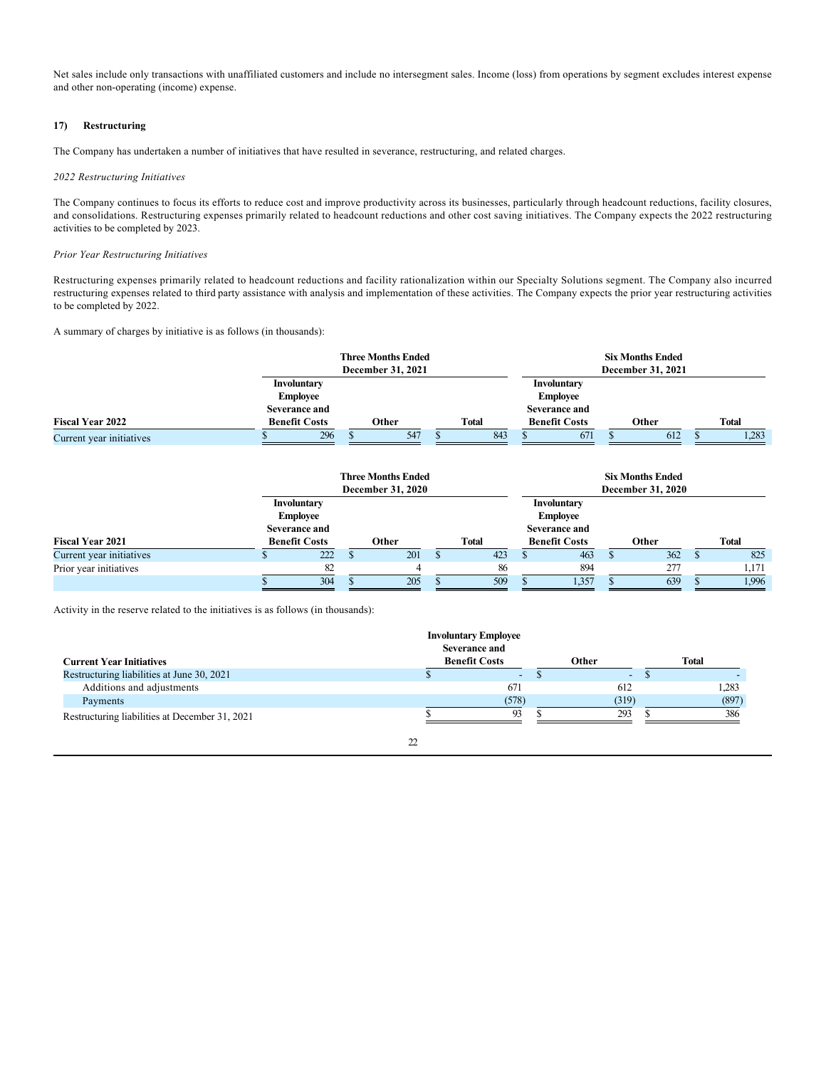Net sales include only transactions with unaffiliated customers and include no intersegment sales. Income (loss) from operations by segment excludes interest expense and other non-operating (income) expense.

## **17) Restructuring**

The Company has undertaken a number of initiatives that have resulted in severance, restructuring, and related charges.

### *2022 Restructuring Initiatives*

The Company continues to focus its efforts to reduce cost and improve productivity across its businesses, particularly through headcount reductions, facility closures, and consolidations. Restructuring expenses primarily related to headcount reductions and other cost saving initiatives. The Company expects the 2022 restructuring activities to be completed by 2023.

#### *Prior Year Restructuring Initiatives*

Restructuring expenses primarily related to headcount reductions and facility rationalization within our Specialty Solutions segment. The Company also incurred restructuring expenses related to third party assistance with analysis and implementation of these activities. The Company expects the prior year restructuring activities to be completed by 2022.

A summary of charges by initiative is as follows (in thousands):

|                          |                      | <b>Three Months Ended</b><br><b>December 31, 2021</b> |  |       |  | <b>Six Months Ended</b><br>December 31, 2021 |  |                      |  |       |  |       |
|--------------------------|----------------------|-------------------------------------------------------|--|-------|--|----------------------------------------------|--|----------------------|--|-------|--|-------|
|                          | Involuntary          |                                                       |  |       |  |                                              |  | Involuntary          |  |       |  |       |
|                          |                      | <b>Employee</b>                                       |  |       |  |                                              |  | <b>Employee</b>      |  |       |  |       |
|                          | <b>Severance and</b> |                                                       |  |       |  |                                              |  | <b>Severance and</b> |  |       |  |       |
| <b>Fiscal Year 2022</b>  | <b>Benefit Costs</b> |                                                       |  | Other |  | Total                                        |  | <b>Benefit Costs</b> |  | Other |  | Total |
| Current year initiatives |                      | 296                                                   |  | 547   |  | 843                                          |  | 671                  |  | 612   |  | 1,283 |

|                          |                      |  | <b>Three Months Ended</b> |  | <b>Six Months Ended</b> |                          |                      |  |       |  |              |
|--------------------------|----------------------|--|---------------------------|--|-------------------------|--------------------------|----------------------|--|-------|--|--------------|
|                          |                      |  | <b>December 31, 2020</b>  |  |                         | <b>December 31, 2020</b> |                      |  |       |  |              |
|                          | Involuntary          |  |                           |  |                         |                          | Involuntary          |  |       |  |              |
|                          | <b>Employee</b>      |  |                           |  |                         |                          | <b>Employee</b>      |  |       |  |              |
|                          | <b>Severance and</b> |  |                           |  |                         |                          |                      |  |       |  |              |
| <b>Fiscal Year 2021</b>  | <b>Benefit Costs</b> |  | Other                     |  | Total                   |                          | <b>Benefit Costs</b> |  | Other |  | <b>Total</b> |
| Current year initiatives | 222                  |  | 201                       |  | 423                     |                          | 463                  |  | 362   |  | 825          |
| Prior year initiatives   | 82                   |  |                           |  | 86                      |                          | 894                  |  | 277   |  | 1,171        |
|                          | 304                  |  | 205                       |  | 509                     |                          | 1,357                |  | 639   |  | 1,996        |

Activity in the reserve related to the initiatives is as follows (in thousands):

|                                                | <b>Involuntary Employee</b><br><b>Severance and</b> |                      |  |                          |              |
|------------------------------------------------|-----------------------------------------------------|----------------------|--|--------------------------|--------------|
| <b>Current Year Initiatives</b>                |                                                     | <b>Benefit Costs</b> |  | Other                    | <b>Total</b> |
| Restructuring liabilities at June 30, 2021     |                                                     | -                    |  | $\overline{\phantom{0}}$ |              |
| Additions and adjustments                      |                                                     | 671                  |  | 612                      | 1,283        |
| Payments                                       |                                                     | (578)                |  | (319)                    | (897)        |
| Restructuring liabilities at December 31, 2021 |                                                     | 93                   |  | 293                      | 386          |
|                                                | າາ                                                  |                      |  |                          |              |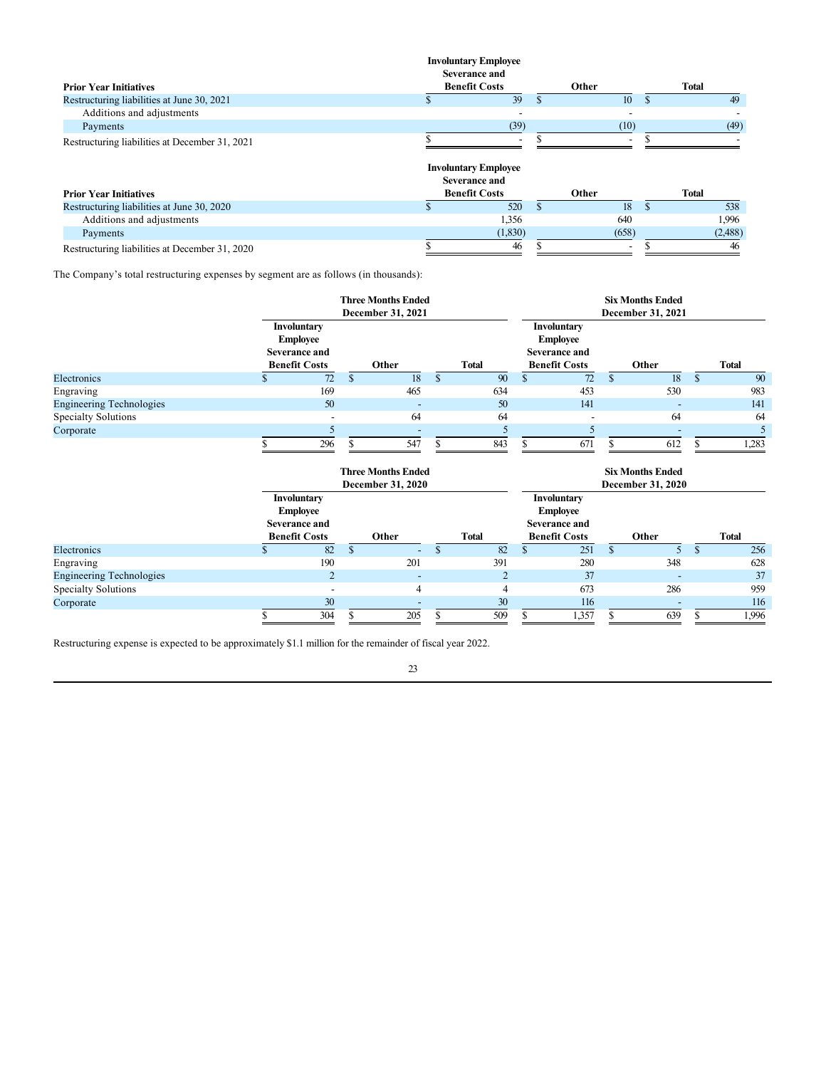|                                                | <b>Involuntary Employee</b> |         |              |              |
|------------------------------------------------|-----------------------------|---------|--------------|--------------|
|                                                | <b>Severance and</b>        |         |              |              |
| <b>Prior Year Initiatives</b>                  | <b>Benefit Costs</b>        | Other   | <b>Total</b> |              |
| Restructuring liabilities at June 30, 2021     |                             | 39      | 10           | 49           |
| Additions and adjustments                      |                             |         |              |              |
| Payments                                       |                             | (39)    | (10)         | (49)         |
| Restructuring liabilities at December 31, 2021 |                             |         |              |              |
|                                                | <b>Involuntary Employee</b> |         |              |              |
|                                                | <b>Severance and</b>        |         |              |              |
| <b>Prior Year Initiatives</b>                  | <b>Benefit Costs</b>        |         | Other        | <b>Total</b> |
| Restructuring liabilities at June 30, 2020     |                             | 520     | 18           | 538          |
| Additions and adjustments                      |                             | 1,356   | 640          | 1,996        |
| Payments                                       |                             | (1,830) | (658)        | (2,488)      |
| Restructuring liabilities at December 31, 2020 |                             | 46      |              | 46           |

The Company's total restructuring expenses by segment are as follows (in thousands):

|                                 |                                                                                | <b>Three Months Ended</b> |  |                                                       |   |              |                   |                                                                                | <b>Six Months Ended</b> |                                              |   |              |  |  |  |  |
|---------------------------------|--------------------------------------------------------------------------------|---------------------------|--|-------------------------------------------------------|---|--------------|-------------------|--------------------------------------------------------------------------------|-------------------------|----------------------------------------------|---|--------------|--|--|--|--|
|                                 |                                                                                |                           |  | December 31, 2021                                     |   |              | December 31, 2021 |                                                                                |                         |                                              |   |              |  |  |  |  |
|                                 | Involuntary<br><b>Employee</b><br><b>Severance and</b><br><b>Benefit Costs</b> |                           |  | Other                                                 |   | <b>Total</b> |                   | Involuntary<br><b>Employee</b><br><b>Severance and</b><br><b>Benefit Costs</b> |                         | Other                                        |   | <b>Total</b> |  |  |  |  |
| Electronics                     |                                                                                | 72                        |  | 18                                                    | Ð | 90           |                   | 72                                                                             |                         | 18                                           | ъ | 90           |  |  |  |  |
| Engraving                       |                                                                                | 169                       |  | 465                                                   |   | 634          |                   | 453                                                                            |                         | 530                                          |   | 983          |  |  |  |  |
| <b>Engineering Technologies</b> |                                                                                | 50                        |  | $\overline{\phantom{0}}$                              |   | 50           |                   | 141                                                                            |                         | -                                            |   | 141          |  |  |  |  |
| Specialty Solutions             |                                                                                |                           |  | 64                                                    |   | 64           |                   | $\overline{\phantom{a}}$                                                       |                         | 64                                           |   | 64           |  |  |  |  |
| Corporate                       |                                                                                |                           |  |                                                       |   |              |                   |                                                                                |                         |                                              |   |              |  |  |  |  |
|                                 |                                                                                | 296                       |  | 547                                                   |   | 843          |                   | 671                                                                            |                         | 612                                          |   | 1,283        |  |  |  |  |
|                                 |                                                                                |                           |  | <b>Three Months Ended</b><br><b>December 31, 2020</b> |   |              |                   |                                                                                |                         | <b>Six Months Ended</b><br>December 31, 2020 |   |              |  |  |  |  |

|                                 | Involuntary<br><b>Employee</b> |  |                          |  |              |                      | Involuntary<br><b>Employee</b> |                          |              |
|---------------------------------|--------------------------------|--|--------------------------|--|--------------|----------------------|--------------------------------|--------------------------|--------------|
|                                 | <b>Severance and</b>           |  |                          |  |              | <b>Severance and</b> |                                |                          |              |
|                                 | <b>Benefit Costs</b>           |  | Other                    |  | <b>Total</b> |                      | <b>Benefit Costs</b>           | Other                    | <b>Total</b> |
| Electronics                     | 82                             |  | ۰                        |  | 82           |                      | 251                            |                          | 256          |
| Engraving                       | 190                            |  | 201                      |  | 391          |                      | 280                            | 348                      | 628          |
| <b>Engineering Technologies</b> |                                |  | ٠                        |  |              |                      | 37                             | $\overline{\phantom{0}}$ | 37           |
| Specialty Solutions             | -                              |  |                          |  |              |                      | 673                            | 286                      | 959          |
| Corporate                       | 30                             |  | $\overline{\phantom{a}}$ |  | 30           |                      | 116                            | $\overline{\phantom{a}}$ | 116          |
|                                 | 304                            |  | 205                      |  | 509          |                      | 1,357                          | 639                      | 1,996        |

Restructuring expense is expected to be approximately \$1.1 million for the remainder of fiscal year 2022.

<sup>23</sup>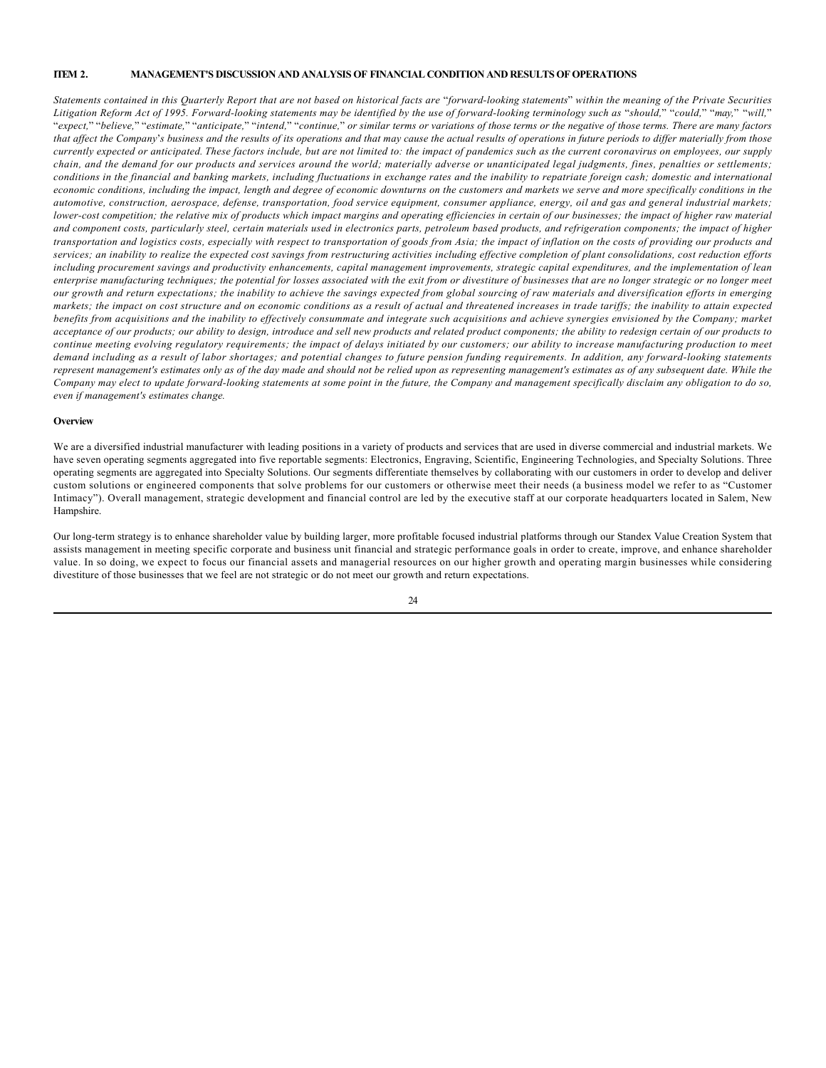### **ITEM 2. MANAGEMENT'S DISCUSSION AND ANALYSIS OF FINANCIAL CONDITION AND RESULTS OF OPERATIONS**

*Statements contained in this Quarterly Report that are not based on historical facts are* "*forward-looking statements*" *within the meaning of the Private Securities Litigation Reform Act of 1995. Forward-looking statements may be identified by the use of forward-looking terminology such as* "*should,*" "*could,*" "*may,*" "*will,*" "*expect,*" "*believe,*" "*estimate,*" "*anticipate,*" "*intend,*" "*continue,*" *or similar terms or variations of those terms or the negative of those terms. There are many factors that affect the Company*'*s business and the results of its operations and that may cause the actual results of operations in future periods to differ materially from those currently expected or anticipated. These factors include, but are not limited to: the impact of pandemics such as the current coronavirus on employees, our supply chain, and the demand for our products and services around the world; materially adverse or unanticipated legal judgments, fines, penalties or settlements; conditions in the financial and banking markets, including fluctuations in exchange rates and the inability to repatriate foreign cash; domestic and international economic conditions, including the impact, length and degree of economic downturns on the customers and markets we serve and more specifically conditions in the automotive, construction, aerospace, defense, transportation, food service equipment, consumer appliance, energy, oil and gas and general industrial markets; lower-cost competition; the relative mix of products which impact margins and operating efficiencies in certain of our businesses; the impact of higher raw material and component costs, particularly steel, certain materials used in electronics parts, petroleum based products, and refrigeration components; the impact of higher transportation and logistics costs, especially with respect to transportation of goods from Asia; the impact of inflation on the costs of providing our products and services; an inability to realize the expected cost savings from restructuring activities including effective completion of plant consolidations, cost reduction efforts including procurement savings and productivity enhancements, capital management improvements, strategic capital expenditures, and the implementation of lean enterprise manufacturing techniques; the potential for losses associated with the exit from or divestiture of businesses that are no longer strategic or no longer meet our growth and return expectations; the inability to achieve the savings expected from global sourcing of raw materials and diversification efforts in emerging markets; the impact on cost structure and on economic conditions as a result of actual and threatened increases in trade tariffs; the inability to attain expected* benefits from acquisitions and the inability to effectively consummate and integrate such acquisitions and achieve synergies envisioned by the Company; market *acceptance of our products; our ability to design, introduce and sell new products and related product components; the ability to redesign certain of our products to continue meeting evolving regulatory requirements; the impact of delays initiated by our customers; our ability to increase manufacturing production to meet demand including as a result of labor shortages; and potential changes to future pension funding requirements. In addition, any forward-looking statements represent management's estimates only as of the day made and should not be relied upon as representing management's estimates as of any subsequent date. While the Company may elect to update forward-looking statements at some point in the future, the Company and management specifically disclaim any obligation to do so, even if management's estimates change.*

## **Overview**

We are a diversified industrial manufacturer with leading positions in a variety of products and services that are used in diverse commercial and industrial markets. We have seven operating segments aggregated into five reportable segments: Electronics, Engraving, Scientific, Engineering Technologies, and Specialty Solutions. Three operating segments are aggregated into Specialty Solutions. Our segments differentiate themselves by collaborating with our customers in order to develop and deliver custom solutions or engineered components that solve problems for our customers or otherwise meet their needs (a business model we refer to as "Customer Intimacy"). Overall management, strategic development and financial control are led by the executive staff at our corporate headquarters located in Salem, New Hampshire.

Our long-term strategy is to enhance shareholder value by building larger, more profitable focused industrial platforms through our Standex Value Creation System that assists management in meeting specific corporate and business unit financial and strategic performance goals in order to create, improve, and enhance shareholder value. In so doing, we expect to focus our financial assets and managerial resources on our higher growth and operating margin businesses while considering divestiture of those businesses that we feel are not strategic or do not meet our growth and return expectations.

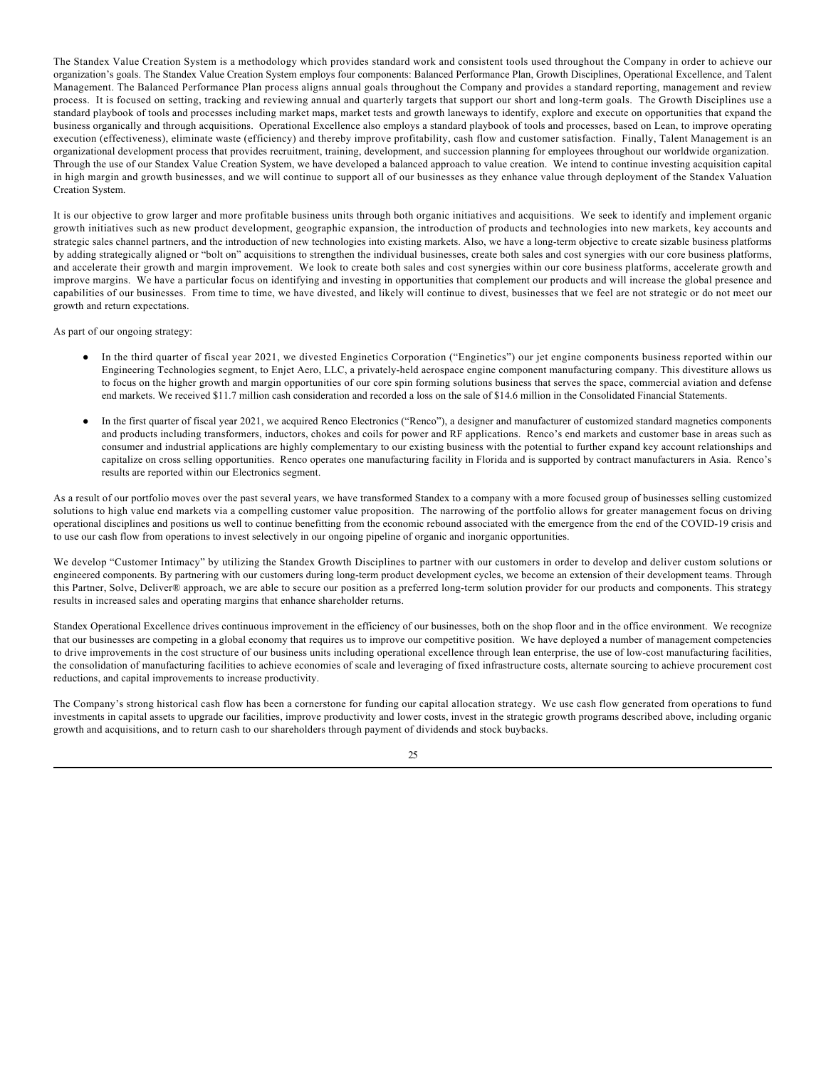The Standex Value Creation System is a methodology which provides standard work and consistent tools used throughout the Company in order to achieve our organization's goals. The Standex Value Creation System employs four components: Balanced Performance Plan, Growth Disciplines, Operational Excellence, and Talent Management. The Balanced Performance Plan process aligns annual goals throughout the Company and provides a standard reporting, management and review process. It is focused on setting, tracking and reviewing annual and quarterly targets that support our short and long-term goals. The Growth Disciplines use a standard playbook of tools and processes including market maps, market tests and growth laneways to identify, explore and execute on opportunities that expand the business organically and through acquisitions. Operational Excellence also employs a standard playbook of tools and processes, based on Lean, to improve operating execution (effectiveness), eliminate waste (efficiency) and thereby improve profitability, cash flow and customer satisfaction. Finally, Talent Management is an organizational development process that provides recruitment, training, development, and succession planning for employees throughout our worldwide organization. Through the use of our Standex Value Creation System, we have developed a balanced approach to value creation. We intend to continue investing acquisition capital in high margin and growth businesses, and we will continue to support all of our businesses as they enhance value through deployment of the Standex Valuation Creation System.

It is our objective to grow larger and more profitable business units through both organic initiatives and acquisitions. We seek to identify and implement organic growth initiatives such as new product development, geographic expansion, the introduction of products and technologies into new markets, key accounts and strategic sales channel partners, and the introduction of new technologies into existing markets. Also, we have a long-term objective to create sizable business platforms by adding strategically aligned or "bolt on" acquisitions to strengthen the individual businesses, create both sales and cost synergies with our core business platforms, and accelerate their growth and margin improvement. We look to create both sales and cost synergies within our core business platforms, accelerate growth and improve margins. We have a particular focus on identifying and investing in opportunities that complement our products and will increase the global presence and capabilities of our businesses. From time to time, we have divested, and likely will continue to divest, businesses that we feel are not strategic or do not meet our growth and return expectations.

As part of our ongoing strategy:

- In the third quarter of fiscal year 2021, we divested Enginetics Corporation ("Enginetics") our jet engine components business reported within our Engineering Technologies segment, to Enjet Aero, LLC, a privately-held aerospace engine component manufacturing company. This divestiture allows us to focus on the higher growth and margin opportunities of our core spin forming solutions business that serves the space, commercial aviation and defense end markets. We received \$11.7 million cash consideration and recorded a loss on the sale of \$14.6 million in the Consolidated Financial Statements.
- In the first quarter of fiscal year 2021, we acquired Renco Electronics ("Renco"), a designer and manufacturer of customized standard magnetics components and products including transformers, inductors, chokes and coils for power and RF applications. Renco's end markets and customer base in areas such as consumer and industrial applications are highly complementary to our existing business with the potential to further expand key account relationships and capitalize on cross selling opportunities. Renco operates one manufacturing facility in Florida and is supported by contract manufacturers in Asia. Renco's results are reported within our Electronics segment.

As a result of our portfolio moves over the past several years, we have transformed Standex to a company with a more focused group of businesses selling customized solutions to high value end markets via a compelling customer value proposition. The narrowing of the portfolio allows for greater management focus on driving operational disciplines and positions us well to continue benefitting from the economic rebound associated with the emergence from the end of the COVID-19 crisis and to use our cash flow from operations to invest selectively in our ongoing pipeline of organic and inorganic opportunities.

We develop "Customer Intimacy" by utilizing the Standex Growth Disciplines to partner with our customers in order to develop and deliver custom solutions or engineered components. By partnering with our customers during long-term product development cycles, we become an extension of their development teams. Through this Partner, Solve, Deliver® approach, we are able to secure our position as a preferred long-term solution provider for our products and components. This strategy results in increased sales and operating margins that enhance shareholder returns.

Standex Operational Excellence drives continuous improvement in the efficiency of our businesses, both on the shop floor and in the office environment. We recognize that our businesses are competing in a global economy that requires us to improve our competitive position. We have deployed a number of management competencies to drive improvements in the cost structure of our business units including operational excellence through lean enterprise, the use of low-cost manufacturing facilities, the consolidation of manufacturing facilities to achieve economies of scale and leveraging of fixed infrastructure costs, alternate sourcing to achieve procurement cost reductions, and capital improvements to increase productivity.

The Company's strong historical cash flow has been a cornerstone for funding our capital allocation strategy. We use cash flow generated from operations to fund investments in capital assets to upgrade our facilities, improve productivity and lower costs, invest in the strategic growth programs described above, including organic growth and acquisitions, and to return cash to our shareholders through payment of dividends and stock buybacks.

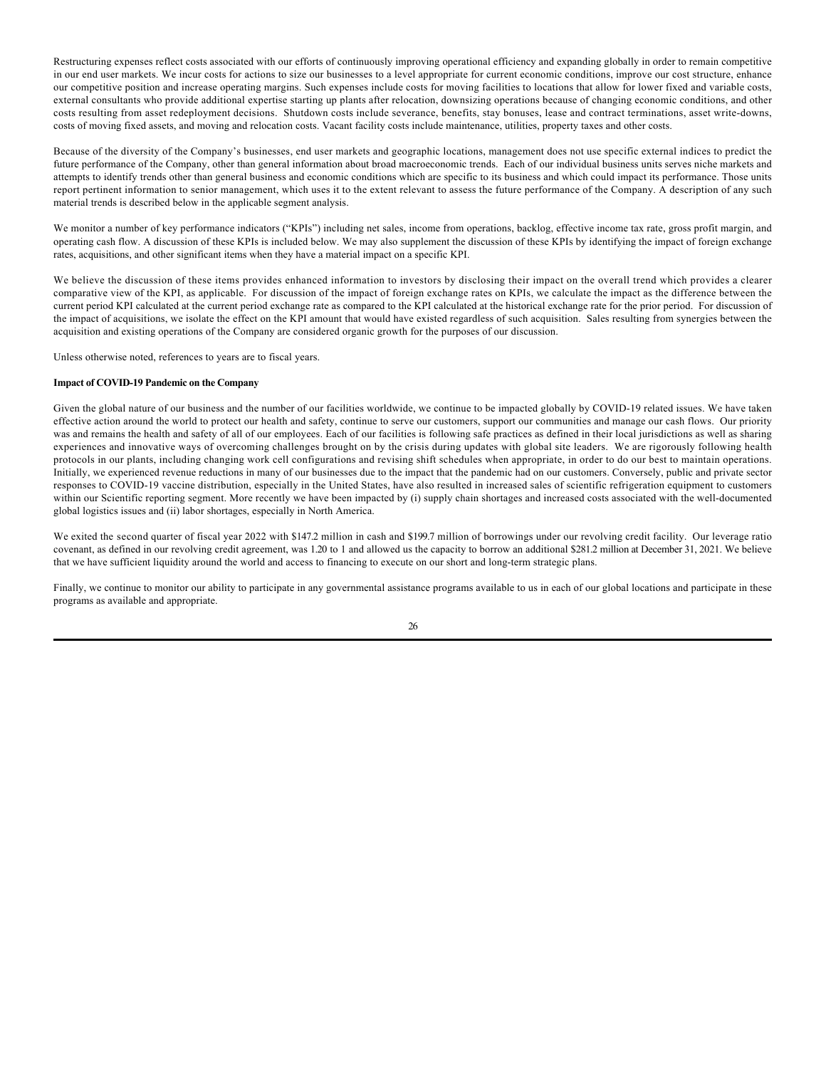Restructuring expenses reflect costs associated with our efforts of continuously improving operational efficiency and expanding globally in order to remain competitive in our end user markets. We incur costs for actions to size our businesses to a level appropriate for current economic conditions, improve our cost structure, enhance our competitive position and increase operating margins. Such expenses include costs for moving facilities to locations that allow for lower fixed and variable costs, external consultants who provide additional expertise starting up plants after relocation, downsizing operations because of changing economic conditions, and other costs resulting from asset redeployment decisions. Shutdown costs include severance, benefits, stay bonuses, lease and contract terminations, asset write-downs, costs of moving fixed assets, and moving and relocation costs. Vacant facility costs include maintenance, utilities, property taxes and other costs.

Because of the diversity of the Company's businesses, end user markets and geographic locations, management does not use specific external indices to predict the future performance of the Company, other than general information about broad macroeconomic trends. Each of our individual business units serves niche markets and attempts to identify trends other than general business and economic conditions which are specific to its business and which could impact its performance. Those units report pertinent information to senior management, which uses it to the extent relevant to assess the future performance of the Company. A description of any such material trends is described below in the applicable segment analysis.

We monitor a number of key performance indicators ("KPIs") including net sales, income from operations, backlog, effective income tax rate, gross profit margin, and operating cash flow. A discussion of these KPIs is included below. We may also supplement the discussion of these KPIs by identifying the impact of foreign exchange rates, acquisitions, and other significant items when they have a material impact on a specific KPI.

We believe the discussion of these items provides enhanced information to investors by disclosing their impact on the overall trend which provides a clearer comparative view of the KPI, as applicable. For discussion of the impact of foreign exchange rates on KPIs, we calculate the impact as the difference between the current period KPI calculated at the current period exchange rate as compared to the KPI calculated at the historical exchange rate for the prior period. For discussion of the impact of acquisitions, we isolate the effect on the KPI amount that would have existed regardless of such acquisition. Sales resulting from synergies between the acquisition and existing operations of the Company are considered organic growth for the purposes of our discussion.

Unless otherwise noted, references to years are to fiscal years.

#### **Impact of COVID-19 Pandemic on the Company**

Given the global nature of our business and the number of our facilities worldwide, we continue to be impacted globally by COVID-19 related issues. We have taken effective action around the world to protect our health and safety, continue to serve our customers, support our communities and manage our cash flows. Our priority was and remains the health and safety of all of our employees. Each of our facilities is following safe practices as defined in their local jurisdictions as well as sharing experiences and innovative ways of overcoming challenges brought on by the crisis during updates with global site leaders. We are rigorously following health protocols in our plants, including changing work cell configurations and revising shift schedules when appropriate, in order to do our best to maintain operations. Initially, we experienced revenue reductions in many of our businesses due to the impact that the pandemic had on our customers. Conversely, public and private sector responses to COVID-19 vaccine distribution, especially in the United States, have also resulted in increased sales of scientific refrigeration equipment to customers within our Scientific reporting segment. More recently we have been impacted by (i) supply chain shortages and increased costs associated with the well-documented global logistics issues and (ii) labor shortages, especially in North America.

We exited the second quarter of fiscal year 2022 with \$147.2 million in cash and \$199.7 million of borrowings under our revolving credit facility. Our leverage ratio covenant, as defined in our revolving credit agreement, was 1.20 to 1 and allowed us the capacity to borrow an additional \$281.2 million at December 31, 2021. We believe that we have sufficient liquidity around the world and access to financing to execute on our short and long-term strategic plans.

Finally, we continue to monitor our ability to participate in any governmental assistance programs available to us in each of our global locations and participate in these programs as available and appropriate.

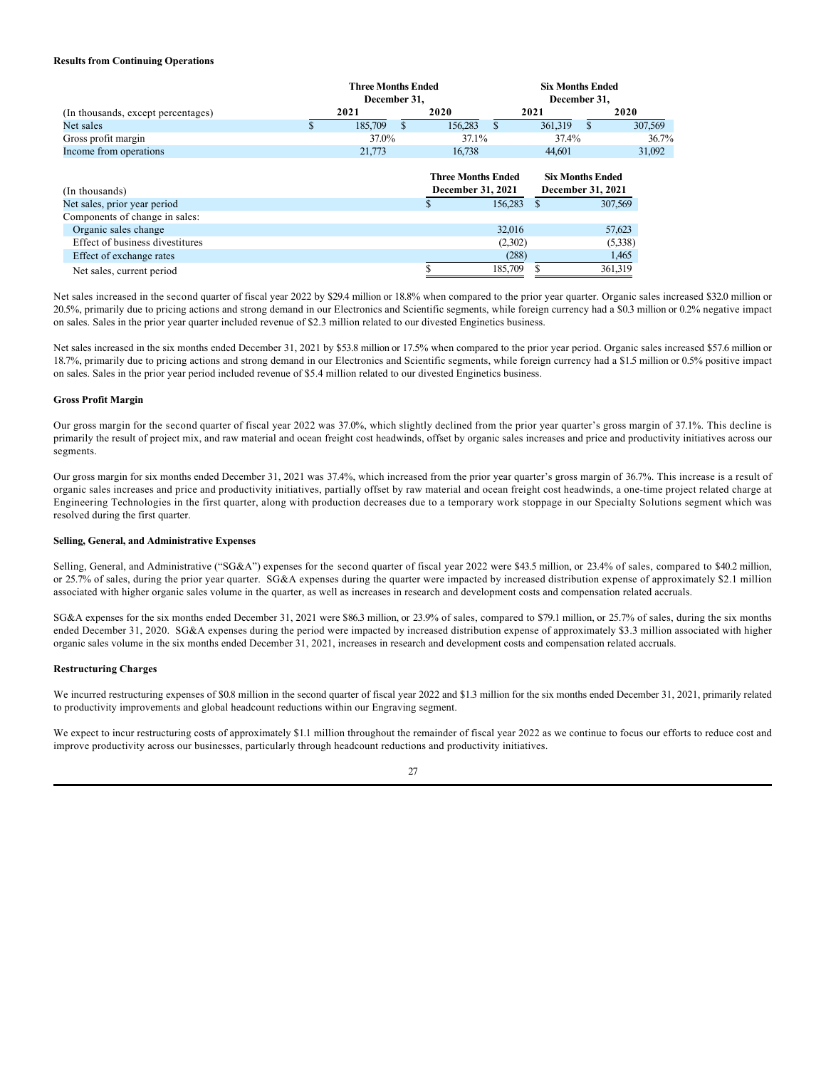#### **Results from Continuing Operations**

|                                    |      | <b>Three Months Ended</b><br>December 31. |  |                                                |         |         |                                              |         |
|------------------------------------|------|-------------------------------------------|--|------------------------------------------------|---------|---------|----------------------------------------------|---------|
| (In thousands, except percentages) | 2021 |                                           |  | 2020                                           |         | 2021    | 2020                                         |         |
| Net sales                          | \$   | 185,709                                   |  | 156,283                                        |         | 361,319 | \$.                                          | 307,569 |
| Gross profit margin                |      | 37.0%                                     |  | 37.1%                                          |         | 37.4%   |                                              | 36.7%   |
| Income from operations             |      | 21,773                                    |  | 16,738                                         |         | 44,601  |                                              | 31,092  |
| (In thousands)                     |      |                                           |  | <b>Three Months Ended</b><br>December 31, 2021 |         |         | <b>Six Months Ended</b><br>December 31, 2021 |         |
| Net sales, prior year period       |      |                                           |  | S                                              | 156,283 |         | 307,569                                      |         |
| Components of change in sales:     |      |                                           |  |                                                |         |         |                                              |         |
| Organic sales change               |      |                                           |  |                                                | 32,016  |         | 57,623                                       |         |
| Effect of business divestitures    |      |                                           |  |                                                | (2,302) |         | (5,338)                                      |         |
| Effect of exchange rates           |      |                                           |  |                                                | (288)   |         | 1,465                                        |         |
| Net sales, current period          |      |                                           |  |                                                | 185,709 |         | 361,319                                      |         |

Net sales increased in the second quarter of fiscal year 2022 by \$29.4 million or 18.8% when compared to the prior year quarter. Organic sales increased \$32.0 million or 20.5%, primarily due to pricing actions and strong demand in our Electronics and Scientific segments, while foreign currency had a \$0.3 million or 0.2% negative impact on sales. Sales in the prior year quarter included revenue of \$2.3 million related to our divested Enginetics business.

Net sales increased in the six months ended December 31, 2021 by \$53.8 million or 17.5% when compared to the prior year period. Organic sales increased \$57.6 million or 18.7%, primarily due to pricing actions and strong demand in our Electronics and Scientific segments, while foreign currency had a \$1.5 million or 0.5% positive impact on sales. Sales in the prior year period included revenue of \$5.4 million related to our divested Enginetics business.

## **Gross Profit Margin**

Our gross margin for the second quarter of fiscal year 2022 was 37.0%, which slightly declined from the prior year quarter's gross margin of 37.1%. This decline is primarily the result of project mix, and raw material and ocean freight cost headwinds, offset by organic sales increases and price and productivity initiatives across our segments.

Our gross margin for six months ended December 31, 2021 was 37.4%, which increased from the prior year quarter's gross margin of 36.7%. This increase is a result of organic sales increases and price and productivity initiatives, partially offset by raw material and ocean freight cost headwinds, a one-time project related charge at Engineering Technologies in the first quarter, along with production decreases due to a temporary work stoppage in our Specialty Solutions segment which was resolved during the first quarter.

## **Selling, General, and Administrative Expenses**

Selling, General, and Administrative ("SG&A") expenses for the second quarter of fiscal year 2022 were \$43.5 million, or 23.4% of sales, compared to \$40.2 million, or 25.7% of sales, during the prior year quarter. SG&A expenses during the quarter were impacted by increased distribution expense of approximately \$2.1 million associated with higher organic sales volume in the quarter, as well as increases in research and development costs and compensation related accruals.

SG&A expenses for the six months ended December 31, 2021 were \$86.3 million, or 23.9% of sales, compared to \$79.1 million, or 25.7% of sales, during the six months ended December 31, 2020. SG&A expenses during the period were impacted by increased distribution expense of approximately \$3.3 million associated with higher organic sales volume in the six months ended December 31, 2021, increases in research and development costs and compensation related accruals.

## **Restructuring Charges**

We incurred restructuring expenses of \$0.8 million in the second quarter of fiscal year 2022 and \$1.3 million for the six months ended December 31, 2021, primarily related to productivity improvements and global headcount reductions within our Engraving segment.

We expect to incur restructuring costs of approximately \$1.1 million throughout the remainder of fiscal year 2022 as we continue to focus our efforts to reduce cost and improve productivity across our businesses, particularly through headcount reductions and productivity initiatives.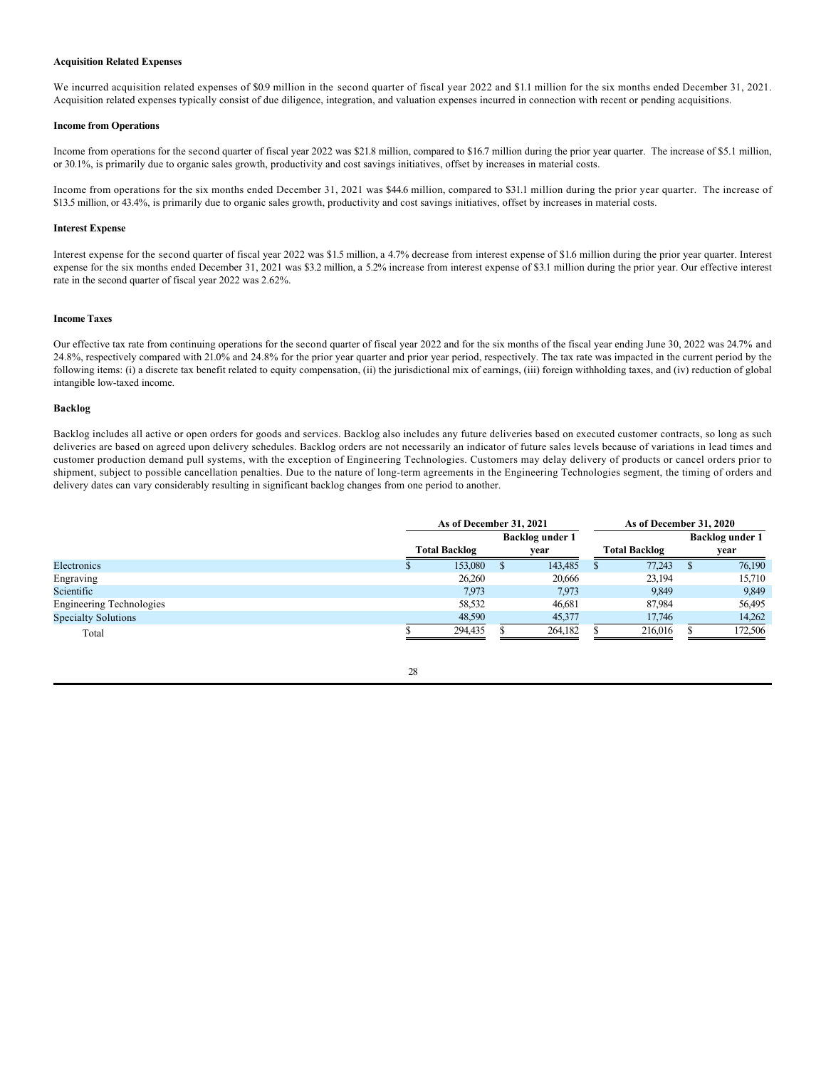#### **Acquisition Related Expenses**

We incurred acquisition related expenses of \$0.9 million in the second quarter of fiscal year 2022 and \$1.1 million for the six months ended December 31, 2021. Acquisition related expenses typically consist of due diligence, integration, and valuation expenses incurred in connection with recent or pending acquisitions.

#### **Income from Operations**

Income from operations for the second quarter of fiscal year 2022 was \$21.8 million, compared to \$16.7 million during the prior year quarter. The increase of \$5.1 million, or 30.1%, is primarily due to organic sales growth, productivity and cost savings initiatives, offset by increases in material costs.

Income from operations for the six months ended December 31, 2021 was \$44.6 million, compared to \$31.1 million during the prior year quarter. The increase of \$13.5 million, or 43.4%, is primarily due to organic sales growth, productivity and cost savings initiatives, offset by increases in material costs.

#### **Interest Expense**

Interest expense for the second quarter of fiscal year 2022 was \$1.5 million, a 4.7% decrease from interest expense of \$1.6 million during the prior year quarter. Interest expense for the six months ended December 31, 2021 was \$3.2 million, a 5.2% increase from interest expense of \$3.1 million during the prior year. Our effective interest rate in the second quarter of fiscal year 2022 was 2.62%.

#### **Income Taxes**

Our effective tax rate from continuing operations for the second quarter of fiscal year 2022 and for the six months of the fiscal year ending June 30, 2022 was 24.7% and 24.8%, respectively compared with 21.0% and 24.8% for the prior year quarter and prior year period, respectively. The tax rate was impacted in the current period by the following items: (i) a discrete tax benefit related to equity compensation, (ii) the jurisdictional mix of earnings, (iii) foreign withholding taxes, and (iv) reduction of global intangible low-taxed income.

#### **Backlog**

Backlog includes all active or open orders for goods and services. Backlog also includes any future deliveries based on executed customer contracts, so long as such deliveries are based on agreed upon delivery schedules. Backlog orders are not necessarily an indicator of future sales levels because of variations in lead times and customer production demand pull systems, with the exception of Engineering Technologies. Customers may delay delivery of products or cancel orders prior to shipment, subject to possible cancellation penalties. Due to the nature of long-term agreements in the Engineering Technologies segment, the timing of orders and delivery dates can vary considerably resulting in significant backlog changes from one period to another.

|                            | As of December 31, 2021 |  |         |  |                      | As of December 31, 2020 |                 |
|----------------------------|-------------------------|--|---------|--|----------------------|-------------------------|-----------------|
|                            | <b>Backlog under 1</b>  |  |         |  |                      |                         | Backlog under 1 |
|                            | <b>Total Backlog</b>    |  | vear    |  | <b>Total Backlog</b> |                         | vear            |
| Electronics                | 153,080                 |  | 143,485 |  | 77,243               |                         | 76,190          |
| Engraving                  | 26,260                  |  | 20,666  |  | 23,194               |                         | 15,710          |
| Scientific                 | 7,973                   |  | 7,973   |  | 9,849                |                         | 9,849           |
| Engineering Technologies   | 58,532                  |  | 46.681  |  | 87.984               |                         | 56,495          |
| <b>Specialty Solutions</b> | 48,590                  |  | 45,377  |  | 17,746               |                         | 14,262          |
| Total                      | 294,435                 |  | 264,182 |  | 216,016              |                         | 172,506         |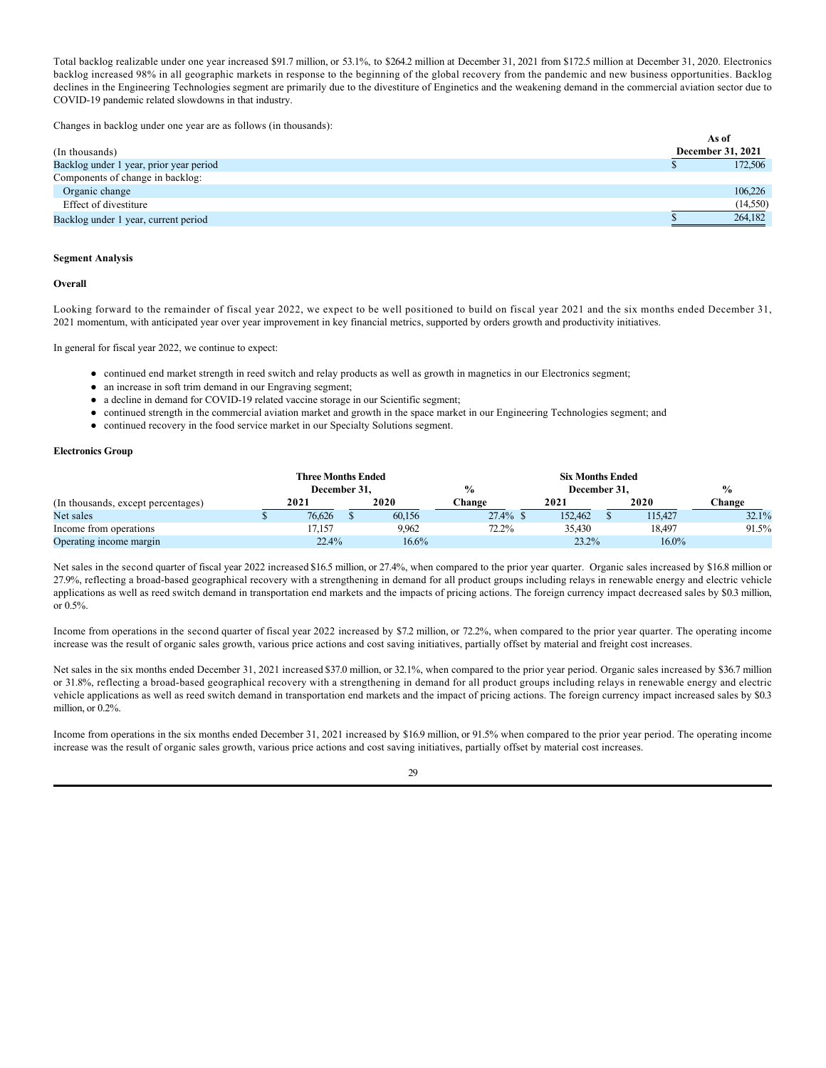Total backlog realizable under one year increased \$91.7 million, or 53.1%, to \$264.2 million at December 31, 2021 from \$172.5 million at December 31, 2020. Electronics backlog increased 98% in all geographic markets in response to the beginning of the global recovery from the pandemic and new business opportunities. Backlog declines in the Engineering Technologies segment are primarily due to the divestiture of Enginetics and the weakening demand in the commercial aviation sector due to COVID-19 pandemic related slowdowns in that industry.

Changes in backlog under one year are as follows (in thousands):

|                                         | As of             |
|-----------------------------------------|-------------------|
| (In thousands)                          | December 31, 2021 |
| Backlog under 1 year, prior year period | 172,506           |
| Components of change in backlog:        |                   |
| Organic change                          | 106,226           |
| Effect of divestiture                   | (14,550)          |
| Backlog under 1 year, current period    | 264,182           |

#### **Segment Analysis**

#### **Overall**

Looking forward to the remainder of fiscal year 2022, we expect to be well positioned to build on fiscal year 2021 and the six months ended December 31, 2021 momentum, with anticipated year over year improvement in key financial metrics, supported by orders growth and productivity initiatives.

In general for fiscal year 2022, we continue to expect:

- continued end market strength in reed switch and relay products as well as growth in magnetics in our Electronics segment;
- an increase in soft trim demand in our Engraving segment;
- a decline in demand for COVID-19 related vaccine storage in our Scientific segment;
- continued strength in the commercial aviation market and growth in the space market in our Engineering Technologies segment; and
- continued recovery in the food service market in our Specialty Solutions segment.

#### **Electronics Group**

|                                    | <b>Three Months Ended</b> |        |               |              |          |               |
|------------------------------------|---------------------------|--------|---------------|--------------|----------|---------------|
|                                    | December 31.              |        | $\frac{0}{0}$ | December 31. |          | $\frac{0}{0}$ |
| (In thousands, except percentages) | 2021                      | 2020   | Change        | 2021         | 2020     | <b>Change</b> |
| Net sales                          | 76,626                    | 60,156 | $27.4\%$ \$   | 152,462      | 115,427  | 32.1%         |
| Income from operations             | 17.157                    | 9.962  | 72.2%         | 35,430       | 18.497   | 91.5%         |
| Operating income margin            | 22.4%                     | 16.6%  |               | 23.2%        | $16.0\%$ |               |

Net sales in the second quarter of fiscal year 2022 increased \$16.5 million, or 27.4%, when compared to the prior year quarter. Organic sales increased by \$16.8 million or 27.9%, reflecting a broad-based geographical recovery with a strengthening in demand for all product groups including relays in renewable energy and electric vehicle applications as well as reed switch demand in transportation end markets and the impacts of pricing actions. The foreign currency impact decreased sales by \$0.3 million, or 0.5%.

Income from operations in the second quarter of fiscal year 2022 increased by \$7.2 million, or 72.2%, when compared to the prior year quarter. The operating income increase was the result of organic sales growth, various price actions and cost saving initiatives, partially offset by material and freight cost increases.

Net sales in the six months ended December 31, 2021 increased \$37.0 million, or 32.1%, when compared to the prior year period. Organic sales increased by \$36.7 million or 31.8%, reflecting a broad-based geographical recovery with a strengthening in demand for all product groups including relays in renewable energy and electric vehicle applications as well as reed switch demand in transportation end markets and the impact of pricing actions. The foreign currency impact increased sales by \$0.3 million, or 0.2%.

Income from operations in the six months ended December 31, 2021 increased by \$16.9 million, or 91.5% when compared to the prior year period. The operating income increase was the result of organic sales growth, various price actions and cost saving initiatives, partially offset by material cost increases.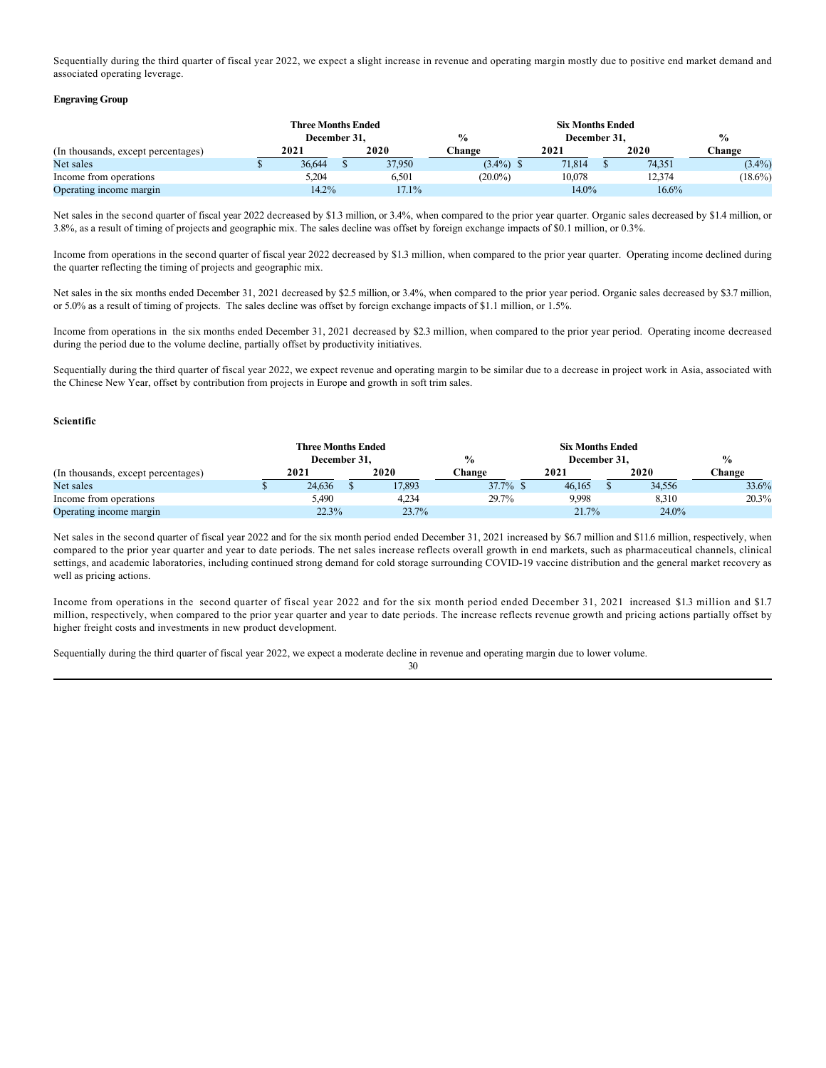Sequentially during the third quarter of fiscal year 2022, we expect a slight increase in revenue and operating margin mostly due to positive end market demand and associated operating leverage.

## **Engraving Group**

|                                    |  | Three Months Ended |        |               |              |        |               |
|------------------------------------|--|--------------------|--------|---------------|--------------|--------|---------------|
|                                    |  | December 31.       |        | $\frac{0}{0}$ | December 31. |        | $\frac{0}{0}$ |
| (In thousands, except percentages) |  | 2021               | 2020   | <b>Change</b> | 2021         | 2020   | <b>hange</b>  |
| Net sales                          |  | 36.644             | 37.950 | $(3.4\%)$ \$  | 71.814       | 74.351 | $(3.4\%)$     |
| Income from operations             |  | 5.204              | 6.501  | $(20.0\%)$    | 10.078       | 12.374 | $(18.6\%)$    |
| Operating income margin            |  | 14.2%              | 17.1%  |               | 14.0%        | 16.6%  |               |

Net sales in the second quarter of fiscal year 2022 decreased by \$1.3 million, or 3.4%, when compared to the prior year quarter. Organic sales decreased by \$1.4 million, or 3.8%, as a result of timing of projects and geographic mix. The sales decline was offset by foreign exchange impacts of \$0.1 million, or 0.3%.

Income from operations in the second quarter of fiscal year 2022 decreased by \$1.3 million, when compared to the prior year quarter. Operating income declined during the quarter reflecting the timing of projects and geographic mix.

Net sales in the six months ended December 31, 2021 decreased by \$2.5 million, or 3.4%, when compared to the prior year period. Organic sales decreased by \$3.7 million, or 5.0% as a result of timing of projects. The sales decline was offset by foreign exchange impacts of \$1.1 million, or 1.5%.

Income from operations in the six months ended December 31, 2021 decreased by \$2.3 million, when compared to the prior year period. Operating income decreased during the period due to the volume decline, partially offset by productivity initiatives.

Sequentially during the third quarter of fiscal year 2022, we expect revenue and operating margin to be similar due to a decrease in project work in Asia, associated with the Chinese New Year, offset by contribution from projects in Europe and growth in soft trim sales.

## **Scientific**

|                                    | Three Months Ended<br>December 31. |        | $\frac{0}{0}$ | $\frac{0}{0}$ |        |               |
|------------------------------------|------------------------------------|--------|---------------|---------------|--------|---------------|
| (In thousands, except percentages) | 2021                               | 2020   | <b>Change</b> | 2021          | 2020   | <b>Change</b> |
| Net sales                          | 24,636                             | 17,893 | 37.7% \$      | 46.165        | 34.556 | 33.6%         |
| Income from operations             | 5.490                              | 4.234  | 29.7%         | 9.998         | 8.310  | 20.3%         |
| Operating income margin            | 22.3%                              | 23.7%  |               | 21.7%         | 24.0%  |               |

Net sales in the second quarter of fiscal year 2022 and for the six month period ended December 31, 2021 increased by \$6.7 million and \$11.6 million, respectively, when compared to the prior year quarter and year to date periods. The net sales increase reflects overall growth in end markets, such as pharmaceutical channels, clinical settings, and academic laboratories, including continued strong demand for cold storage surrounding COVID-19 vaccine distribution and the general market recovery as well as pricing actions.

Income from operations in the second quarter of fiscal year 2022 and for the six month period ended December 31, 2021 increased \$1.3 million and \$1.7 million, respectively, when compared to the prior year quarter and year to date periods. The increase reflects revenue growth and pricing actions partially offset by higher freight costs and investments in new product development.

Sequentially during the third quarter of fiscal year 2022, we expect a moderate decline in revenue and operating margin due to lower volume.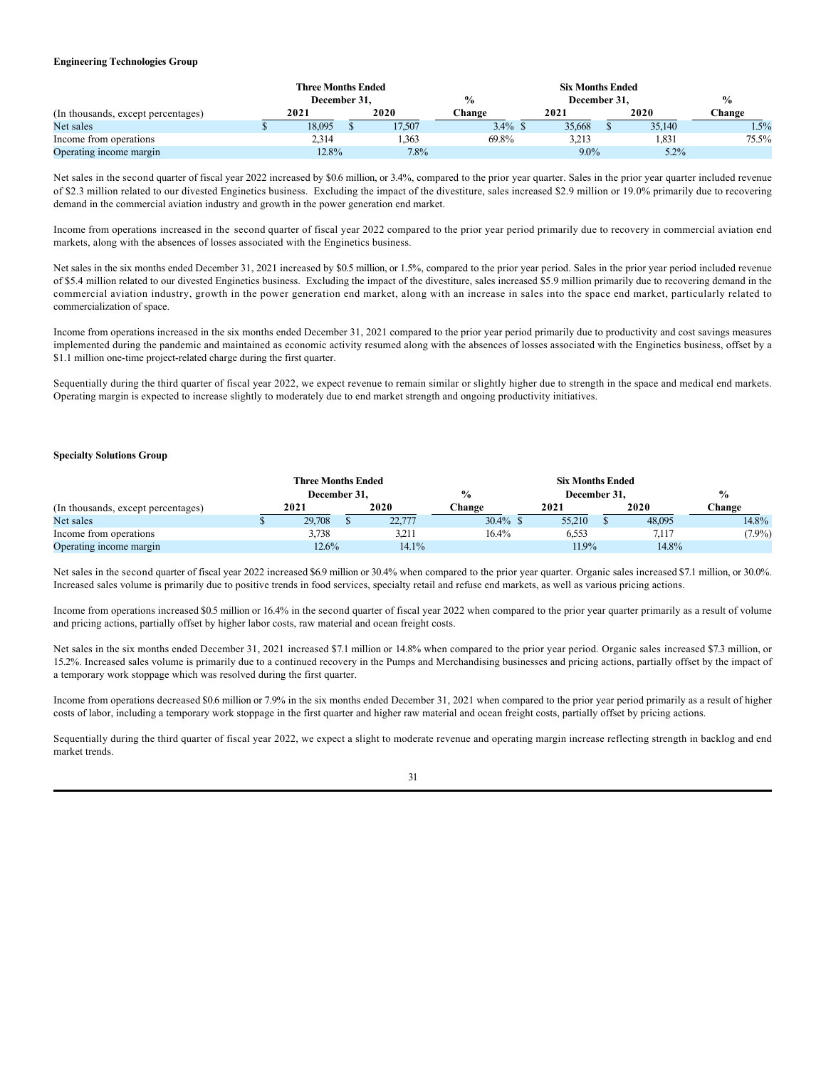## **Engineering Technologies Group**

|                                    | <b>Three Months Ended</b> |  |         | <b>Six Months Ended</b> |              |  |               |               |
|------------------------------------|---------------------------|--|---------|-------------------------|--------------|--|---------------|---------------|
|                                    | December 31.              |  |         | $\frac{6}{9}$           | December 31. |  | $\frac{0}{0}$ |               |
| (In thousands, except percentages) | 2021                      |  | 2020    | <b>Change</b>           | 2021         |  | 2020          | <b>Change</b> |
| Net sales                          | 18.095                    |  | 17.507  | $3.4\%$                 | 35,668       |  | 35,140        | $1.5\%$       |
| Income from operations             | 2.314                     |  | 1.363   | 69.8%                   | 3.213        |  | 1.831         | 75.5%         |
| Operating income margin            | 12.8%                     |  | $7.8\%$ |                         | $9.0\%$      |  | 5.2%          |               |

Net sales in the second quarter of fiscal year 2022 increased by \$0.6 million, or 3.4%, compared to the prior year quarter. Sales in the prior year quarter included revenue of \$2.3 million related to our divested Enginetics business. Excluding the impact of the divestiture, sales increased \$2.9 million or 19.0% primarily due to recovering demand in the commercial aviation industry and growth in the power generation end market.

Income from operations increased in the second quarter of fiscal year 2022 compared to the prior year period primarily due to recovery in commercial aviation end markets, along with the absences of losses associated with the Enginetics business.

Net sales in the six months ended December 31, 2021 increased by \$0.5 million, or 1.5%, compared to the prior year period. Sales in the prior year period included revenue of \$5.4 million related to our divested Enginetics business. Excluding the impact of the divestiture, sales increased \$5.9 million primarily due to recovering demand in the commercial aviation industry, growth in the power generation end market, along with an increase in sales into the space end market, particularly related to commercialization of space.

Income from operations increased in the six months ended December 31, 2021 compared to the prior year period primarily due to productivity and cost savings measures implemented during the pandemic and maintained as economic activity resumed along with the absences of losses associated with the Enginetics business, offset by a \$1.1 million one-time project-related charge during the first quarter.

Sequentially during the third quarter of fiscal year 2022, we expect revenue to remain similar or slightly higher due to strength in the space and medical end markets. Operating margin is expected to increase slightly to moderately due to end market strength and ongoing productivity initiatives.

#### **Specialty Solutions Group**

|                                    |  | <b>Three Months Ended</b><br>December 31. |        | $\frac{0}{0}$ | <b>Six Months Ended</b><br>December 31. | $\frac{0}{0}$ |        |              |
|------------------------------------|--|-------------------------------------------|--------|---------------|-----------------------------------------|---------------|--------|--------------|
| (In thousands, except percentages) |  | 2021                                      | 2020   | Change        | 2021                                    |               | 2020   | <b>hange</b> |
| Net sales                          |  | 29,708                                    | 22,777 | $30.4\%$ \$   | 55,210                                  |               | 48,095 | 14.8%        |
| Income from operations             |  | 3,738                                     | 3.211  | 16.4%         | 6,553                                   |               | 7,117  | $(7.9\%)$    |
| Operating income margin            |  | $12.6\%$                                  | 14.1%  |               | $11.9\%$                                |               | 14.8%  |              |

Net sales in the second quarter of fiscal year 2022 increased \$6.9 million or 30.4% when compared to the prior year quarter. Organic sales increased \$7.1 million, or 30.0%. Increased sales volume is primarily due to positive trends in food services, specialty retail and refuse end markets, as well as various pricing actions.

Income from operations increased \$0.5 million or 16.4% in the second quarter of fiscal year 2022 when compared to the prior year quarter primarily as a result of volume and pricing actions, partially offset by higher labor costs, raw material and ocean freight costs.

Net sales in the six months ended December 31, 2021 increased \$7.1 million or 14.8% when compared to the prior year period. Organic sales increased \$7.3 million, or 15.2%. Increased sales volume is primarily due to a continued recovery in the Pumps and Merchandising businesses and pricing actions, partially offset by the impact of a temporary work stoppage which was resolved during the first quarter.

Income from operations decreased \$0.6 million or 7.9% in the six months ended December 31, 2021 when compared to the prior year period primarily as a result of higher costs of labor, including a temporary work stoppage in the first quarter and higher raw material and ocean freight costs, partially offset by pricing actions.

Sequentially during the third quarter of fiscal year 2022, we expect a slight to moderate revenue and operating margin increase reflecting strength in backlog and end market trends.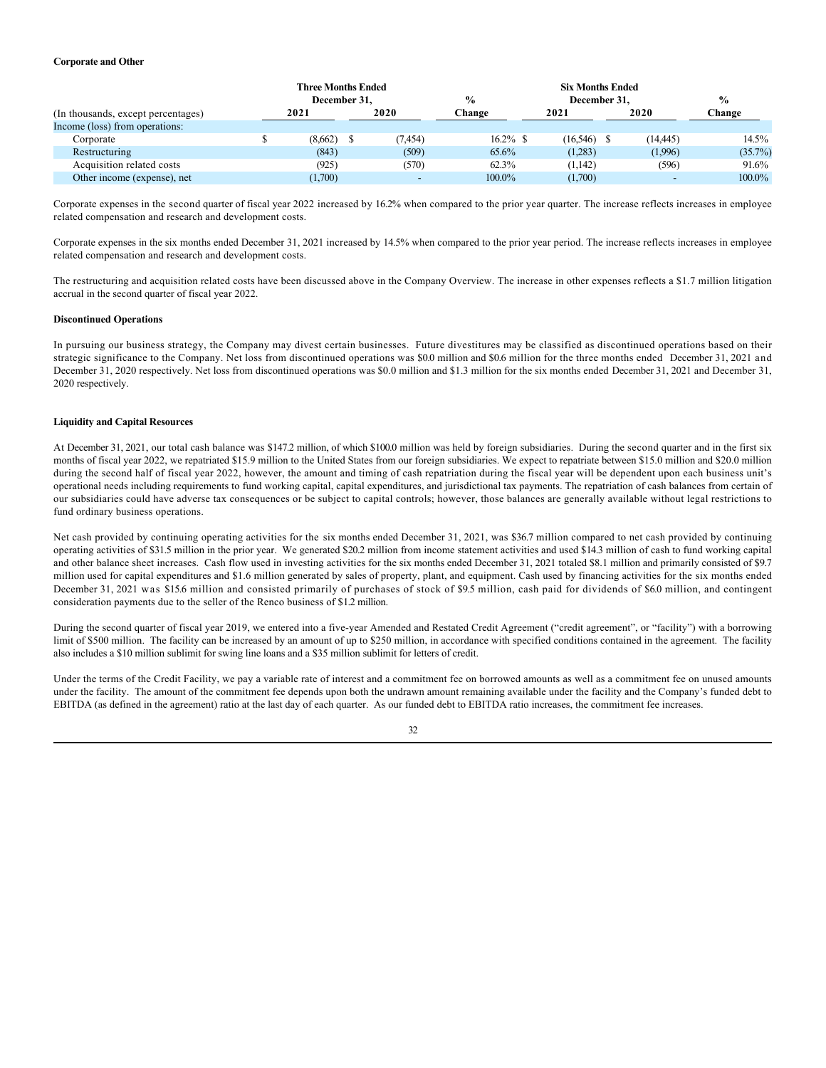## **Corporate and Other**

|                                    | Three Months Ended |  |          | <b>Six Months Ended</b> |               |  |           |               |  |
|------------------------------------|--------------------|--|----------|-------------------------|---------------|--|-----------|---------------|--|
|                                    | December 31,       |  |          | $\frac{0}{0}$           | December 31,  |  |           | $\frac{0}{0}$ |  |
| (In thousands, except percentages) | 2021               |  | 2020     | Change                  | 2021          |  | 2020      | Change        |  |
| Income (loss) from operations:     |                    |  |          |                         |               |  |           |               |  |
| Corporate                          | (8,662)            |  | (7, 454) | $16.2\%$ \$             | $(16,546)$ \$ |  | (14, 445) | 14.5%         |  |
| Restructuring                      | (843)              |  | (509)    | 65.6%                   | (1,283)       |  | (1,996)   | $(35.7\%)$    |  |
| Acquisition related costs          | (925)              |  | (570)    | 62.3%                   | (1,142)       |  | (596)     | 91.6%         |  |
| Other income (expense), net        | (1,700)            |  | -        | 100.0%                  | (1,700)       |  | -         | 100.0%        |  |

Corporate expenses in the second quarter of fiscal year 2022 increased by 16.2% when compared to the prior year quarter. The increase reflects increases in employee related compensation and research and development costs.

Corporate expenses in the six months ended December 31, 2021 increased by 14.5% when compared to the prior year period. The increase reflects increases in employee related compensation and research and development costs.

The restructuring and acquisition related costs have been discussed above in the Company Overview. The increase in other expenses reflects a \$1.7 million litigation accrual in the second quarter of fiscal year 2022.

#### **Discontinued Operations**

In pursuing our business strategy, the Company may divest certain businesses. Future divestitures may be classified as discontinued operations based on their strategic significance to the Company. Net loss from discontinued operations was \$0.0 million and \$0.6 million for the three months ended December 31, 2021 and December 31, 2020 respectively. Net loss from discontinued operations was \$0.0 million and \$1.3 million for the six months ended December 31, 2021 and December 31, 2020 respectively.

### **Liquidity and Capital Resources**

At December 31, 2021, our total cash balance was \$147.2 million, of which \$100.0 million was held by foreign subsidiaries. During the second quarter and in the first six months of fiscal year 2022, we repatriated \$15.9 million to the United States from our foreign subsidiaries. We expect to repatriate between \$15.0 million and \$20.0 million during the second half of fiscal year 2022, however, the amount and timing of cash repatriation during the fiscal year will be dependent upon each business unit's operational needs including requirements to fund working capital, capital expenditures, and jurisdictional tax payments. The repatriation of cash balances from certain of our subsidiaries could have adverse tax consequences or be subject to capital controls; however, those balances are generally available without legal restrictions to fund ordinary business operations.

Net cash provided by continuing operating activities for the six months ended December 31, 2021, was \$36.7 million compared to net cash provided by continuing operating activities of \$31.5 million in the prior year. We generated \$20.2 million from income statement activities and used \$14.3 million of cash to fund working capital and other balance sheet increases. Cash flow used in investing activities for the six months ended December 31, 2021 totaled \$8.1 million and primarily consisted of \$9.7 million used for capital expenditures and \$1.6 million generated by sales of property, plant, and equipment. Cash used by financing activities for the six months ended December 31, 2021 was \$15.6 million and consisted primarily of purchases of stock of \$9.5 million, cash paid for dividends of \$6.0 million, and contingent consideration payments due to the seller of the Renco business of \$1.2 million.

During the second quarter of fiscal year 2019, we entered into a five-year Amended and Restated Credit Agreement ("credit agreement", or "facility") with a borrowing limit of \$500 million. The facility can be increased by an amount of up to \$250 million, in accordance with specified conditions contained in the agreement. The facility also includes a \$10 million sublimit for swing line loans and a \$35 million sublimit for letters of credit.

Under the terms of the Credit Facility, we pay a variable rate of interest and a commitment fee on borrowed amounts as well as a commitment fee on unused amounts under the facility. The amount of the commitment fee depends upon both the undrawn amount remaining available under the facility and the Company's funded debt to EBITDA (as defined in the agreement) ratio at the last day of each quarter. As our funded debt to EBITDA ratio increases, the commitment fee increases.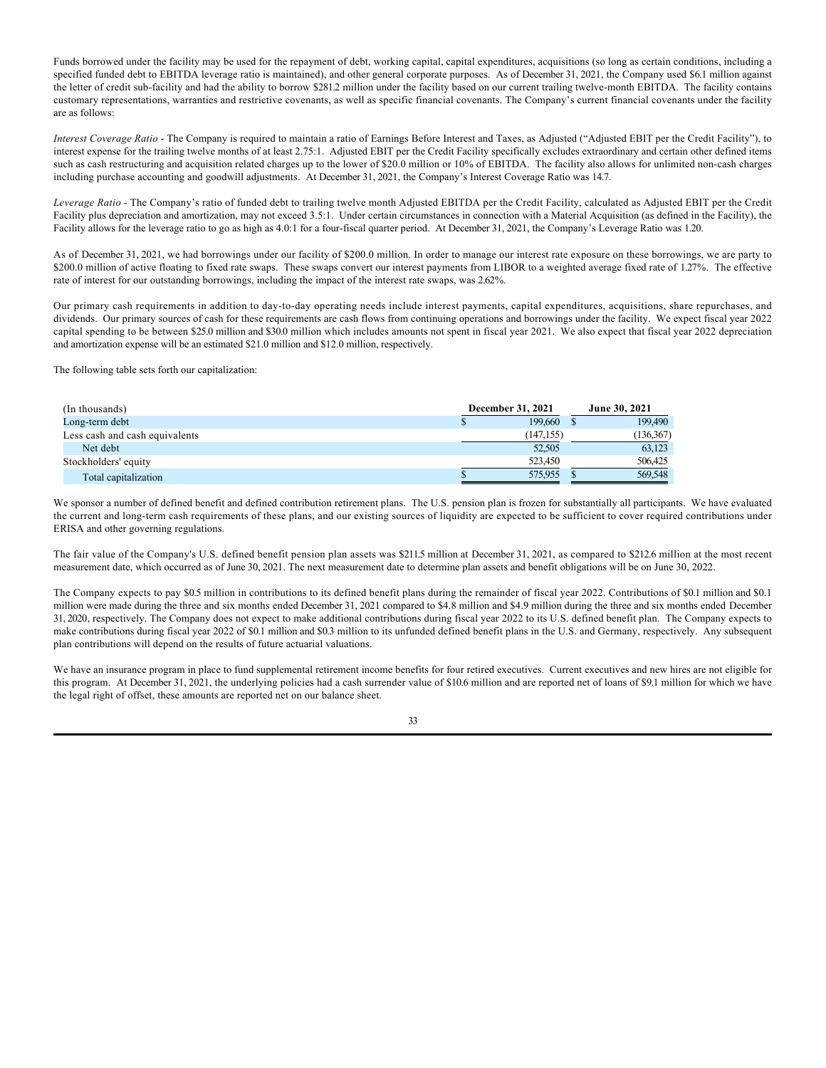Funds borrowed under the facility may be used for the repayment of debt, working capital, capital expenditures, acquisitions (so long as certain conditions, including a specified funded debt to EBITDA leverage ratio is maintained), and other general corporate purposes. As of December 31, 2021, the Company used \$6.1 million against the letter of credit sub-facility and had the ability to borrow \$281.2 million under the facility based on our current trailing twelve-month EBITDA. The facility contains customary representations, warranties and restrictive covenants, as well as specific financial covenants. The Company's current financial covenants under the facility are as follows:

*Interest Coverage Ratio* - The Company is required to maintain a ratio of Earnings Before Interest and Taxes, as Adjusted ("Adjusted EBIT per the Credit Facility"), to interest expense for the trailing twelve months of at least 2.75:1. Adjusted EBIT per the Credit Facility specifically excludes extraordinary and certain other defined items such as cash restructuring and acquisition related charges up to the lower of \$20.0 million or 10% of EBITDA. The facility also allows for unlimited non-cash charges including purchase accounting and goodwill adjustments. At December 31, 2021, the Company's Interest Coverage Ratio was 14.7.

*Leverage Ratio* - The Company's ratio of funded debt to trailing twelve month Adjusted EBITDA per the Credit Facility, calculated as Adjusted EBIT per the Credit Facility plus depreciation and amortization, may not exceed 3.5:1. Under certain circumstances in connection with a Material Acquisition (as defined in the Facility), the Facility allows for the leverage ratio to go as high as 4.0:1 for a four-fiscal quarter period. At December 31, 2021, the Company's Leverage Ratio was 1.20.

As of December 31, 2021, we had borrowings under our facility of \$200.0 million. In order to manage our interest rate exposure on these borrowings, we are party to \$200.0 million of active floating to fixed rate swaps. These swaps convert our interest payments from LIBOR to a weighted average fixed rate of 1.27%. The effective rate of interest for our outstanding borrowings, including the impact of the interest rate swaps, was 2.62%.

Our primary cash requirements in addition to day-to-day operating needs include interest payments, capital expenditures, acquisitions, share repurchases, and dividends. Our primary sources of cash for these requirements are cash flows from continuing operations and borrowings under the facility. We expect fiscal year 2022 capital spending to be between \$25.0 million and \$30.0 million which includes amounts not spent in fiscal year 2021. We also expect that fiscal year 2022 depreciation and amortization expense will be an estimated \$21.0 million and \$12.0 million, respectively.

The following table sets forth our capitalization:

| (In thousands)                 | <b>December 31, 2021</b> | June 30, 2021 |
|--------------------------------|--------------------------|---------------|
| Long-term debt                 | 199,660                  | 199,490       |
| Less cash and cash equivalents | (147, 155)               | (136, 367)    |
| Net debt                       | 52,505                   | 63,123        |
| Stockholders' equity           | 523,450                  | 506,425       |
| Total capitalization           | 575,955                  | 569,548       |

We sponsor a number of defined benefit and defined contribution retirement plans. The U.S. pension plan is frozen for substantially all participants. We have evaluated the current and long-term cash requirements of these plans, and our existing sources of liquidity are expected to be sufficient to cover required contributions under ERISA and other governing regulations.

The fair value of the Company's U.S. defined benefit pension plan assets was \$211.5 million at December 31, 2021, as compared to \$212.6 million at the most recent measurement date, which occurred as of June 30, 2021. The next measurement date to determine plan assets and benefit obligations will be on June 30, 2022.

The Company expects to pay \$0.5 million in contributions to its defined benefit plans during the remainder of fiscal year 2022. Contributions of \$0.1 million and \$0.1 million were made during the three and six months ended December 31, 2021 compared to \$4.8 million and \$4.9 million during the three and six months ended December 31, 2020, respectively. The Company does not expect to make additional contributions during fiscal year 2022 to its U.S. defined benefit plan. The Company expects to make contributions during fiscal year 2022 of \$0.1 million and \$0.3 million to its unfunded defined benefit plans in the U.S. and Germany, respectively. Any subsequent plan contributions will depend on the results of future actuarial valuations.

We have an insurance program in place to fund supplemental retirement income benefits for four retired executives. Current executives and new hires are not eligible for this program. At December 31, 2021, the underlying policies had a cash surrender value of \$10.6 million and are reported net of loans of \$9.1 million for which we have the legal right of offset, these amounts are reported net on our balance sheet.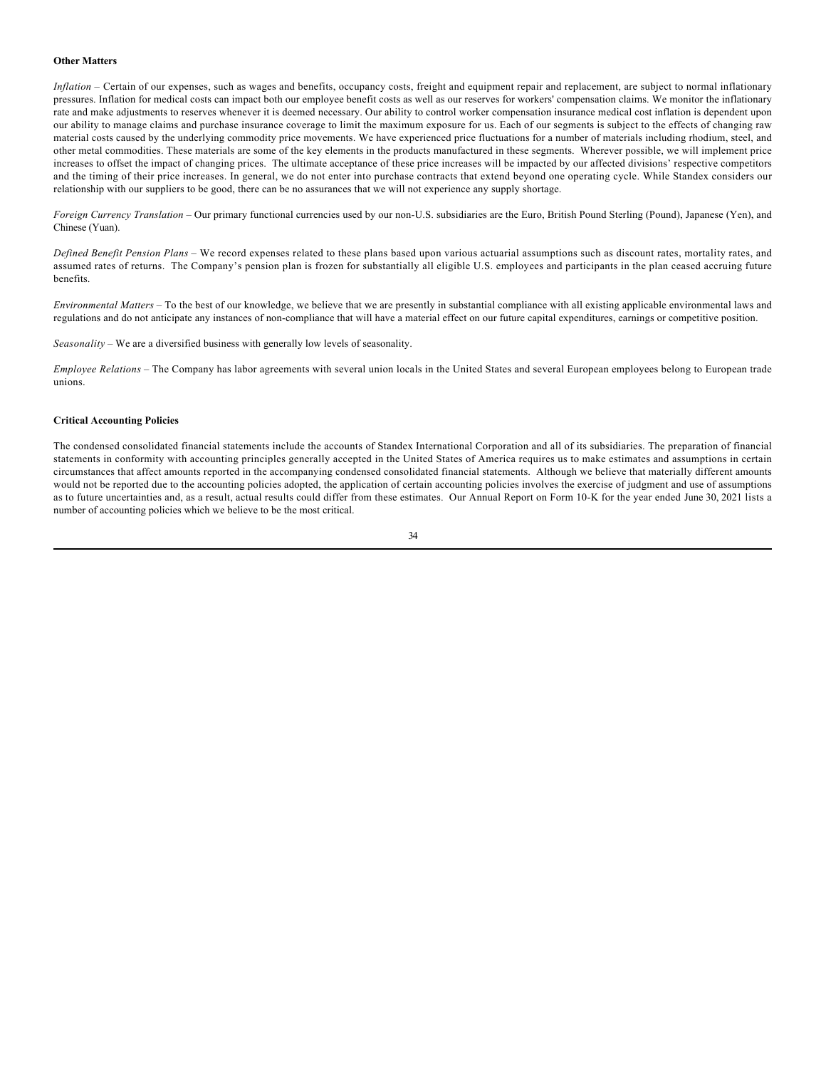#### **Other Matters**

*Inflation –* Certain of our expenses, such as wages and benefits, occupancy costs, freight and equipment repair and replacement, are subject to normal inflationary pressures. Inflation for medical costs can impact both our employee benefit costs as well as our reserves for workers' compensation claims. We monitor the inflationary rate and make adjustments to reserves whenever it is deemed necessary. Our ability to control worker compensation insurance medical cost inflation is dependent upon our ability to manage claims and purchase insurance coverage to limit the maximum exposure for us. Each of our segments is subject to the effects of changing raw material costs caused by the underlying commodity price movements. We have experienced price fluctuations for a number of materials including rhodium, steel, and other metal commodities. These materials are some of the key elements in the products manufactured in these segments. Wherever possible, we will implement price increases to offset the impact of changing prices. The ultimate acceptance of these price increases will be impacted by our affected divisions' respective competitors and the timing of their price increases. In general, we do not enter into purchase contracts that extend beyond one operating cycle. While Standex considers our relationship with our suppliers to be good, there can be no assurances that we will not experience any supply shortage.

*Foreign Currency Translation* – Our primary functional currencies used by our non-U.S. subsidiaries are the Euro, British Pound Sterling (Pound), Japanese (Yen), and Chinese (Yuan).

*Defined Benefit Pension Plans* – We record expenses related to these plans based upon various actuarial assumptions such as discount rates, mortality rates, and assumed rates of returns. The Company's pension plan is frozen for substantially all eligible U.S. employees and participants in the plan ceased accruing future benefits.

*Environmental Matters* – To the best of our knowledge, we believe that we are presently in substantial compliance with all existing applicable environmental laws and regulations and do not anticipate any instances of non-compliance that will have a material effect on our future capital expenditures, earnings or competitive position.

*Seasonality* – We are a diversified business with generally low levels of seasonality.

*Employee Relations* – The Company has labor agreements with several union locals in the United States and several European employees belong to European trade unions.

## **Critical Accounting Policies**

The condensed consolidated financial statements include the accounts of Standex International Corporation and all of its subsidiaries. The preparation of financial statements in conformity with accounting principles generally accepted in the United States of America requires us to make estimates and assumptions in certain circumstances that affect amounts reported in the accompanying condensed consolidated financial statements. Although we believe that materially different amounts would not be reported due to the accounting policies adopted, the application of certain accounting policies involves the exercise of judgment and use of assumptions as to future uncertainties and, as a result, actual results could differ from these estimates. Our Annual Report on Form 10-K for the year ended June 30, 2021 lists a number of accounting policies which we believe to be the most critical.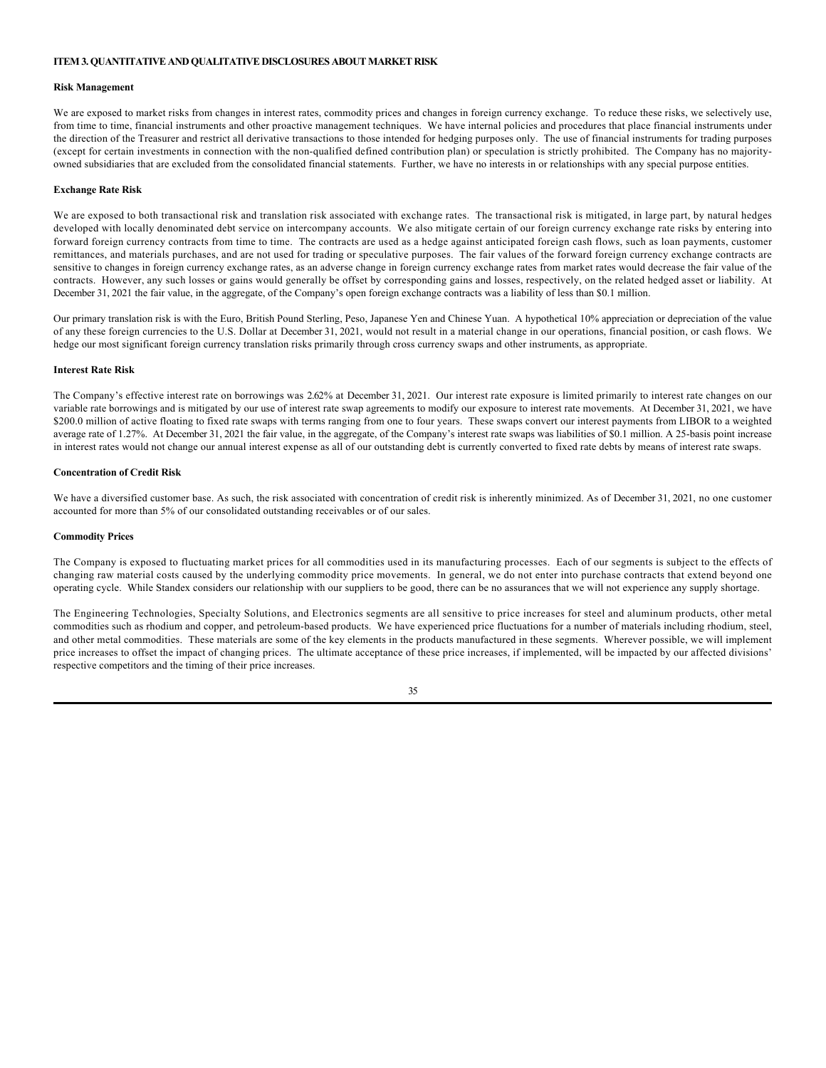## **ITEM 3. QUANTITATIVE AND QUALITATIVE DISCLOSURES ABOUT MARKET RISK**

#### **Risk Management**

We are exposed to market risks from changes in interest rates, commodity prices and changes in foreign currency exchange. To reduce these risks, we selectively use, from time to time, financial instruments and other proactive management techniques. We have internal policies and procedures that place financial instruments under the direction of the Treasurer and restrict all derivative transactions to those intended for hedging purposes only. The use of financial instruments for trading purposes (except for certain investments in connection with the non-qualified defined contribution plan) or speculation is strictly prohibited. The Company has no majorityowned subsidiaries that are excluded from the consolidated financial statements. Further, we have no interests in or relationships with any special purpose entities.

#### **Exchange Rate Risk**

We are exposed to both transactional risk and translation risk associated with exchange rates. The transactional risk is mitigated, in large part, by natural hedges developed with locally denominated debt service on intercompany accounts. We also mitigate certain of our foreign currency exchange rate risks by entering into forward foreign currency contracts from time to time. The contracts are used as a hedge against anticipated foreign cash flows, such as loan payments, customer remittances, and materials purchases, and are not used for trading or speculative purposes. The fair values of the forward foreign currency exchange contracts are sensitive to changes in foreign currency exchange rates, as an adverse change in foreign currency exchange rates from market rates would decrease the fair value of the contracts. However, any such losses or gains would generally be offset by corresponding gains and losses, respectively, on the related hedged asset or liability. At December 31, 2021 the fair value, in the aggregate, of the Company's open foreign exchange contracts was a liability of less than \$0.1 million.

Our primary translation risk is with the Euro, British Pound Sterling, Peso, Japanese Yen and Chinese Yuan. A hypothetical 10% appreciation or depreciation of the value of any these foreign currencies to the U.S. Dollar at December 31, 2021, would not result in a material change in our operations, financial position, or cash flows. We hedge our most significant foreign currency translation risks primarily through cross currency swaps and other instruments, as appropriate.

### **Interest Rate Risk**

The Company's effective interest rate on borrowings was 2.62% at December 31, 2021. Our interest rate exposure is limited primarily to interest rate changes on our variable rate borrowings and is mitigated by our use of interest rate swap agreements to modify our exposure to interest rate movements. At December 31, 2021, we have \$200.0 million of active floating to fixed rate swaps with terms ranging from one to four years. These swaps convert our interest payments from LIBOR to a weighted average rate of 1.27%. At December 31, 2021 the fair value, in the aggregate, of the Company's interest rate swaps was liabilities of \$0.1 million. A 25-basis point increase in interest rates would not change our annual interest expense as all of our outstanding debt is currently converted to fixed rate debts by means of interest rate swaps.

#### **Concentration of Credit Risk**

We have a diversified customer base. As such, the risk associated with concentration of credit risk is inherently minimized. As of December 31, 2021, no one customer accounted for more than 5% of our consolidated outstanding receivables or of our sales.

#### **Commodity Prices**

The Company is exposed to fluctuating market prices for all commodities used in its manufacturing processes. Each of our segments is subject to the effects of changing raw material costs caused by the underlying commodity price movements. In general, we do not enter into purchase contracts that extend beyond one operating cycle. While Standex considers our relationship with our suppliers to be good, there can be no assurances that we will not experience any supply shortage.

The Engineering Technologies, Specialty Solutions, and Electronics segments are all sensitive to price increases for steel and aluminum products, other metal commodities such as rhodium and copper, and petroleum-based products. We have experienced price fluctuations for a number of materials including rhodium, steel, and other metal commodities. These materials are some of the key elements in the products manufactured in these segments. Wherever possible, we will implement price increases to offset the impact of changing prices. The ultimate acceptance of these price increases, if implemented, will be impacted by our affected divisions' respective competitors and the timing of their price increases.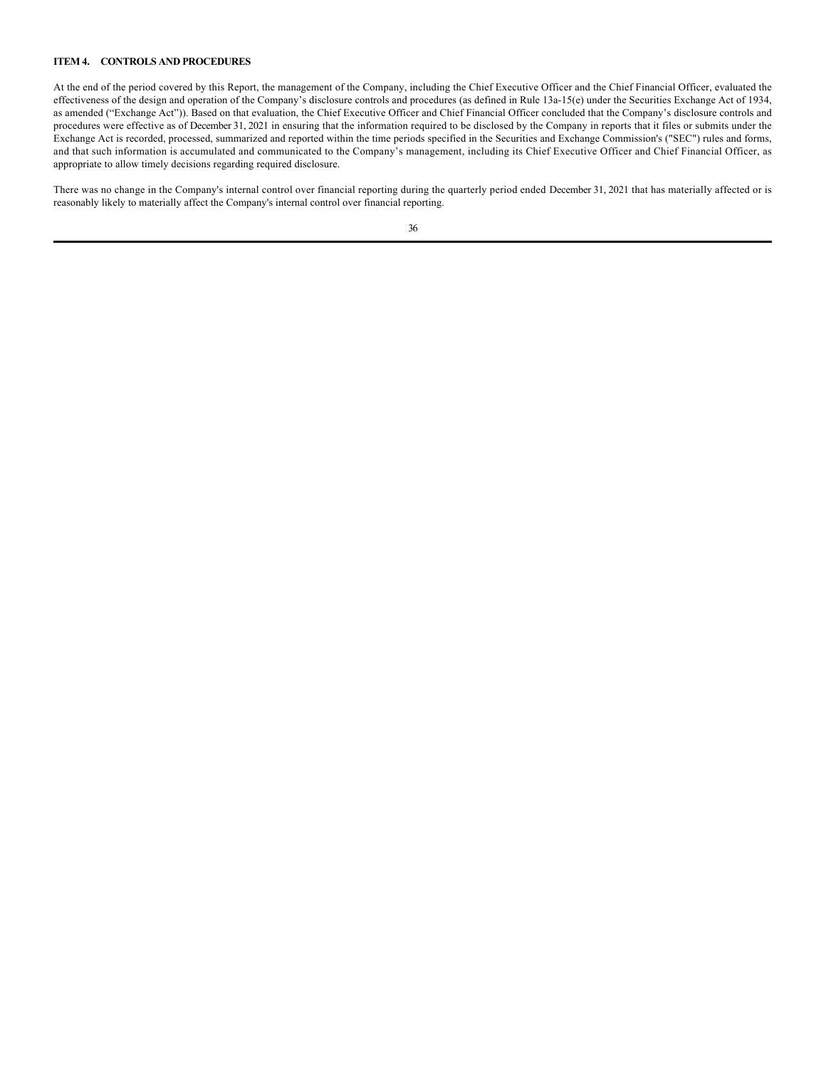## **ITEM 4. CONTROLS AND PROCEDURES**

At the end of the period covered by this Report, the management of the Company, including the Chief Executive Officer and the Chief Financial Officer, evaluated the effectiveness of the design and operation of the Company's disclosure controls and procedures (as defined in Rule 13a-15(e) under the Securities Exchange Act of 1934, as amended ("Exchange Act")). Based on that evaluation, the Chief Executive Officer and Chief Financial Officer concluded that the Company's disclosure controls and procedures were effective as of December 31, 2021 in ensuring that the information required to be disclosed by the Company in reports that it files or submits under the Exchange Act is recorded, processed, summarized and reported within the time periods specified in the Securities and Exchange Commission's ("SEC") rules and forms, and that such information is accumulated and communicated to the Company's management, including its Chief Executive Officer and Chief Financial Officer, as appropriate to allow timely decisions regarding required disclosure.

There was no change in the Company's internal control over financial reporting during the quarterly period ended December 31, 2021 that has materially affected or is reasonably likely to materially affect the Company's internal control over financial reporting.

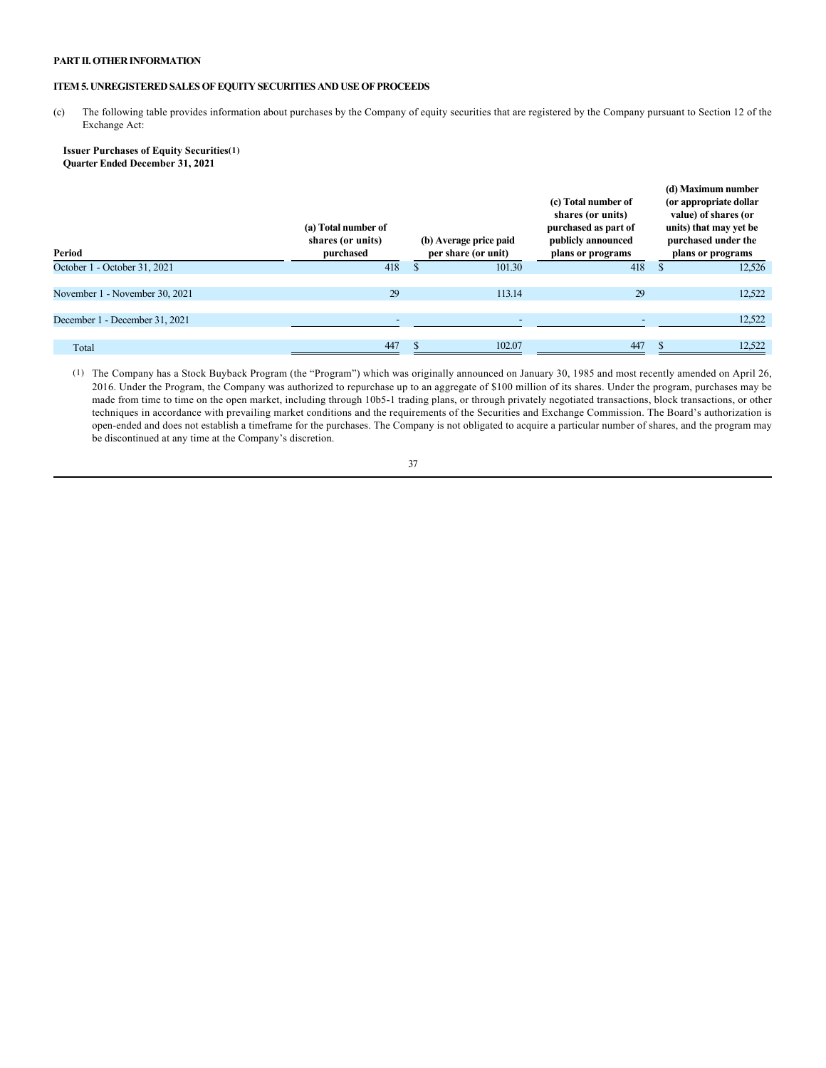## **PART II. OTHER INFORMATION**

## **ITEM 5. UNREGISTERED SALES OF EQUITY SECURITIES AND USE OF PROCEEDS**

(c) The following table provides information about purchases by the Company of equity securities that are registered by the Company pursuant to Section 12 of the Exchange Act:

## **Issuer Purchases of Equity Securities(1) Quarter Ended December 31, 2021**

| Period                         | (a) Total number of<br>shares (or units)<br>purchased | (b) Average price paid<br>per share (or unit) | (c) Total number of<br>shares (or units)<br>purchased as part of<br>publicly announced<br>plans or programs | (d) Maximum number<br>(or appropriate dollar<br>value) of shares (or<br>units) that may yet be<br>purchased under the<br>plans or programs |        |  |
|--------------------------------|-------------------------------------------------------|-----------------------------------------------|-------------------------------------------------------------------------------------------------------------|--------------------------------------------------------------------------------------------------------------------------------------------|--------|--|
| October 1 - October 31, 2021   | 418                                                   | 101.30                                        | 418                                                                                                         |                                                                                                                                            | 12,526 |  |
|                                |                                                       |                                               |                                                                                                             |                                                                                                                                            |        |  |
| November 1 - November 30, 2021 | 29                                                    | 113.14                                        | 29                                                                                                          |                                                                                                                                            | 12,522 |  |
|                                |                                                       |                                               |                                                                                                             |                                                                                                                                            |        |  |
| December 1 - December 31, 2021 |                                                       |                                               |                                                                                                             |                                                                                                                                            | 12,522 |  |
|                                |                                                       |                                               |                                                                                                             |                                                                                                                                            |        |  |
| Total                          | 447                                                   | 102.07                                        | 447                                                                                                         | S                                                                                                                                          | 12,522 |  |

(1) The Company has a Stock Buyback Program (the "Program") which was originally announced on January 30, 1985 and most recently amended on April 26, 2016. Under the Program, the Company was authorized to repurchase up to an aggregate of \$100 million of its shares. Under the program, purchases may be made from time to time on the open market, including through 10b5-1 trading plans, or through privately negotiated transactions, block transactions, or other techniques in accordance with prevailing market conditions and the requirements of the Securities and Exchange Commission. The Board's authorization is open-ended and does not establish a timeframe for the purchases. The Company is not obligated to acquire a particular number of shares, and the program may be discontinued at any time at the Company's discretion.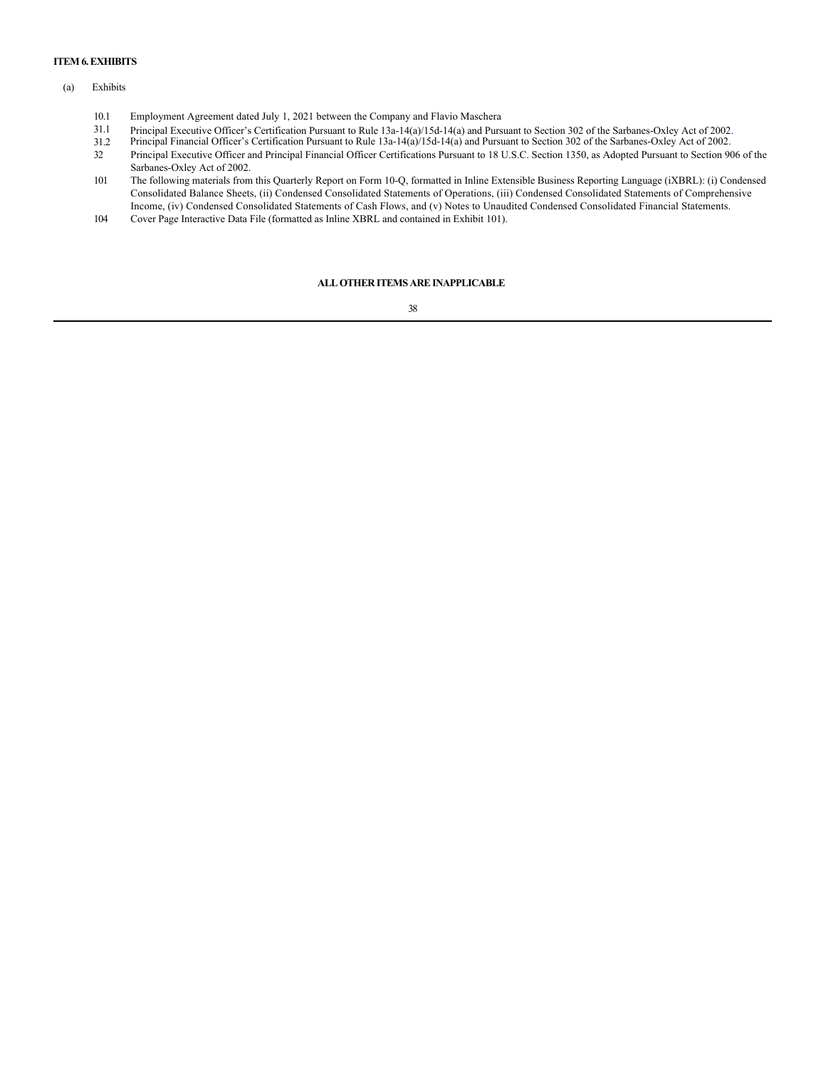# **ITEM 6. EXHIBITS**

### (a) Exhibits

- 10.1 Employment Agreement dated July 1, 2021 between the Company and Flavio Maschera
- 31.1 Principal Executive Officer's Certification Pursuant to Rule 13a-14(a)/15d-14(a) and Pursuant to Section 302 of the Sarbanes-Oxley Act of 2002.
- 31.2 Principal Financial Officer's Certification Pursuant to Rule 13a-14(a)/15d-14(a) and Pursuant to Section 302 of the Sarbanes-Oxley Act of 2002.
- 32 Principal Executive Officer and Principal Financial Officer Certifications Pursuant to 18 U.S.C. Section 1350, as Adopted Pursuant to Section 906 of the Sarbanes-Oxley Act of 2002.
- 101 The following materials from this Quarterly Report on Form 10-Q, formatted in Inline Extensible Business Reporting Language (iXBRL): (i) Condensed Consolidated Balance Sheets, (ii) Condensed Consolidated Statements of Operations, (iii) Condensed Consolidated Statements of Comprehensive Income, (iv) Condensed Consolidated Statements of Cash Flows, and (v) Notes to Unaudited Condensed Consolidated Financial Statements.
- 104 Cover Page Interactive Data File (formatted as Inline XBRL and contained in Exhibit 101).

# **ALL OTHER ITEMS ARE INAPPLICABLE**